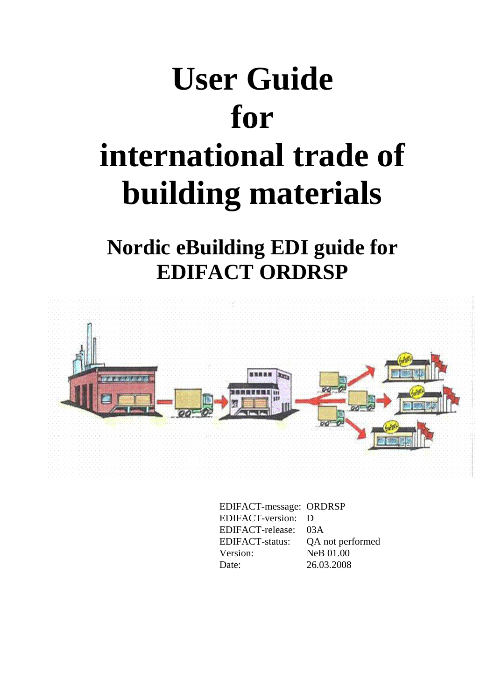# **User Guide for international trade of building materials**

**Nordic eBuilding EDI guide for EDIFACT ORDRSP** 



EDIFACT-message: ORDRSP EDIFACT-version: D EDIFACT-release: 03A EDIFACT-status: QA not performed Version: NeB 01.00 Date: 26.03.2008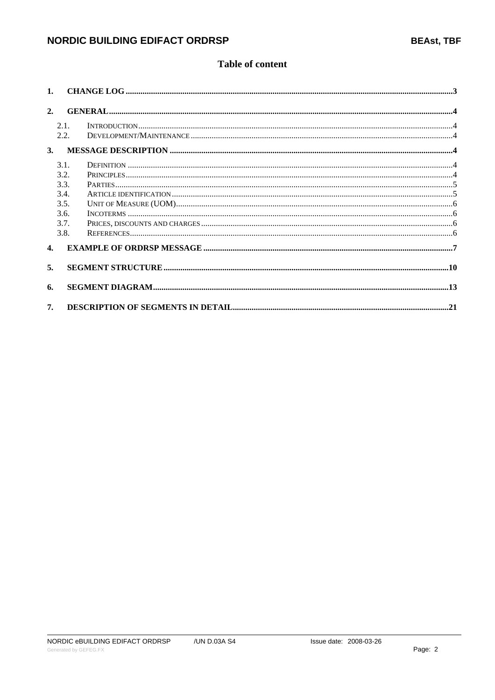#### **Table of content**

| 2.             |                                                              |                                                                                                                                                                                                                                                                                                                                                                                                                    |  |
|----------------|--------------------------------------------------------------|--------------------------------------------------------------------------------------------------------------------------------------------------------------------------------------------------------------------------------------------------------------------------------------------------------------------------------------------------------------------------------------------------------------------|--|
|                | 2.1.<br>2.2.                                                 | $\textbf{INTRODUCTION}.\textcolor{red}{\textbf{1} \textbf{1} \textbf{2} \textbf{3} \textbf{4} \textbf{5} \textbf{6} \textbf{6} \textbf{7}} \textbf{9} \textbf{10} \textbf{11} \textbf{12} \textbf{13} \textbf{14} \textbf{15} \textbf{16} \textbf{16} \textbf{17} \textbf{18} \textbf{19} \textbf{19} \textbf{19} \textbf{19} \textbf{19} \textbf{19} \textbf{19} \textbf{19} \textbf{19} \textbf{19} \textbf{19}$ |  |
| 3.             |                                                              |                                                                                                                                                                                                                                                                                                                                                                                                                    |  |
|                | 3.1.<br>3.2.<br>3.3.<br>3.4.<br>3.5.<br>3.6.<br>3.7.<br>3.8. |                                                                                                                                                                                                                                                                                                                                                                                                                    |  |
| $\mathbf{4}$ . |                                                              |                                                                                                                                                                                                                                                                                                                                                                                                                    |  |
| 5 <sub>1</sub> |                                                              |                                                                                                                                                                                                                                                                                                                                                                                                                    |  |
| 6.             |                                                              |                                                                                                                                                                                                                                                                                                                                                                                                                    |  |
| 7.             |                                                              |                                                                                                                                                                                                                                                                                                                                                                                                                    |  |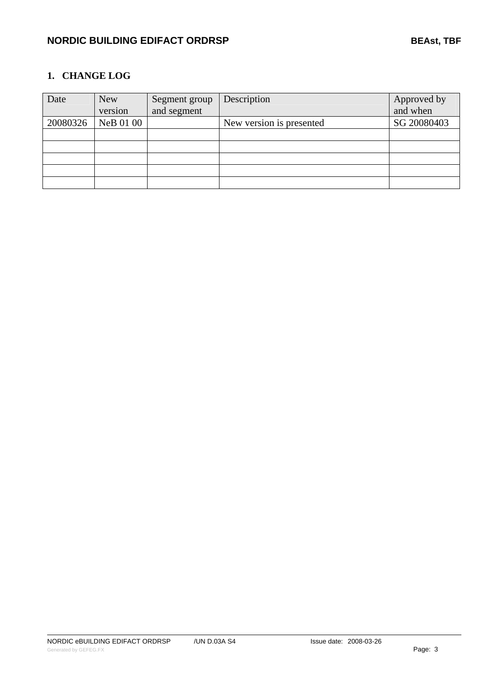## <span id="page-2-1"></span><span id="page-2-0"></span>**1. CHANGE LOG**

| Date     | <b>New</b><br>version | Segment group<br>and segment | Description              | Approved by<br>and when |
|----------|-----------------------|------------------------------|--------------------------|-------------------------|
| 20080326 | NeB 01 00             |                              | New version is presented | SG 20080403             |
|          |                       |                              |                          |                         |
|          |                       |                              |                          |                         |
|          |                       |                              |                          |                         |
|          |                       |                              |                          |                         |
|          |                       |                              |                          |                         |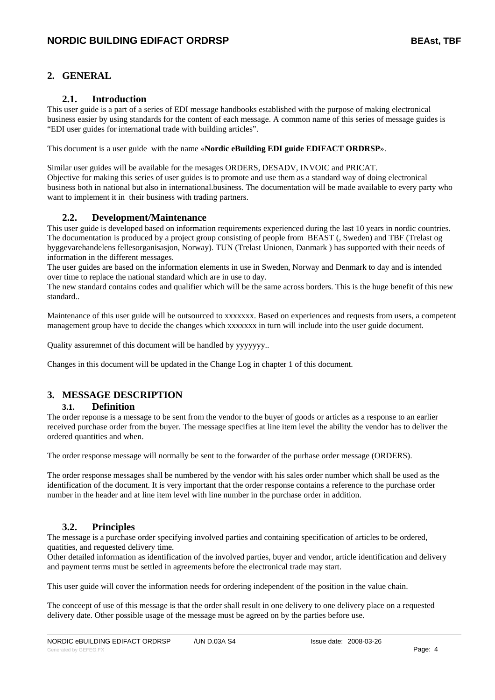#### <span id="page-3-1"></span><span id="page-3-0"></span>**2. GENERAL**

#### **2.1. Introduction**

<span id="page-3-2"></span>This user guide is a part of a series of EDI message handbooks established with the purpose of making electronical business easier by using standards for the content of each message. A common name of this series of message guides is "EDI user guides for international trade with building articles".

This document is a user guide with the name «**Nordic eBuilding EDI guide EDIFACT ORDRSP**».

Similar user guides will be available for the mesages ORDERS, DESADV, INVOIC and PRICAT. Objective for making this series of user guides is to promote and use them as a standard way of doing electronical business both in national but also in international.business. The documentation will be made available to every party who want to implement it in their business with trading partners.

#### **2.2. Development/Maintenance**

<span id="page-3-3"></span>This user guide is developed based on information requirements experienced during the last 10 years in nordic countries. The documentation is produced by a project group consisting of people from BEAST (, Sweden) and TBF (Trelast og byggevarehandelens fellesorganisasjon, Norway). TUN (Trelast Unionen, Danmark ) has supported with their needs of information in the different messages.

The user guides are based on the information elements in use in Sweden, Norway and Denmark to day and is intended over time to replace the national standard which are in use to day.

The new standard contains codes and qualifier which will be the same across borders. This is the huge benefit of this new standard..

Maintenance of this user guide will be outsourced to xxxxxxx. Based on experiences and requests from users, a competent management group have to decide the changes which xxxxxxx in turn will include into the user guide document.

Quality assuremnet of this document will be handled by yyyyyyy..

Changes in this document will be updated in the Change Log in chapter 1 of this document.

## <span id="page-3-5"></span><span id="page-3-4"></span>**3. MESSAGE DESCRIPTION**

#### **3.1. Definition**

The order reponse is a message to be sent from the vendor to the buyer of goods or articles as a response to an earlier received purchase order from the buyer. The message specifies at line item level the ability the vendor has to deliver the ordered quantities and when.

The order response message will normally be sent to the forwarder of the purhase order message (ORDERS).

The order response messages shall be numbered by the vendor with his sales order number which shall be used as the identification of the document. It is very important that the order response contains a reference to the purchase order number in the header and at line item level with line number in the purchase order in addition.

#### **3.2. Principles**

<span id="page-3-6"></span>The message is a purchase order specifying involved parties and containing specification of articles to be ordered, quatities, and requested delivery time.

Other detailed information as identification of the involved parties, buyer and vendor, article identification and delivery and payment terms must be settled in agreements before the electronical trade may start.

This user guide will cover the information needs for ordering independent of the position in the value chain.

The conceept of use of this message is that the order shall result in one delivery to one delivery place on a requested delivery date. Other possible usage of the message must be agreed on by the parties before use.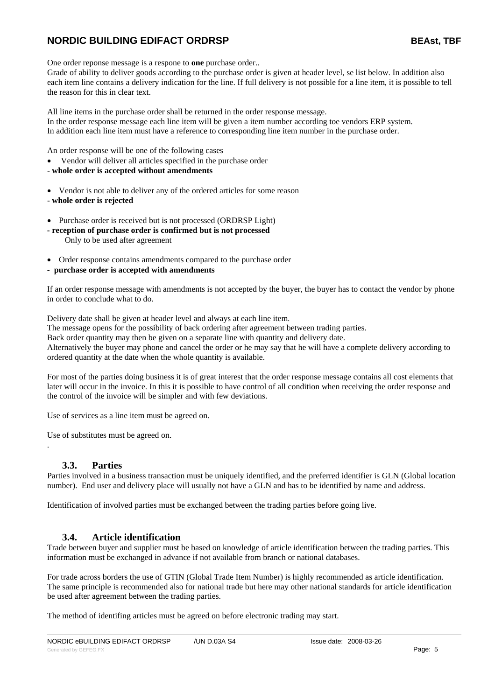<span id="page-4-0"></span>One order reponse message is a respone to **one** purchase order..

Grade of ability to deliver goods according to the purchase order is given at header level, se list below. In addition also each item line contains a delivery indication for the line. If full delivery is not possible for a line item, it is possible to tell the reason for this in clear text.

All line items in the purchase order shall be returned in the order response message. In the order response message each line item will be given a item number according toe vendors ERP system. In addition each line item must have a reference to corresponding line item number in the purchase order.

An order response will be one of the following cases

- Vendor will deliver all articles specified in the purchase order
- **whole order is accepted without amendments**
- Vendor is not able to deliver any of the ordered articles for some reason
- **whole order is rejected**
- Purchase order is received but is not processed (ORDRSP Light)
- **reception of purchase order is confirmed but is not processed** Only to be used after agreement
- Order response contains amendments compared to the purchase order
- **purchase order is accepted with amendments**

If an order response message with amendments is not accepted by the buyer, the buyer has to contact the vendor by phone in order to conclude what to do.

Delivery date shall be given at header level and always at each line item. The message opens for the possibility of back ordering after agreement between trading parties. Back order quantity may then be given on a separate line with quantity and delivery date. Alternatively the buyer may phone and cancel the order or he may say that he will have a complete delivery according to ordered quantity at the date when the whole quantity is available.

For most of the parties doing business it is of great interest that the order response message contains all cost elements that later will occur in the invoice. In this it is possible to have control of all condition when receiving the order response and the control of the invoice will be simpler and with few deviations.

Use of services as a line item must be agreed on.

Use of substitutes must be agreed on.

#### **3.3. Parties**

.

<span id="page-4-1"></span>Parties involved in a business transaction must be uniquely identified, and the preferred identifier is GLN (Global location number). End user and delivery place will usually not have a GLN and has to be identified by name and address.

Identification of involved parties must be exchanged between the trading parties before going live.

#### **3.4. Article identification**

<span id="page-4-2"></span>Trade between buyer and supplier must be based on knowledge of article identification between the trading parties. This information must be exchanged in advance if not available from branch or national databases.

For trade across borders the use of GTIN (Global Trade Item Number) is highly recommended as article identification. The same principle is recommended also for national trade but here may other national standards for article identification be used after agreement between the trading parties.

The method of identifing articles must be agreed on before electronic trading may start.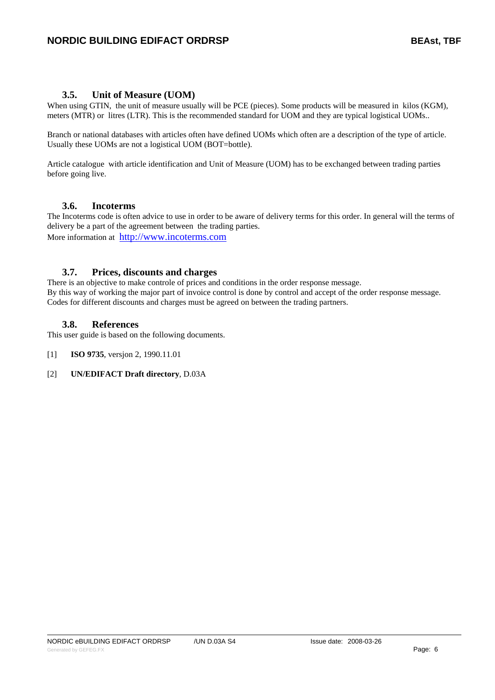#### <span id="page-5-0"></span>**3.5. Unit of Measure (UOM)**

<span id="page-5-1"></span>When using GTIN, the unit of measure usually will be PCE (pieces). Some products will be measured in kilos (KGM), meters (MTR) or litres (LTR). This is the recommended standard for UOM and they are typical logistical UOMs..

Branch or national databases with articles often have defined UOMs which often are a description of the type of article. Usually these UOMs are not a logistical UOM (BOT=bottle).

Article catalogue with article identification and Unit of Measure (UOM) has to be exchanged between trading parties before going live.

#### **3.6. Incoterms**

<span id="page-5-2"></span>The Incoterms code is often advice to use in order to be aware of delivery terms for this order. In general will the terms of delivery be a part of the agreement between the trading parties. More information at http://www.incoterms.com

#### **3.7. Prices, discounts and charges**

<span id="page-5-3"></span>There is an objective to make controle of prices and conditions in the order response message. By this way of working the major part of invoice control is done by control and accept of the order response message. Codes for different discounts and charges must be agreed on between the trading partners.

#### **3.8. References**

<span id="page-5-4"></span>This user guide is based on the following documents.

- [1] **ISO 9735**, versjon 2, 1990.11.01
- [2] **UN/EDIFACT Draft directory**, D.03A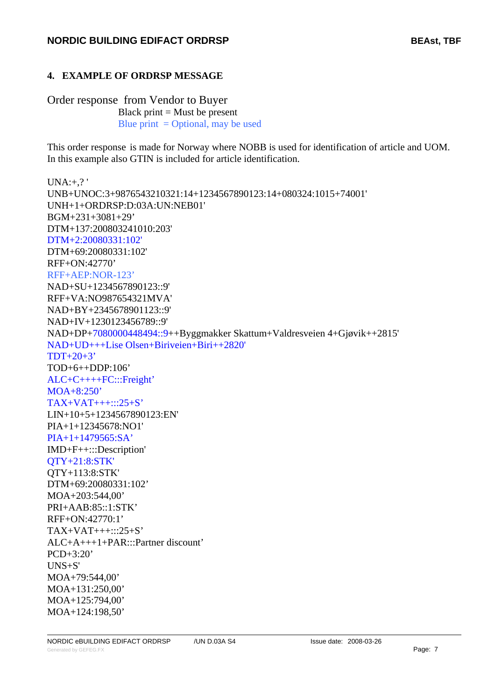## <span id="page-6-1"></span><span id="page-6-0"></span>**4. EXAMPLE OF ORDRSP MESSAGE**

#### Order response from Vendor to Buyer Black print  $=$  Must be present Blue print  $=$  Optional, may be used

This order response is made for Norway where NOBB is used for identification of article and UOM. In this example also GTIN is included for article identification.

 $UNA:+,?$ UNB+UNOC:3+9876543210321:14+1234567890123:14+080324:1015+74001' UNH+1+ORDRSP:D:03A:UN:NEB01' BGM+231+3081+29' DTM+137:200803241010:203' DTM+2:20080331:102' DTM+69:20080331:102' RFF+ON:42770' RFF+AEP:NOR-123' NAD+SU+1234567890123::9' RFF+VA:NO987654321MVA' NAD+BY+2345678901123::9' NAD+IV+1230123456789::9' NAD+DP+7080000448494::9++Byggmakker Skattum+Valdresveien 4+Gjøvik++2815' NAD+UD+++Lise Olsen+Biriveien+Biri++2820'  $TDT+20+3'$ TOD+6++DDP:106' ALC+C++++FC:::Freight' MOA+8:250' TAX+VAT+++:::25+S' LIN+10+5+1234567890123:EN' PIA+1+12345678:NO1' PIA+1+1479565:SA' IMD+F++:::Description' QTY+21:8:STK' QTY+113:8:STK' DTM+69:20080331:102' MOA+203:544,00' PRI+AAB:85::1:STK' RFF+ON:42770:1' TAX+VAT+++:::25+S' ALC+A+++1+PAR:::Partner discount' PCD+3:20' UNS+S' MOA+79:544,00' MOA+131:250,00' MOA+125:794,00' MOA+124:198,50'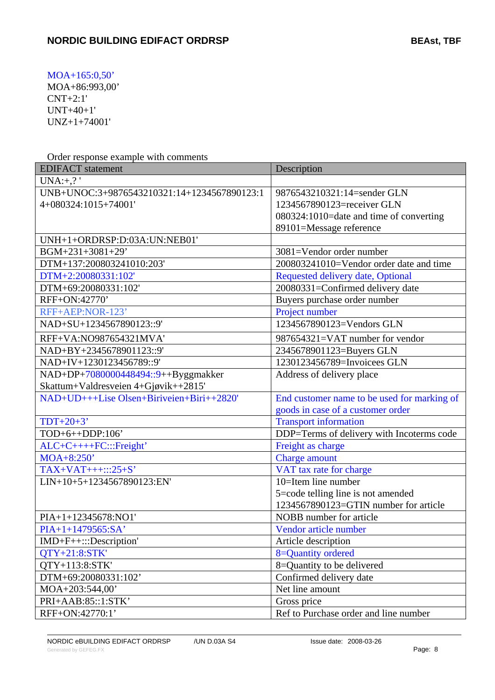#### MOA+165:0,50'

MOA+86:993,00' CNT+2:1' UNT+40+1' UNZ+1+74001'

Order response example with comments

| <b>EDIFACT</b> statement                    | Description                                 |
|---------------------------------------------|---------------------------------------------|
| $UNA:+,?$                                   |                                             |
| UNB+UNOC:3+9876543210321:14+1234567890123:1 | 9876543210321:14=sender GLN                 |
| 4+080324:1015+74001'                        | 1234567890123=receiver GLN                  |
|                                             | 080324:1010=date and time of converting     |
|                                             | 89101=Message reference                     |
| UNH+1+ORDRSP:D:03A:UN:NEB01'                |                                             |
| BGM+231+3081+29'                            | 3081=Vendor order number                    |
| DTM+137:200803241010:203'                   | 200803241010=Vendor order date and time     |
| DTM+2:20080331:102'                         | Requested delivery date, Optional           |
| DTM+69:20080331:102'                        | 20080331=Confirmed delivery date            |
| RFF+ON:42770'                               | Buyers purchase order number                |
| RFF+AEP:NOR-123'                            | Project number                              |
| NAD+SU+1234567890123::9'                    | 1234567890123=Vendors GLN                   |
| RFF+VA:NO987654321MVA'                      | 987654321=VAT number for vendor             |
| NAD+BY+2345678901123::9'                    | 2345678901123=Buyers GLN                    |
| NAD+IV+1230123456789::9'                    | 1230123456789=Invoicees GLN                 |
| NAD+DP+7080000448494::9++Byggmakker         | Address of delivery place                   |
| Skattum+Valdresveien 4+Gjøvik++2815'        |                                             |
| NAD+UD+++Lise Olsen+Biriveien+Biri++2820'   | End customer name to be used for marking of |
|                                             | goods in case of a customer order           |
| $TDT+20+3'$                                 | <b>Transport information</b>                |
| TOD+6++DDP:106'                             | DDP=Terms of delivery with Incoterms code   |
| $ALC+C++++FC:::Freight'$                    | Freight as charge                           |
| $MOA+8:250'$                                | Charge amount                               |
| $TAX+VAT++:::25+S'$                         | VAT tax rate for charge                     |
| LIN+10+5+1234567890123:EN'                  | 10=Item line number                         |
|                                             | 5=code telling line is not amended          |
|                                             | 1234567890123=GTIN number for article       |
| PIA+1+12345678:NO1'                         | NOBB number for article                     |
| $PIA+1+1479565:SA'$                         | Vendor article number                       |
| IMD+F++:::Description'                      | Article description                         |
| QTY+21:8:STK'                               | 8=Quantity ordered                          |
| QTY+113:8:STK'                              | 8=Quantity to be delivered                  |
| DTM+69:20080331:102'                        | Confirmed delivery date                     |
| MOA+203:544,00'                             | Net line amount                             |
| PRI+AAB:85::1:STK'                          | Gross price                                 |
| RFF+ON:42770:1'                             | Ref to Purchase order and line number       |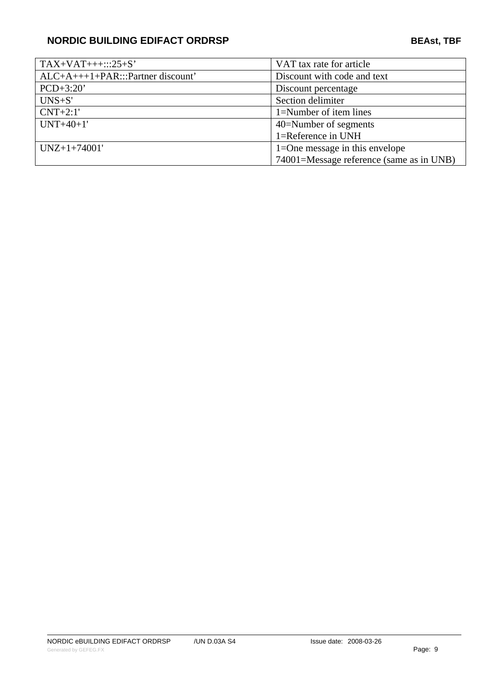| $TAX+VAT++:::25+S'$               | VAT tax rate for article                 |
|-----------------------------------|------------------------------------------|
| $ALC+A++1+PAR::Partner discount'$ | Discount with code and text              |
| $PCD+3:20'$                       | Discount percentage                      |
| $UNS + S'$                        | Section delimiter                        |
| $CNT+2:1'$                        | 1=Number of item lines                   |
| $UNT+40+1'$                       | 40=Number of segments                    |
|                                   | 1=Reference in UNH                       |
| $UNZ+1+74001'$                    | 1=One message in this envelope           |
|                                   | 74001=Message reference (same as in UNB) |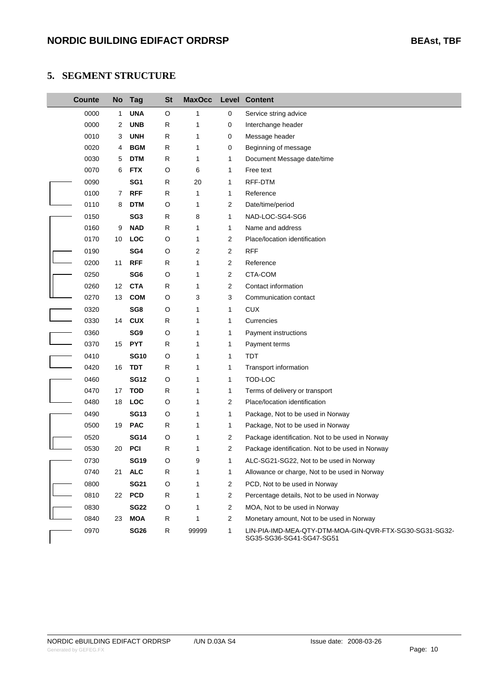## <span id="page-9-1"></span><span id="page-9-0"></span>**5. SEGMENT STRUCTURE**

| <b>Counte</b> | <b>No</b> | <b>Tag</b>      | St | <b>MaxOcc</b> | Level          | <b>Content</b>                                                                      |
|---------------|-----------|-----------------|----|---------------|----------------|-------------------------------------------------------------------------------------|
| 0000          | 1         | <b>UNA</b>      | O  | 1             | 0              | Service string advice                                                               |
| 0000          | 2         | <b>UNB</b>      | R  | 1             | 0              | Interchange header                                                                  |
| 0010          | 3         | <b>UNH</b>      | R  | 1             | 0              | Message header                                                                      |
| 0020          | 4         | <b>BGM</b>      | R  | 1             | 0              | Beginning of message                                                                |
| 0030          | 5         | <b>DTM</b>      | R  | 1             | 1              | Document Message date/time                                                          |
| 0070          | 6         | <b>FTX</b>      | O  | 6             | 1              | Free text                                                                           |
| 0090          |           | SG <sub>1</sub> | R  | 20            | 1              | RFF-DTM                                                                             |
| 0100          | 7         | <b>RFF</b>      | R  | 1             | 1              | Reference                                                                           |
| 0110          | 8         | <b>DTM</b>      | O  | 1             | 2              | Date/time/period                                                                    |
| 0150          |           | SG <sub>3</sub> | R  | 8             | 1              | NAD-LOC-SG4-SG6                                                                     |
| 0160          | 9         | <b>NAD</b>      | R  | 1             | 1              | Name and address                                                                    |
| 0170          | 10        | <b>LOC</b>      | O  | 1             | 2              | Place/location identification                                                       |
| 0190          |           | SG4             | O  | 2             | $\overline{2}$ | <b>RFF</b>                                                                          |
| 0200          | 11        | <b>RFF</b>      | R  | 1             | 2              | Reference                                                                           |
| 0250          |           | SG <sub>6</sub> | O  | 1             | 2              | CTA-COM                                                                             |
| 0260          | 12        | <b>CTA</b>      | R  | 1             | 2              | Contact information                                                                 |
| 0270          | 13        | <b>COM</b>      | O  | 3             | 3              | Communication contact                                                               |
| 0320          |           | SG8             | O  | 1             | 1              | <b>CUX</b>                                                                          |
| 0330          | 14        | <b>CUX</b>      | R  | 1             | 1              | Currencies                                                                          |
| 0360          |           | SG9             | O  | 1             | 1              | Payment instructions                                                                |
| 0370          | 15        | <b>PYT</b>      | R  | 1             | 1              | Payment terms                                                                       |
| 0410          |           | <b>SG10</b>     | O  | 1             | 1              | TDT                                                                                 |
| 0420          | 16        | <b>TDT</b>      | R  | 1             | 1              | Transport information                                                               |
| 0460          |           | <b>SG12</b>     | O  | 1             | 1              | TOD-LOC                                                                             |
| 0470          | 17        | <b>TOD</b>      | R  | 1             | 1              | Terms of delivery or transport                                                      |
| 0480          | 18        | <b>LOC</b>      | O  | 1             | 2              | Place/location identification                                                       |
| 0490          |           | <b>SG13</b>     | O  | 1             | 1              | Package, Not to be used in Norway                                                   |
| 0500          | 19        | <b>PAC</b>      | R  | 1             | 1              | Package, Not to be used in Norway                                                   |
| 0520          |           | <b>SG14</b>     | O  | 1             | 2              | Package identification. Not to be used in Norway                                    |
| 0530          | 20        | <b>PCI</b>      | R  | 1             | $\overline{2}$ | Package identification. Not to be used in Norway                                    |
| 0730          |           | <b>SG19</b>     | O  | 9             | 1              | ALC-SG21-SG22, Not to be used in Norway                                             |
| 0740          | 21        | <b>ALC</b>      | R  | 1             | 1              | Allowance or charge, Not to be used in Norway                                       |
| 0800          |           | <b>SG21</b>     | O  | 1             | $\overline{2}$ | PCD, Not to be used in Norway                                                       |
| 0810          |           | 22 PCD          | R  | 1             | $\overline{2}$ | Percentage details, Not to be used in Norway                                        |
| 0830          |           | <b>SG22</b>     | O  | 1             | $\overline{2}$ | MOA, Not to be used in Norway                                                       |
| 0840          | 23        | <b>MOA</b>      | R  | 1             | $\overline{2}$ | Monetary amount, Not to be used in Norway                                           |
| 0970          |           | <b>SG26</b>     | R  | 99999         | 1              | LIN-PIA-IMD-MEA-QTY-DTM-MOA-GIN-QVR-FTX-SG30-SG31-SG32-<br>SG35-SG36-SG41-SG47-SG51 |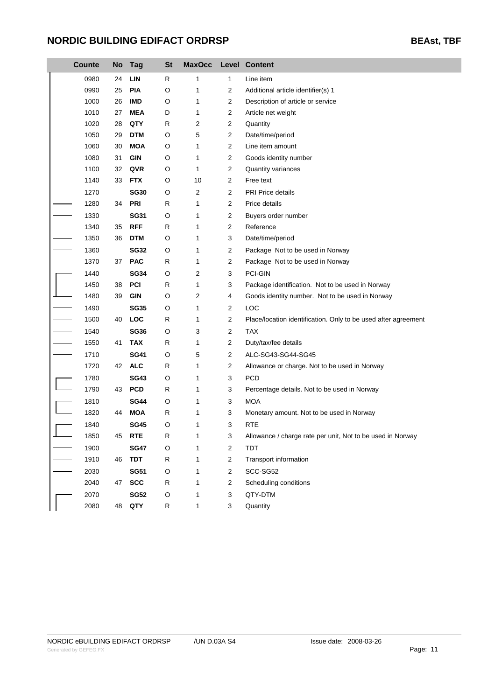| Counte | <b>No</b> | Tag         | <b>St</b>   | <b>MaxOcc</b> |                         | <b>Level Content</b>                                           |
|--------|-----------|-------------|-------------|---------------|-------------------------|----------------------------------------------------------------|
| 0980   | 24        | <b>LIN</b>  | R           | 1             | 1                       | Line item                                                      |
| 0990   | 25        | <b>PIA</b>  | O           | 1             | $\overline{a}$          | Additional article identifier(s) 1                             |
| 1000   | 26        | <b>IMD</b>  | O           | 1             | $\overline{\mathbf{c}}$ | Description of article or service                              |
| 1010   | 27        | <b>MEA</b>  | D           | 1             | $\overline{a}$          | Article net weight                                             |
| 1020   | 28        | QTY         | R           | 2             | $\overline{2}$          | Quantity                                                       |
| 1050   | 29        | <b>DTM</b>  | O           | 5             | $\overline{2}$          | Date/time/period                                               |
| 1060   | 30        | <b>MOA</b>  | O           | 1             | 2                       | Line item amount                                               |
| 1080   | 31        | GIN         | O           | 1             | $\overline{2}$          | Goods identity number                                          |
| 1100   | 32        | <b>QVR</b>  | O           | 1             | $\overline{c}$          | Quantity variances                                             |
| 1140   | 33        | <b>FTX</b>  | O           | 10            | 2                       | Free text                                                      |
| 1270   |           | <b>SG30</b> | O           | 2             | 2                       | <b>PRI Price details</b>                                       |
| 1280   | 34        | PRI         | R           | 1             | $\overline{2}$          | Price details                                                  |
| 1330   |           | <b>SG31</b> | O           | 1             | 2                       | Buyers order number                                            |
| 1340   | 35        | <b>RFF</b>  | R           | 1             | 2                       | Reference                                                      |
| 1350   | 36        | <b>DTM</b>  | O           | 1             | 3                       | Date/time/period                                               |
| 1360   |           | <b>SG32</b> | O           | 1             | 2                       | Package Not to be used in Norway                               |
| 1370   | 37        | <b>PAC</b>  | R.          | 1             | 2                       | Package Not to be used in Norway                               |
| 1440   |           | <b>SG34</b> | O           | 2             | 3                       | PCI-GIN                                                        |
| 1450   | 38        | <b>PCI</b>  | R           | 1             | 3                       | Package identification. Not to be used in Norway               |
| 1480   | 39        | <b>GIN</b>  | O           | 2             | 4                       | Goods identity number. Not to be used in Norway                |
| 1490   |           | <b>SG35</b> | O           | 1             | $\overline{2}$          | LOC                                                            |
| 1500   | 40        | <b>LOC</b>  | R           | 1             | $\overline{2}$          | Place/location identification. Only to be used after agreement |
| 1540   |           | <b>SG36</b> | O           | 3             | $\overline{2}$          | <b>TAX</b>                                                     |
| 1550   | 41        | <b>TAX</b>  | R           | 1             | $\overline{c}$          | Duty/tax/fee details                                           |
| 1710   |           | <b>SG41</b> | O           | 5             | 2                       | ALC-SG43-SG44-SG45                                             |
| 1720   | 42        | <b>ALC</b>  | R           | 1             | 2                       | Allowance or charge. Not to be used in Norway                  |
| 1780   |           | <b>SG43</b> | O           | 1             | 3                       | <b>PCD</b>                                                     |
| 1790   | 43        | <b>PCD</b>  | R           | 1             | 3                       | Percentage details. Not to be used in Norway                   |
| 1810   |           | <b>SG44</b> | O           | 1             | 3                       | <b>MOA</b>                                                     |
| 1820   | 44        | <b>MOA</b>  | R           | 1             | 3                       | Monetary amount. Not to be used in Norway                      |
| 1840   |           | <b>SG45</b> | O           | 1             | 3                       | <b>RTE</b>                                                     |
| 1850   | 45        | <b>RTE</b>  | R           | 1             | 3                       | Allowance / charge rate per unit, Not to be used in Norway     |
| 1900   |           | <b>SG47</b> | O           | 1             | $\overline{c}$          | <b>TDT</b>                                                     |
| 1910   | 46        | <b>TDT</b>  | R           | 1             | $\overline{c}$          | Transport information                                          |
| 2030   |           | <b>SG51</b> | O           | 1             | $\overline{2}$          | SCC-SG52                                                       |
| 2040   | 47        | SCC         | R           | 1             | $\overline{c}$          | Scheduling conditions                                          |
| 2070   |           | <b>SG52</b> | O           | 1             | 3                       | QTY-DTM                                                        |
| 2080   | 48        | QTY         | $\mathsf R$ | 1             | 3                       | Quantity                                                       |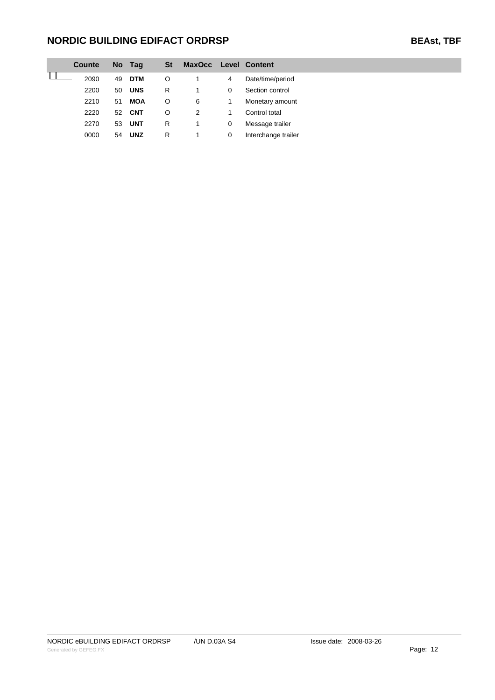|   | Counte |    | No Tag     | <b>St</b> | <b>MaxOcc</b> Level Content |   |                     |
|---|--------|----|------------|-----------|-----------------------------|---|---------------------|
| Ш | 2090   | 49 | <b>DTM</b> | $\circ$   |                             | 4 | Date/time/period    |
|   | 2200   | 50 | <b>UNS</b> | R         |                             | 0 | Section control     |
|   | 2210   | 51 | MOA        | O         | 6                           |   | Monetary amount     |
|   | 2220   |    | 52 CNT     | O         | 2                           |   | Control total       |
|   | 2270   | 53 | UNT        | R         |                             | 0 | Message trailer     |
|   | 0000   | 54 | UNZ        | R         |                             | 0 | Interchange trailer |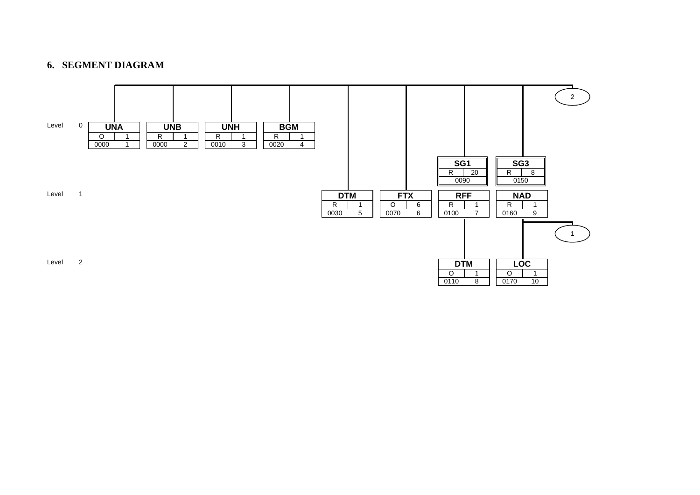#### **6. SEGMENT DIAGRAM**

<span id="page-12-1"></span><span id="page-12-0"></span>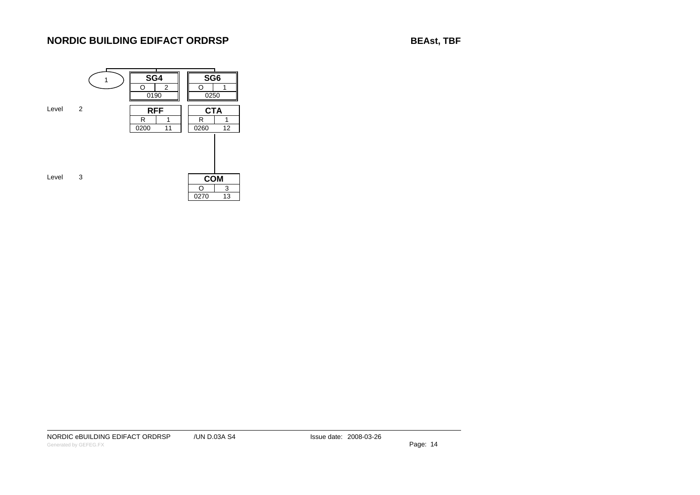**BEAst, TBF**



NORDIC eBUILDING EDIFACT ORDRSP /UN D.03A S4 / Issue date: 2008-03-26

Generated by GEFEG.FX **Page: 14**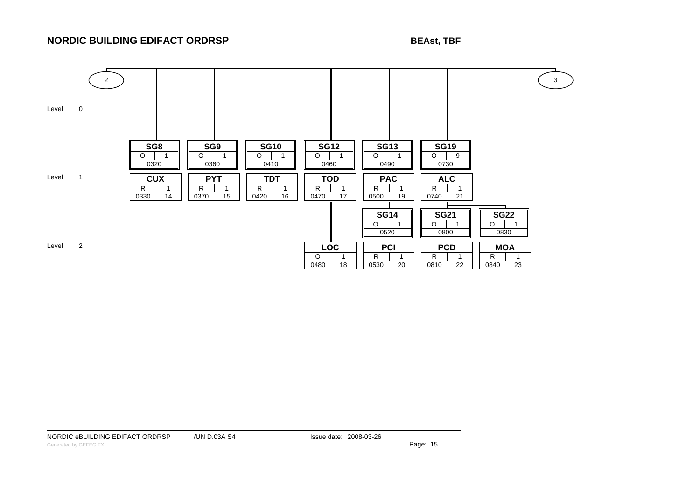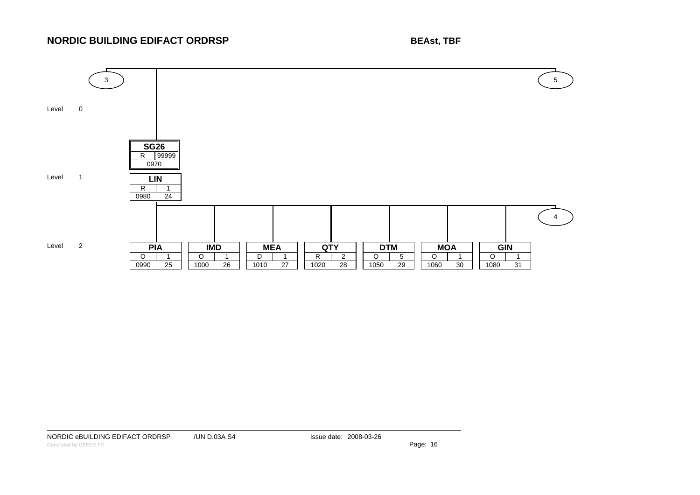

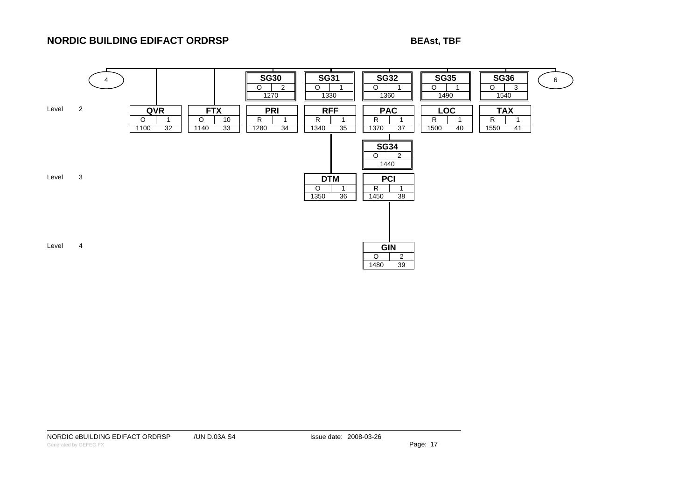**BEAst, TBF**

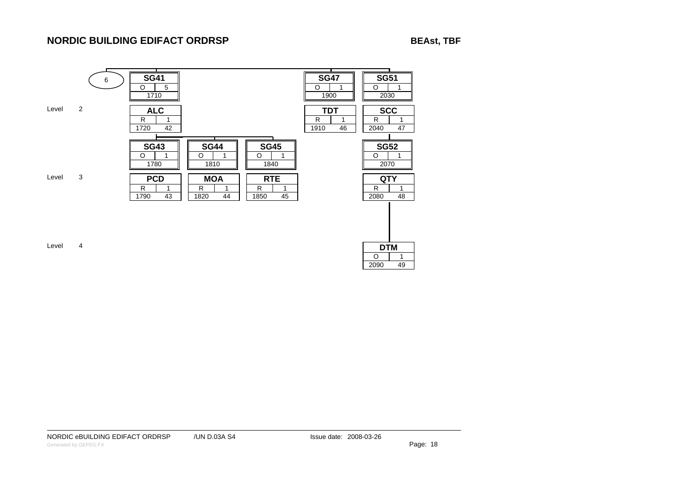#### **BEAst, TBF**

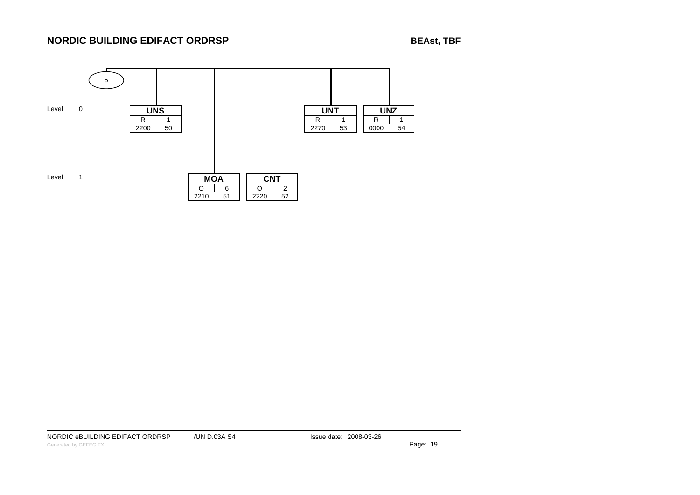**BEAst, TBF**

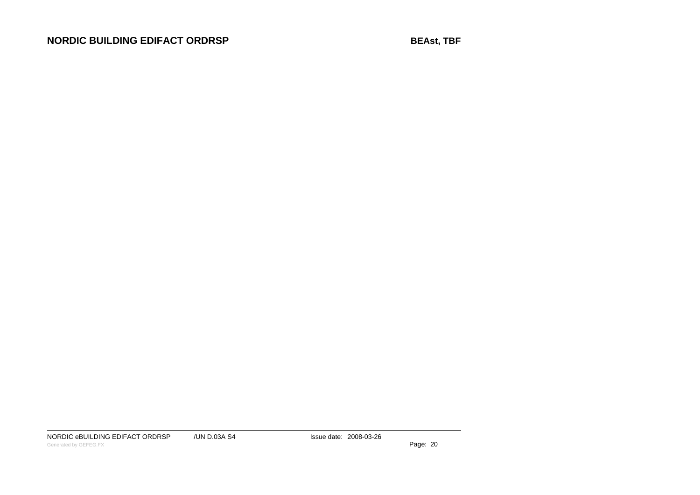**BEAst, TBF**

NORDIC eBUILDING EDIFACT ORDRSP / / UN D.03A S4

Generated by GEFEG.FX **Page: 20** 

Issue date: 2008-03-26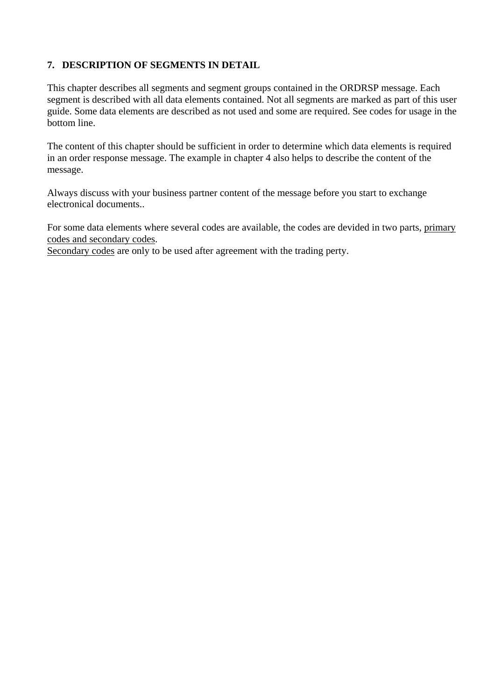#### <span id="page-20-1"></span><span id="page-20-0"></span>**7. DESCRIPTION OF SEGMENTS IN DETAIL**

This chapter describes all segments and segment groups contained in the ORDRSP message. Each segment is described with all data elements contained. Not all segments are marked as part of this user guide. Some data elements are described as not used and some are required. See codes for usage in the bottom line.

The content of this chapter should be sufficient in order to determine which data elements is required in an order response message. The example in chapter 4 also helps to describe the content of the message.

Always discuss with your business partner content of the message before you start to exchange electronical documents..

For some data elements where several codes are available, the codes are devided in two parts, primary codes and secondary codes.

Secondary codes are only to be used after agreement with the trading perty.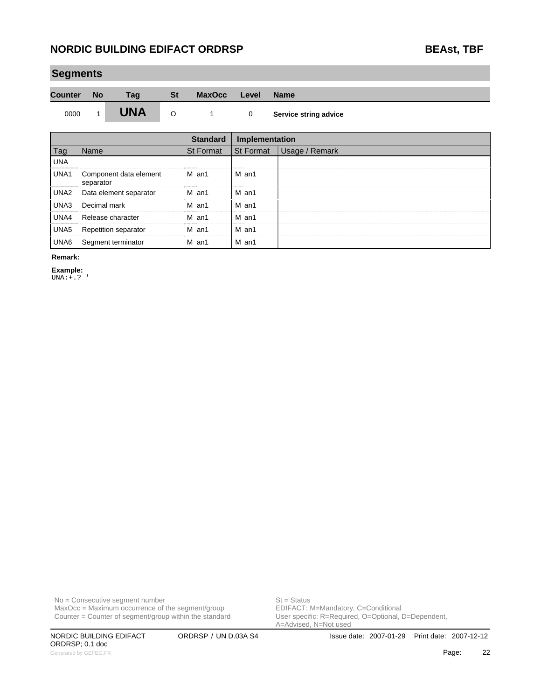#### **Segments**

| <b>Counter</b> | <b>No</b> | Tag        | St | MaxOcc Level | <b>Name</b>           |
|----------------|-----------|------------|----|--------------|-----------------------|
| 0000           |           | <b>UNA</b> |    |              | Service string advice |

|            |                                     | <b>Standard</b> | Implementation   |                |
|------------|-------------------------------------|-----------------|------------------|----------------|
| l Tag      | Name                                | St Format       | <b>St Format</b> | Usage / Remark |
| <b>UNA</b> |                                     |                 |                  |                |
| UNA1       | Component data element<br>separator | M an1           | M an1            |                |
| UNA2       | Data element separator              | M an1           | M an1            |                |
| UNA3       | Decimal mark                        | M an1           | M an1            |                |
| UNA4       | Release character                   | M an1           | M an1            |                |
| UNA5       | <b>Repetition separator</b>         | M an1           | M an1            |                |
| UNA6       | Segment terminator                  | M an1           | M an1            |                |

**Remark:**

**Example:**

UNA:+.? '

 $MaxOcc = Maximum$  occurrence of the segment/group Counter = Counter of segment/group within the standard

No = Consecutive segment number<br>
MaxOcc = Maximum occurrence of the segment/group<br>
EDIFACT: M=Mandatory, C=Conditional User specific: R=Required, O=Optional, D=Dependent,<br>A=Advised, N=Not used

ORDRSP; 0.1 doc Generated by GEFEG.FX **Page:** 22 and the control of the control of the control of the control of the control of the control of the control of the control of the control of the control of the control of the control of the c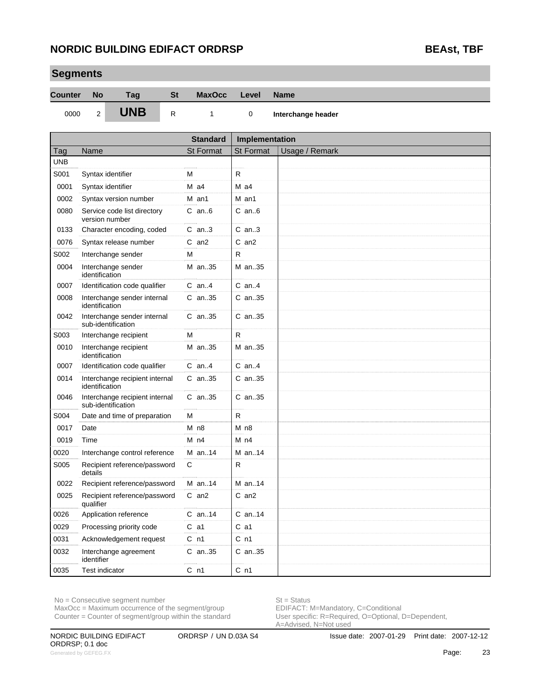| <b>Segments</b> |                |                                                      |           |                  |                 |                    |
|-----------------|----------------|------------------------------------------------------|-----------|------------------|-----------------|--------------------|
| <b>Counter</b>  | <b>No</b>      | Tag                                                  | <b>St</b> | <b>MaxOcc</b>    | Level           | <b>Name</b>        |
| 0000            | 2              | <b>UNB</b>                                           | R         | 1                | 0               | Interchange header |
|                 |                |                                                      |           | <b>Standard</b>  | Implementation  |                    |
| Tag             | Name           |                                                      |           | <b>St Format</b> | St Format       | Usage / Remark     |
| <b>UNB</b>      |                |                                                      |           |                  |                 |                    |
| S001            |                | Syntax identifier                                    |           | M                | R               |                    |
| 0001            |                | Syntax identifier                                    |           | $M$ a4           | $M$ a4          |                    |
| 0002            |                | Syntax version number                                |           | M an1            | M an1           |                    |
| 0080            |                | Service code list directory<br>version number        |           | $C$ an $6$       | $C$ an $6$      |                    |
| 0133            |                | Character encoding, coded                            |           | $C$ an3          | $C$ an3         |                    |
| 0076            |                | Syntax release number                                |           | $C$ an $2$       | $C$ an $2$      |                    |
| S002            |                | Interchange sender                                   |           | М                | R               |                    |
| 0004            | identification | Interchange sender                                   |           | M an35           | M an35          |                    |
| 0007            |                | Identification code qualifier                        |           | $C$ an4          | $C$ an4         |                    |
| 0008            | identification | Interchange sender internal                          |           | $C$ an. 35       | C an35          |                    |
| 0042            |                | Interchange sender internal<br>sub-identification    |           | $C$ an. 35       | C an35          |                    |
| S003            |                | Interchange recipient                                |           | M                | $\mathsf{R}$    |                    |
| 0010            | identification | Interchange recipient                                |           | M an35           | M an35          |                    |
| 0007            |                | Identification code qualifier                        |           | $C$ an $4$       | $C$ an4         |                    |
| 0014            | identification | Interchange recipient internal                       |           | $C$ an. 35       | C an35          |                    |
| 0046            |                | Interchange recipient internal<br>sub-identification |           | $C$ an. 35       | C an35          |                    |
| S004            |                | Date and time of preparation                         |           | M                | R               |                    |
| 0017            | Date           |                                                      |           | $M$ n $8$        | M <sub>n8</sub> |                    |
| 0019            | Time           |                                                      |           | $M$ n4           | M <sub>n4</sub> |                    |
| 0020            |                | Interchange control reference                        |           | M an14           | M an14          |                    |
| S005            | details        | Recipient reference/password                         |           | С                | R.              |                    |
| 0022            |                | Recipient reference/password                         |           | M an14           | M an14          |                    |
| 0025            | qualifier      | Recipient reference/password                         |           | C an2            | C an2           |                    |
| 0026            |                | Application reference                                |           | C an14           | C an14          |                    |
| 0029            |                | Processing priority code                             |           | $C$ a1           | $C$ a1          |                    |
| 0031            |                | Acknowledgement request                              |           | C <sub>n1</sub>  | C <sub>n1</sub> |                    |
| 0032            | identifier     | Interchange agreement                                |           | C an35           | C an35          |                    |
| 0035            | Test indicator |                                                      |           | $C$ $n1$         | C <sub>n1</sub> |                    |

 $MaxOcc = Maximum occurrence of the segment/group$ 

Counter = Counter of segment/group within the standard

ORDRSP; 0.1 doc

No = Consecutive segment number<br>
MaxOcc = Maximum occurrence of the segment/group<br>
EDIFACT: M=Mandatory, C=Conditional User specific: R=Required, O=Optional, D=Dependent,<br>A=Advised, N=Not used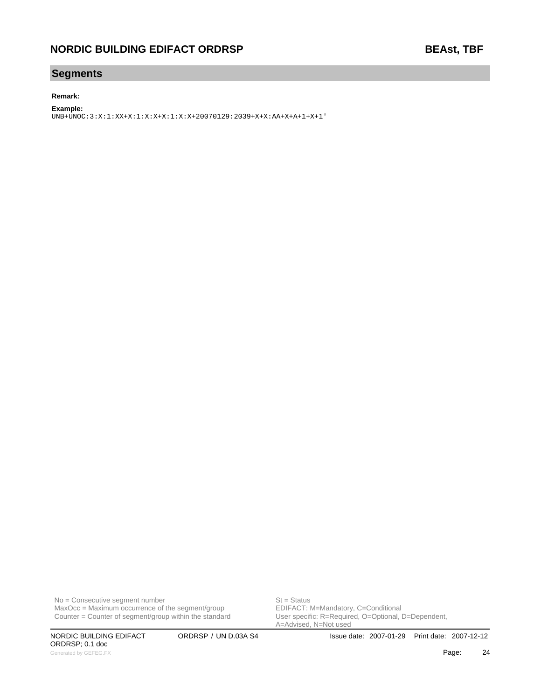#### **Segments**

#### **Remark:**

#### **Example:**

UNB+UNOC:3:X:1:XX+X:1:X:X+X:1:X:X+20070129:2039+X+X:AA+X+A+1+X+1'

No = Consecutive segment number<br>
MaxOcc = Maximum occurrence of the segment/group<br>
EDIFACT: M=Mandatory, C=Conditional  $MaxOcc = Maximum$  occurrence of the segment/group Counter = Counter of segment/group within the standard

ORDRSP; 0.1 doc Generated by GEFEG.FX **Page:** 24

User specific: R=Required, O=Optional, D=Dependent,<br>A=Advised, N=Not used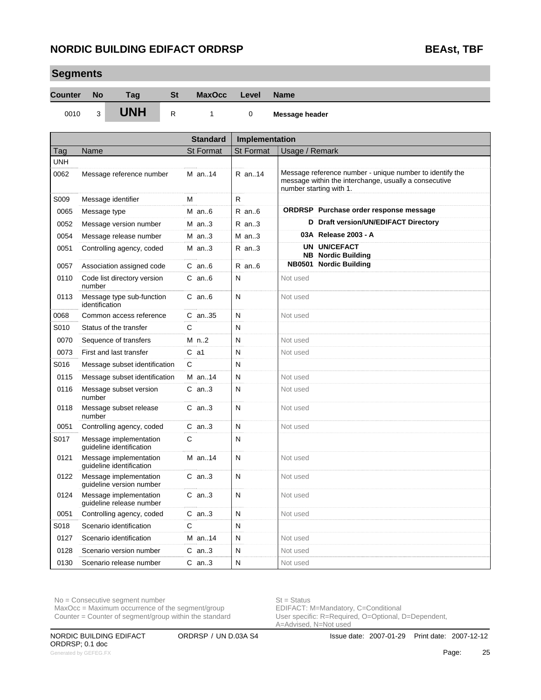**Segments**

| <b>Counter</b> | No             | <b>Tag</b>                                         | <b>St</b> | <b>MaxOcc</b>    | Level          | <b>Name</b>                                                                                                                                  |  |
|----------------|----------------|----------------------------------------------------|-----------|------------------|----------------|----------------------------------------------------------------------------------------------------------------------------------------------|--|
| 0010           | 3              | <b>UNH</b>                                         | R.        | 1                | 0              | Message header                                                                                                                               |  |
|                |                |                                                    |           | <b>Standard</b>  | Implementation |                                                                                                                                              |  |
| Tag            | Name           |                                                    |           | <b>St Format</b> | St Format      | Usage / Remark                                                                                                                               |  |
| <b>UNH</b>     |                |                                                    |           |                  |                |                                                                                                                                              |  |
| 0062           |                | Message reference number                           |           | M an14           | R an14         | Message reference number - unique number to identify the<br>message within the interchange, usually a consecutive<br>number starting with 1. |  |
| S009           |                | Message identifier                                 |           | M                | R              |                                                                                                                                              |  |
| 0065           | Message type   |                                                    |           | $M$ an6          | $R$ an $6$     | ORDRSP Purchase order response message                                                                                                       |  |
| 0052           |                | Message version number                             |           | $M$ an3          | $R$ an3        | D Draft version/UN/EDIFACT Directory                                                                                                         |  |
| 0054           |                | Message release number                             |           | $M$ an3          | $M$ an3        | 03A Release 2003 - A                                                                                                                         |  |
| 0051           |                | Controlling agency, coded                          |           | $M$ an3          | $R$ an3        | UN UN/CEFACT<br><b>NB</b> Nordic Building                                                                                                    |  |
| 0057           |                | Association assigned code                          |           | $C$ an $6$       | $R$ an $6$     | NB0501 Nordic Building                                                                                                                       |  |
| 0110           | number         | Code list directory version                        |           | $C$ an $6$       | N              | Not used                                                                                                                                     |  |
| 0113           | identification | Message type sub-function                          |           | $C$ an $6$       | N              | Not used                                                                                                                                     |  |
| 0068           |                | Common access reference                            |           | $C$ an. 35       | N              | Not used                                                                                                                                     |  |
| S010           |                | Status of the transfer                             |           | C                | N              |                                                                                                                                              |  |
| 0070           |                | Sequence of transfers                              |           | $M$ n2           | N              | Not used                                                                                                                                     |  |
| 0073           |                | First and last transfer                            |           | $C$ a1           | N              | Not used                                                                                                                                     |  |
| S016           |                | Message subset identification                      |           | C                | N              |                                                                                                                                              |  |
| 0115           |                | Message subset identification                      |           | M an14           | N              | Not used                                                                                                                                     |  |
| 0116           | number         | Message subset version                             |           | $C$ an3          | N              | Not used                                                                                                                                     |  |
| 0118           | number         | Message subset release                             |           | $C$ an3          | N              | Not used                                                                                                                                     |  |
| 0051           |                | Controlling agency, coded                          |           | $C$ an3          | N              | Not used                                                                                                                                     |  |
| S017           |                | Message implementation<br>quideline identification |           | C                | N              |                                                                                                                                              |  |
| 0121           |                | Message implementation<br>quideline identification |           | M an14           | N              | Not used                                                                                                                                     |  |
| 0122           |                | Message implementation<br>guideline version number |           | $C$ an3          | ${\sf N}$      | Not used                                                                                                                                     |  |
| 0124           |                | Message implementation<br>guideline release number |           | $C$ an3          | ${\sf N}$      | Not used                                                                                                                                     |  |
| 0051           |                | Controlling agency, coded                          |           | $C$ an3          | ${\sf N}$      | Not used                                                                                                                                     |  |
| S018           |                | Scenario identification                            |           | $\mathsf{C}$     | N              |                                                                                                                                              |  |
| 0127           |                | Scenario identification                            |           | M an14           | N              | Not used                                                                                                                                     |  |
| 0128           |                | Scenario version number                            |           | $C$ an3          | N              | Not used                                                                                                                                     |  |
| 0130           |                | Scenario release number                            |           | $C$ an3          | ${\sf N}$      | Not used                                                                                                                                     |  |

No = Consecutive segment number<br>
MaxOcc = Maximum occurrence of the segment/group<br>
EDIFACT: M=Mandatory, C=Conditional  $MaxOcc = Maximum occurrence of the segment/group$ 

Counter = Counter of segment/group within the standard

User specific: R=Required, O=Optional, D=Dependent,<br>A=Advised, N=Not used

ORDRSP; 0.1 doc Generated by GEFEG.FX **25**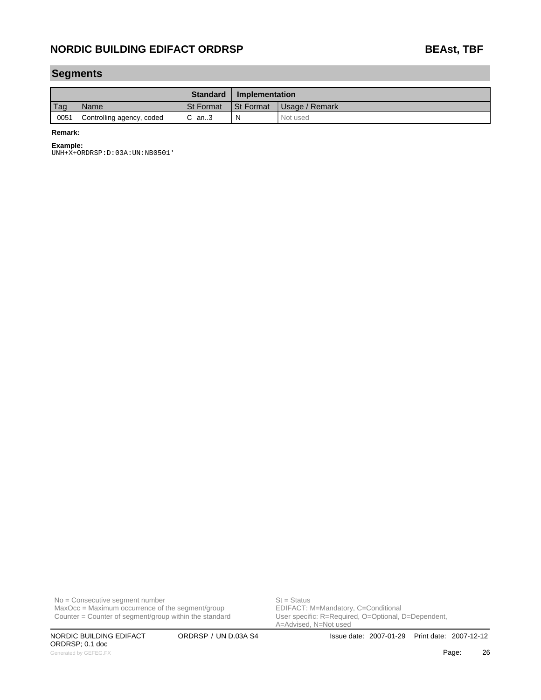#### **Segments**

|      |                           | <b>Standard</b>  | Implementation |                |  |
|------|---------------------------|------------------|----------------|----------------|--|
| Tag  | Name                      | <b>St Format</b> | St Format      | Usage / Remark |  |
| 0051 | Controlling agency, coded | $C$ an3          | N              | Not used       |  |

#### **Remark:**

#### **Example:**

UNH+X+ORDRSP:D:03A:UN:NB0501'

No = Consecutive segment number<br>
MaxOcc = Maximum occurrence of the segment/group<br>
EDIFACT: M=Mandatory, C=Conditional  $MaxOcc = Maximum$  occurrence of the segment/group Counter = Counter of segment/group within the standard

ORDRSP; 0.1 doc Generated by GEFEG.FX **Page:** 26

User specific: R=Required, O=Optional, D=Dependent,<br>A=Advised, N=Not used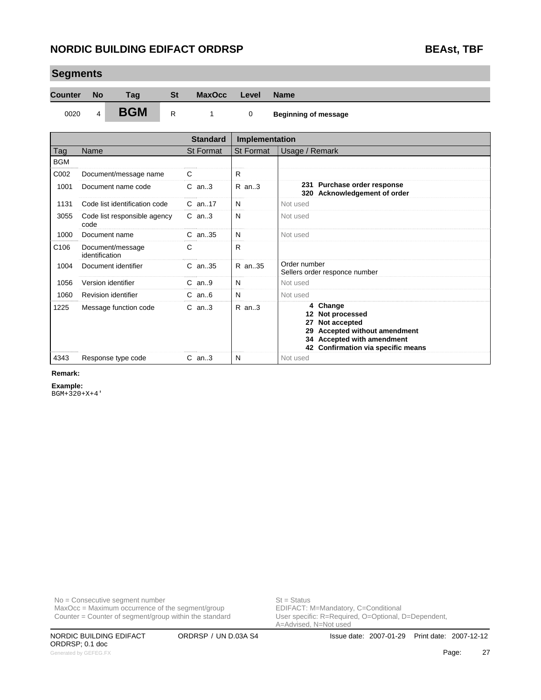| oegilienis     |                |                               |              |                  |                  |                                                                                                                                                                      |
|----------------|----------------|-------------------------------|--------------|------------------|------------------|----------------------------------------------------------------------------------------------------------------------------------------------------------------------|
| <b>Counter</b> | <b>No</b>      | Tag                           | <b>St</b>    | <b>MaxOcc</b>    | Level            | <b>Name</b>                                                                                                                                                          |
| 0020           | $\overline{4}$ | <b>BGM</b>                    | $\mathsf{R}$ | 1                | $\mathbf 0$      | <b>Beginning of message</b>                                                                                                                                          |
|                |                |                               |              | <b>Standard</b>  | Implementation   |                                                                                                                                                                      |
| Tag            | Name           |                               |              | <b>St Format</b> | <b>St Format</b> | Usage / Remark                                                                                                                                                       |
| <b>BGM</b>     |                |                               |              |                  |                  |                                                                                                                                                                      |
| C002           |                | Document/message name         |              | C                | R                |                                                                                                                                                                      |
| 1001           |                | Document name code            |              | $C$ an. $3$      | $R$ an. $3$      | 231 Purchase order response<br>320 Acknowledgement of order                                                                                                          |
| 1131           |                | Code list identification code |              | $C$ an. 17       | N                | Not used                                                                                                                                                             |
| 3055           | code           | Code list responsible agency  |              | $C$ an3          | N                | Not used                                                                                                                                                             |
| 1000           |                | Document name                 |              | $C$ an. 35       | N                | Not used                                                                                                                                                             |
| C106           | identification | Document/message              |              | C                | R                |                                                                                                                                                                      |
| 1004           |                | Document identifier           |              | C an35           | R an35           | Order number<br>Sellers order responce number                                                                                                                        |
| 1056           |                | Version identifier            |              | $C$ an9          | N                | Not used                                                                                                                                                             |
| 1060           |                | <b>Revision identifier</b>    |              | $C$ an $6$       | N                | Not used                                                                                                                                                             |
| 1225           |                | Message function code         |              | $C$ an3          | $R$ an3          | 4 Change<br>Not processed<br>12 <sup>°</sup><br>Not accepted<br>27<br>Accepted without amendment<br>34 Accepted with amendment<br>42 Confirmation via specific means |
| 4343           |                | Response type code            |              | $C$ an3          | N                | Not used                                                                                                                                                             |

## **Segments**

**Remark:**

#### **Example:**

BGM+320+X+4'

 $MaxOcc = Maximum$  occurrence of the segment/group Counter = Counter of segment/group within the standard

No = Consecutive segment number<br>
MaxOcc = Maximum occurrence of the segment/group<br>
EDIFACT: M=Mandatory, C=Conditional

ORDRSP; 0.1 doc Generated by GEFEG.FX **Page:** 27

User specific: R=Required, O=Optional, D=Dependent,<br>A=Advised, N=Not used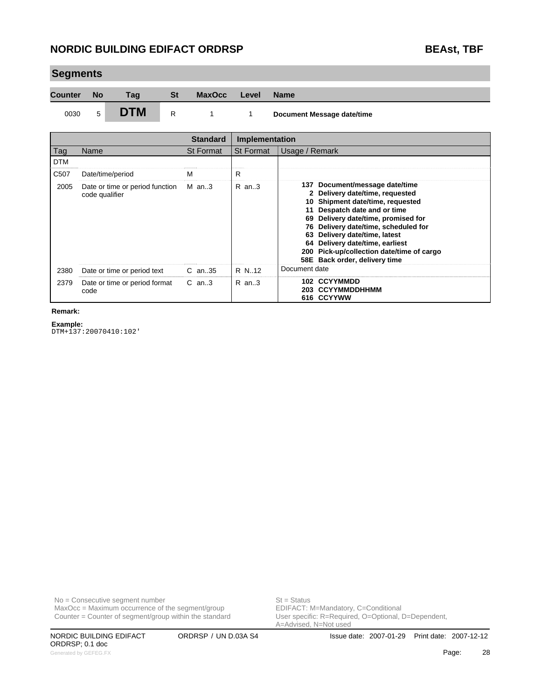| <b>Segments</b> |                                                                       |                               |           |                  |                  |                                                                                                                                                                                                                                                                                                                                                                                                |
|-----------------|-----------------------------------------------------------------------|-------------------------------|-----------|------------------|------------------|------------------------------------------------------------------------------------------------------------------------------------------------------------------------------------------------------------------------------------------------------------------------------------------------------------------------------------------------------------------------------------------------|
| <b>Counter</b>  | <b>No</b>                                                             | Tag                           | <b>St</b> | <b>MaxOcc</b>    | Level            | <b>Name</b>                                                                                                                                                                                                                                                                                                                                                                                    |
| 0030            | 5                                                                     | <b>DTM</b>                    | R         | 1                | $\mathbf{1}$     | Document Message date/time                                                                                                                                                                                                                                                                                                                                                                     |
|                 |                                                                       |                               |           | <b>Standard</b>  | Implementation   |                                                                                                                                                                                                                                                                                                                                                                                                |
| <b>Tag</b>      | Name                                                                  |                               |           | <b>St Format</b> | <b>St Format</b> | Usage / Remark                                                                                                                                                                                                                                                                                                                                                                                 |
| <b>DTM</b>      |                                                                       |                               |           |                  |                  |                                                                                                                                                                                                                                                                                                                                                                                                |
| C507            |                                                                       |                               |           | М                | $\mathsf{R}$     |                                                                                                                                                                                                                                                                                                                                                                                                |
| 2005            | Date/time/period<br>Date or time or period function<br>code qualifier |                               |           | $M$ an3          | $R$ an. $3$      | 137 Document/message date/time<br>2 Delivery date/time, requested<br>Shipment date/time, requested<br>10<br>Despatch date and or time<br>11<br>Delivery date/time, promised for<br>69<br>Delivery date/time, scheduled for<br>76<br>Delivery date/time, latest<br>63<br>Delivery date/time, earliest<br>64<br>Pick-up/collection date/time of cargo<br>200<br>58E<br>Back order, delivery time |
| 2380            |                                                                       | Date or time or period text   |           | $C$ an. 35       | R N.12           | Document date                                                                                                                                                                                                                                                                                                                                                                                  |
| 2379            | code                                                                  | Date or time or period format |           | $C$ an3          | $R$ an3          | 102 CCYYMMDD<br><b>CCYYMMDDHHMM</b><br>203<br>616 CCYYWW                                                                                                                                                                                                                                                                                                                                       |

#### **Remark:**

**Example:**

DTM+137:20070410:102'

No = Consecutive segment number<br>
MaxOcc = Maximum occurrence of the segment/group<br>
EDIFACT: M=Mandatory, C=Conditional  $MaxOcc = Maximum$  occurrence of the segment/group Counter = Counter of segment/group within the standard

User specific: R=Required, O=Optional, D=Dependent,<br>A=Advised, N=Not used

ORDRSP; 0.1 doc Generated by GEFEG.FX **28**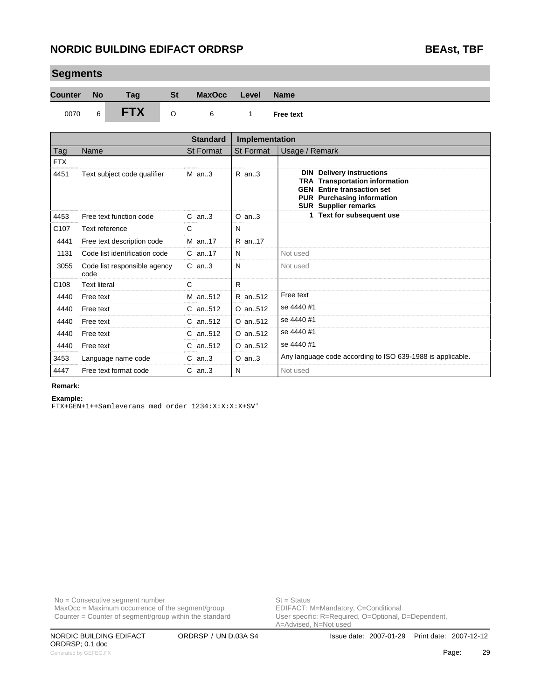| <b>Counter</b>   | <b>No</b>    | Tag                           | <b>St</b> | <b>MaxOcc</b>    | Level                 | <b>Name</b>                                                                                                                                                                                     |
|------------------|--------------|-------------------------------|-----------|------------------|-----------------------|-------------------------------------------------------------------------------------------------------------------------------------------------------------------------------------------------|
| 0070             | 6            | <b>FTX</b>                    | $\circ$   | 6                | 1                     | <b>Free text</b>                                                                                                                                                                                |
|                  |              |                               |           | <b>Standard</b>  | <b>Implementation</b> |                                                                                                                                                                                                 |
| Tag              | Name         |                               |           | <b>St Format</b> | <b>St Format</b>      | Usage / Remark                                                                                                                                                                                  |
| <b>FTX</b>       |              |                               |           |                  |                       |                                                                                                                                                                                                 |
| 4451             |              | Text subject code qualifier   |           | $M$ an3          | $R$ an3               | <b>Delivery instructions</b><br>DIN<br><b>TRA</b> Transportation information<br><b>Entire transaction set</b><br><b>GEN</b><br><b>PUR</b> Purchasing information<br><b>SUR</b> Supplier remarks |
| 4453             |              | Free text function code       |           | $C$ an3          | $O$ an3               | Text for subsequent use<br>1                                                                                                                                                                    |
| C <sub>107</sub> |              | Text reference                |           | C                | N                     |                                                                                                                                                                                                 |
| 4441             |              | Free text description code    |           | M an17           | R an17                |                                                                                                                                                                                                 |
| 1131             |              | Code list identification code |           | C an17           | N                     | Not used                                                                                                                                                                                        |
| 3055             | code         | Code list responsible agency  |           | $C$ an3          | N                     | Not used                                                                                                                                                                                        |
| C <sub>108</sub> | Text literal |                               |           | С                | R                     |                                                                                                                                                                                                 |

3453 Language name code C an..3 O an..3 Any language code according to ISO 639-1988 is applicable.

#### **Segments**

**Remark:**

| Example:                                          |  |  |
|---------------------------------------------------|--|--|
| FTX+GEN+1++Samleverans med order 1234:X:X:X:X+SV' |  |  |

4440 Free text M an..512 R an..512 Free text 4440 Free text C an..512 O an..512 se 4440 #1 4440 Free text C an..512 O an..512 Se 4440 #1 4440 Free text C an..512 O an..512 se 4440 #1 4440 Free text C an..512 O an..512 se 4440 #1

4447 Free text format code C an..3 N

No = Consecutive segment number<br>
MaxOcc = Maximum occurrence of the segment/group<br>
EDIFACT: M=Mandatory, C=Conditional Counter = Counter of segment/group within the standard

MaxOcc = Maximum occurrence of the segment/group <br>
Counter = Counter of segment/group within the standard User specific: R=Required, O=Optional, D=Dependent, A=Advised, N=Not used

ORDRSP; 0.1 doc Generated by GEFEG.FX **Page:** 29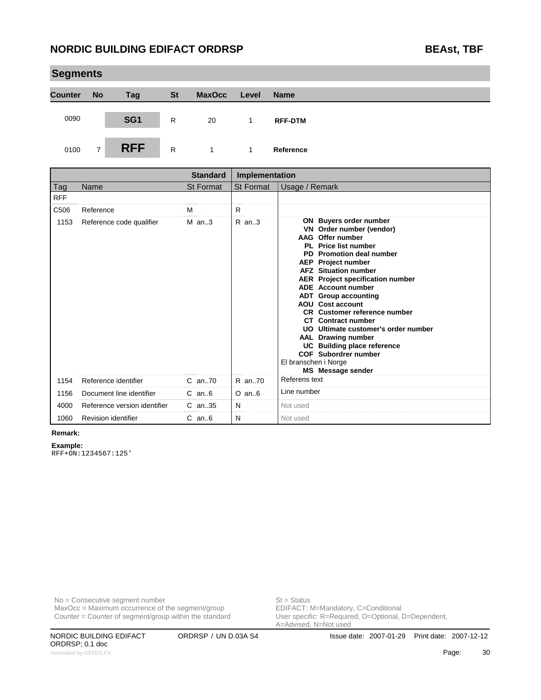|                | <b>Segments</b> |                 |           |               |       |                |  |  |  |  |
|----------------|-----------------|-----------------|-----------|---------------|-------|----------------|--|--|--|--|
| <b>Counter</b> | <b>No</b>       | Tag             | <b>St</b> | <b>MaxOcc</b> | Level | <b>Name</b>    |  |  |  |  |
| 0090           |                 | SG <sub>1</sub> | R         | 20            | 1     | <b>RFF-DTM</b> |  |  |  |  |
| 0100           | 7               | <b>RFF</b>      | R         |               | 1     | Reference      |  |  |  |  |

|            |                              | <b>Standard</b>  | Implementation |                                                                                                                                                                                                                                                                                                                                                                                                                                                                                                                                                                                           |
|------------|------------------------------|------------------|----------------|-------------------------------------------------------------------------------------------------------------------------------------------------------------------------------------------------------------------------------------------------------------------------------------------------------------------------------------------------------------------------------------------------------------------------------------------------------------------------------------------------------------------------------------------------------------------------------------------|
| Tag        | Name                         | <b>St Format</b> | St Format      | Usage / Remark                                                                                                                                                                                                                                                                                                                                                                                                                                                                                                                                                                            |
| <b>RFF</b> |                              |                  |                |                                                                                                                                                                                                                                                                                                                                                                                                                                                                                                                                                                                           |
| C506       | Reference                    | М                | R              |                                                                                                                                                                                                                                                                                                                                                                                                                                                                                                                                                                                           |
| 1153       | Reference code qualifier     | $M$ an3          | $R$ an. $3$    | <b>ON</b> Buyers order number<br>VN Order number (vendor)<br>AAG Offer number<br>PL Price list number<br><b>PD</b> Promotion deal number<br><b>AEP</b> Project number<br><b>AFZ</b> Situation number<br><b>AER</b> Project specification number<br><b>ADE</b> Account number<br><b>ADT</b> Group accounting<br>AOU Cost account<br><b>CR</b> Customer reference number<br><b>CT</b> Contract number<br>UO Ultimate customer's order number<br><b>AAL</b> Drawing number<br><b>UC</b> Building place reference<br><b>COF</b> Subordrer number<br>El branschen i Norge<br>MS Message sender |
| 1154       | Reference identifier         | C an70           | R an70         | Referens text                                                                                                                                                                                                                                                                                                                                                                                                                                                                                                                                                                             |
| 1156       | Document line identifier     | $C$ an $6$       | $O$ an $6$     | Line number                                                                                                                                                                                                                                                                                                                                                                                                                                                                                                                                                                               |
| 4000       | Reference version identifier | $C$ an. 35       | N              | Not used                                                                                                                                                                                                                                                                                                                                                                                                                                                                                                                                                                                  |
| 1060       | <b>Revision identifier</b>   | $C$ an $6$       | N              | Not used                                                                                                                                                                                                                                                                                                                                                                                                                                                                                                                                                                                  |

**Remark:**

#### **Example:**

RFF+ON:1234567:125'

No = Consecutive segment number<br>
MaxOcc = Maximum occurrence of the segment/group<br>
EDIFACT: M=Mandatory, C=Conditional  $MaxOcc = Maximum$  occurrence of the segment/group Counter = Counter of segment/group within the standard

User specific: R=Required, O=Optional, D=Dependent,<br>A=Advised, N=Not used

ORDRSP; 0.1 doc Generated by GEFEG.FX **Page:** 30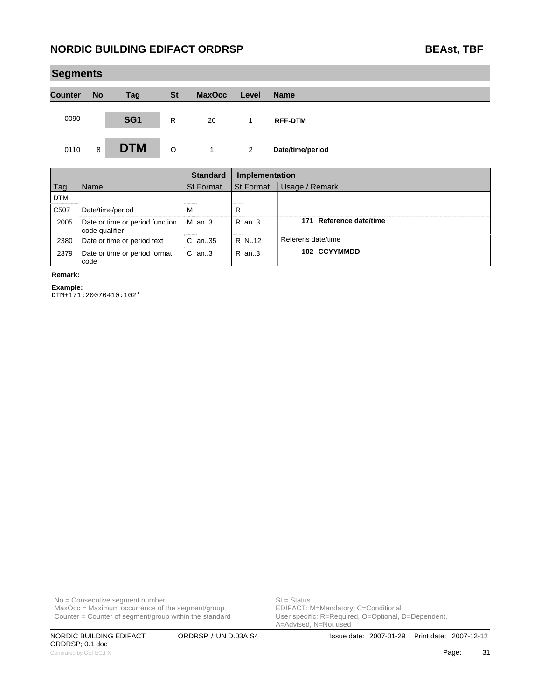## **Segments Counter No Tag St MaxOcc Level Name** 0090 **SG1** R 20 1 **RFF-DTM** 0110 8 **DTM** 0 1 2 Date/time/period

|                   |                                                         | Standard         | Implementation   |                         |
|-------------------|---------------------------------------------------------|------------------|------------------|-------------------------|
|                   | Name                                                    | <b>St Format</b> | <b>St Format</b> | Usage / Remark          |
| <b>DTM</b>        |                                                         |                  |                  |                         |
| C <sub>50</sub> 7 | Date/time/period                                        |                  |                  |                         |
| 2005              | Date or time or period function M an3<br>code qualifier |                  | $R$ an. 3        | 171 Reference date/time |
| 2380              | Date or time or period text                             | C an35           | R N.12           | Referens date/time      |
| 2379              | Date or time or period format C an3<br>code             |                  | $R$ an. 3        | 102 CCYYMMDD            |

#### **Remark:**

**Example:**

DTM+171:20070410:102'

 $MaxOcc = Maximum occurrence of the segment/group$ Counter = Counter of segment/group within the standard

No = Consecutive segment number<br>
MaxOcc = Maximum occurrence of the segment/group<br>
EDIFACT: M=Mandatory, C=Conditional User specific: R=Required, O=Optional, D=Dependent,<br>A=Advised, N=Not used

ORDRSP; 0.1 doc Generated by GEFEG.FX **Page:** 31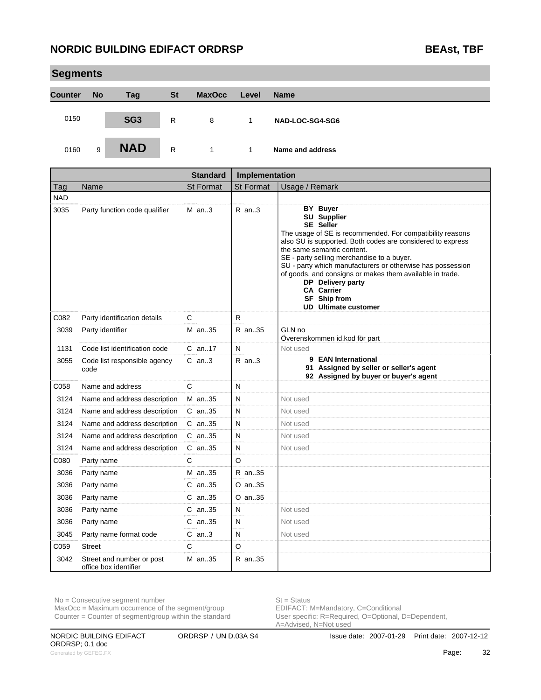|                | <b>Segments</b> |                 |           |               |       |                  |  |  |  |  |  |
|----------------|-----------------|-----------------|-----------|---------------|-------|------------------|--|--|--|--|--|
| <b>Counter</b> | <b>No</b>       | <b>Tag</b>      | <b>St</b> | <b>MaxOcc</b> | Level | <b>Name</b>      |  |  |  |  |  |
| 0150           |                 | SG <sub>3</sub> | R         | 8             | 1     | NAD-LOC-SG4-SG6  |  |  |  |  |  |
| 0160           | 9               | <b>NAD</b>      | R         | 1             | 1     | Name and address |  |  |  |  |  |

|            |                                                    | <b>Standard</b>  | Implementation |                                                                                                                                                                                                                                                                                                                                                                                                                                                                                     |
|------------|----------------------------------------------------|------------------|----------------|-------------------------------------------------------------------------------------------------------------------------------------------------------------------------------------------------------------------------------------------------------------------------------------------------------------------------------------------------------------------------------------------------------------------------------------------------------------------------------------|
| Tag        | Name                                               | <b>St Format</b> | St Format      | Usage / Remark                                                                                                                                                                                                                                                                                                                                                                                                                                                                      |
| <b>NAD</b> |                                                    |                  |                |                                                                                                                                                                                                                                                                                                                                                                                                                                                                                     |
| 3035       | Party function code qualifier                      | $M$ an3          | $R$ an3        | <b>BY Buyer</b><br><b>SU Supplier</b><br><b>SE Seller</b><br>The usage of SE is recommended. For compatibility reasons<br>also SU is supported. Both codes are considered to express<br>the same semantic content.<br>SE - party selling merchandise to a buyer.<br>SU - party which manufacturers or otherwise has possession<br>of goods, and consigns or makes them available in trade.<br>DP Delivery party<br><b>CA Carrier</b><br>SF Ship from<br><b>UD</b> Ultimate customer |
| C082       | Party identification details                       | C                | ${\sf R}$      |                                                                                                                                                                                                                                                                                                                                                                                                                                                                                     |
| 3039       | Party identifier                                   | M an35           | R an35         | GLN no<br>Överenskommen id.kod för part                                                                                                                                                                                                                                                                                                                                                                                                                                             |
| 1131       | Code list identification code                      | $C$ an. 17       | N              | Not used                                                                                                                                                                                                                                                                                                                                                                                                                                                                            |
| 3055       | Code list responsible agency<br>code               | $C$ an3          | $R$ an3        | 9 EAN International<br>91 Assigned by seller or seller's agent<br>92 Assigned by buyer or buyer's agent                                                                                                                                                                                                                                                                                                                                                                             |
| C058       | Name and address                                   | $\mathsf{C}$     | N              |                                                                                                                                                                                                                                                                                                                                                                                                                                                                                     |
| 3124       | Name and address description                       | M an.35          | N              | Not used                                                                                                                                                                                                                                                                                                                                                                                                                                                                            |
| 3124       | Name and address description                       | $C$ an. 35       | N              | Not used                                                                                                                                                                                                                                                                                                                                                                                                                                                                            |
| 3124       | Name and address description                       | C an35           | N              | Not used                                                                                                                                                                                                                                                                                                                                                                                                                                                                            |
| 3124       | Name and address description                       | C an35           | N              | Not used                                                                                                                                                                                                                                                                                                                                                                                                                                                                            |
| 3124       | Name and address description                       | C an35           | N              | Not used                                                                                                                                                                                                                                                                                                                                                                                                                                                                            |
| C080       | Party name                                         | $\mathsf{C}$     | O              |                                                                                                                                                                                                                                                                                                                                                                                                                                                                                     |
| 3036       | Party name                                         | M an35           | R an35         |                                                                                                                                                                                                                                                                                                                                                                                                                                                                                     |
| 3036       | Party name                                         | C an35           | $O$ an. $.35$  |                                                                                                                                                                                                                                                                                                                                                                                                                                                                                     |
| 3036       | Party name                                         | $C$ an. 35       | $O$ an. $.35$  |                                                                                                                                                                                                                                                                                                                                                                                                                                                                                     |
| 3036       | Party name                                         | C an35           | N              | Not used                                                                                                                                                                                                                                                                                                                                                                                                                                                                            |
| 3036       | Party name                                         | C an35           | N              | Not used                                                                                                                                                                                                                                                                                                                                                                                                                                                                            |
| 3045       | Party name format code                             | $C$ an3          | N              | Not used                                                                                                                                                                                                                                                                                                                                                                                                                                                                            |
| C059       | <b>Street</b>                                      | C                | O              |                                                                                                                                                                                                                                                                                                                                                                                                                                                                                     |
| 3042       | Street and number or post<br>office box identifier | M an35           | R an35         |                                                                                                                                                                                                                                                                                                                                                                                                                                                                                     |

No = Consecutive segment number<br>
MaxOcc = Maximum occurrence of the segment/group<br>
EDIFACT: M=Mandatory, C=Conditional  $MaxOcc = Maximum occurrence of the segment/group$ 

Counter = Counter of segment/group within the standard

User specific: R=Required, O=Optional, D=Dependent,<br>A=Advised, N=Not used

ORDRSP; 0.1 doc Generated by GEFEG.FX **32 Page:** 32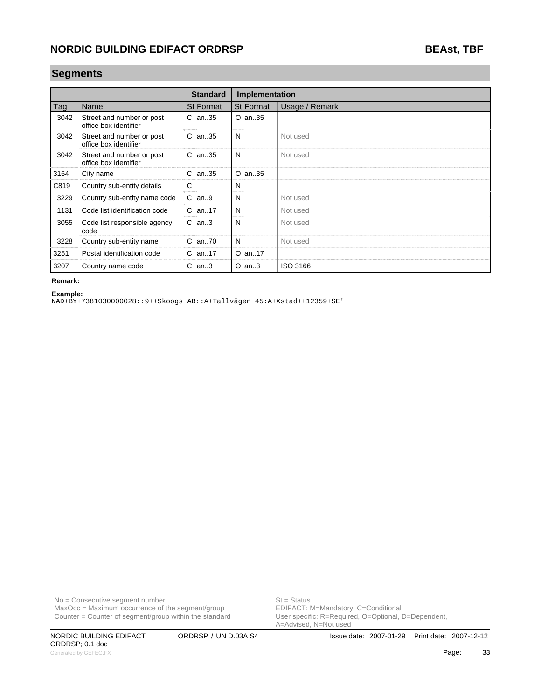#### **Segments**

|      |                                                    | <b>Standard</b>  | <b>Implementation</b> |                |
|------|----------------------------------------------------|------------------|-----------------------|----------------|
| Tag  | Name                                               | <b>St Format</b> | <b>St Format</b>      | Usage / Remark |
| 3042 | Street and number or post<br>office box identifier | $C$ an. 35       | O an35                |                |
| 3042 | Street and number or post<br>office box identifier | $C$ an $.35$     | N                     | Not used       |
| 3042 | Street and number or post<br>office box identifier | $C$ an. 35       | N                     | Not used       |
| 3164 | City name                                          | $C$ an. 35       | $O$ an. 35            |                |
| C819 | Country sub-entity details                         | C                | N                     |                |
| 3229 | Country sub-entity name code                       | $C$ an9          | N                     | Not used       |
| 1131 | Code list identification code                      | $C$ an. 17       | N                     | Not used       |
| 3055 | Code list responsible agency<br>code               | $C$ an3          | N                     | Not used       |
| 3228 | Country sub-entity name                            | C an70           | N                     | Not used       |
| 3251 | Postal identification code                         | $C$ an. 17       | O an17                |                |
| 3207 | Country name code                                  | $C$ an3          | $O$ an3               | ISO 3166       |

#### **Remark:**

**Example:**

NAD+BY+7381030000028::9++Skoogs AB::A+Tallvägen 45:A+Xstad++12359+SE'

No = Consecutive segment number<br>
MaxOcc = Maximum occurrence of the segment/group<br>
EDIFACT: M=Mandatory, C=Conditional  $MaxOcc = Maximum$  occurrence of the segment/group Counter = Counter of segment/group within the standard

User specific: R=Required, O=Optional, D=Dependent,<br>A=Advised, N=Not used

ORDRSP; 0.1 doc Generated by GEFEG.FX **23 Page:** 23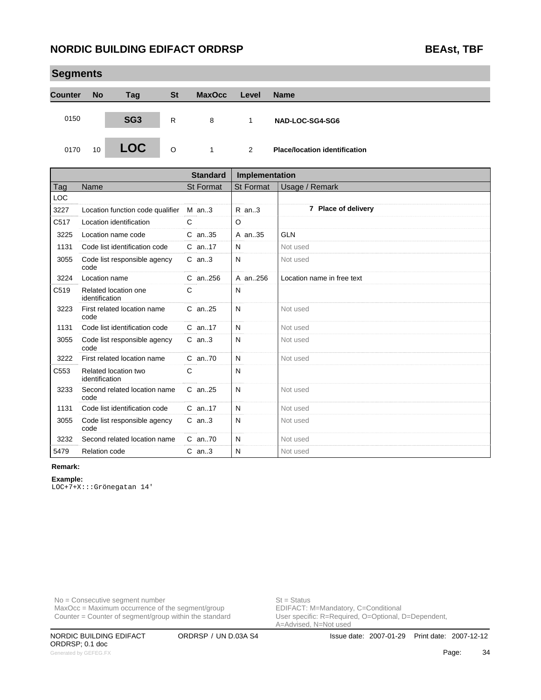|                | <b>Segments</b> |                 |           |               |       |                                      |  |  |  |  |  |
|----------------|-----------------|-----------------|-----------|---------------|-------|--------------------------------------|--|--|--|--|--|
| <b>Counter</b> | <b>No</b>       | <b>Tag</b>      | <b>St</b> | <b>MaxOcc</b> | Level | <b>Name</b>                          |  |  |  |  |  |
| 0150           |                 | SG <sub>3</sub> | R         | 8             | 1     | <b>NAD-LOC-SG4-SG6</b>               |  |  |  |  |  |
| 0170           | 10 <sup>1</sup> | <b>LOC</b>      | O         | 1             | 2     | <b>Place/location identification</b> |  |  |  |  |  |

|            |                                        | <b>Standard</b>  | Implementation   |                            |
|------------|----------------------------------------|------------------|------------------|----------------------------|
| Tag        | Name                                   | <b>St Format</b> | <b>St Format</b> | Usage / Remark             |
| <b>LOC</b> |                                        |                  |                  |                            |
| 3227       | Location function code qualifier       | $M$ an3          | $R$ an3          | 7 Place of delivery        |
| C517       | Location identification                | C                | $\circ$          |                            |
| 3225       | Location name code                     | C an. 35         | A an. 35         | <b>GLN</b>                 |
| 1131       | Code list identification code          | C an17           | N                | Not used                   |
| 3055       | Code list responsible agency<br>code   | $C$ an3          | N                | Not used                   |
| 3224       | Location name                          | $C$ an. 256      | A an.,256        | Location name in free text |
| C519       | Related location one<br>identification | C                | N                |                            |
| 3223       | First related location name<br>code    | $C$ an. 25       | N                | Not used                   |
| 1131       | Code list identification code          | $C$ an. 17       | N                | Not used                   |
| 3055       | Code list responsible agency<br>code   | $C$ an3          | N                | Not used                   |
| 3222       | First related location name            | $C$ an. $70$     | N                | Not used                   |
| C553       | Related location two<br>identification | C                | N                |                            |
| 3233       | Second related location name<br>code   | $C$ an. 25       | N                | Not used                   |
| 1131       | Code list identification code          | $C$ an. 17       | N                | Not used                   |
| 3055       | Code list responsible agency<br>code   | $C$ an3          | N                | Not used                   |
| 3232       | Second related location name           | $C$ an70         | N                | Not used                   |
| 5479       | <b>Relation code</b>                   | $C$ an3          | N                | Not used                   |

## **Remark:**

**Example:** LOC+7+X:::Grönegatan 14'

No = Consecutive segment number<br>
MaxOcc = Maximum occurrence of the segment/group<br>
EDIFACT: M=Mandatory, C=Conditional  $MaxOcc = Maximum$  occurrence of the segment/group Counter = Counter of segment/group within the standard

User specific: R=Required, O=Optional, D=Dependent,<br>A=Advised, N=Not used

ORDRSP; 0.1 doc Generated by GEFEG.FX **Page:** 34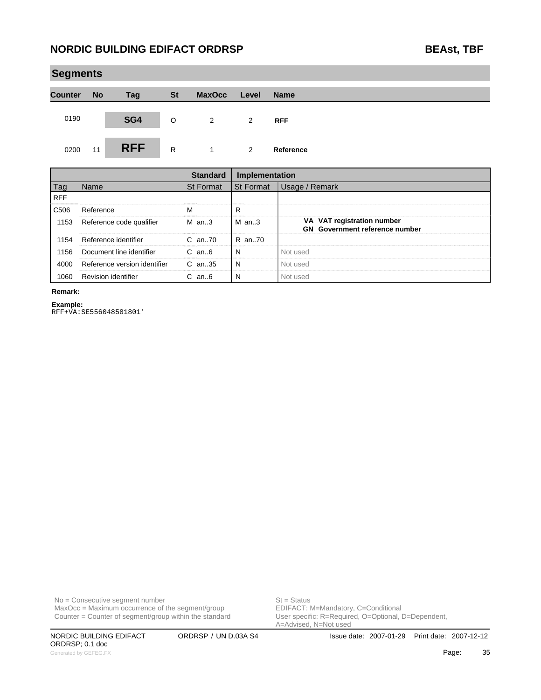| <b>Segments</b> |           |            |           |                |       |             |  |
|-----------------|-----------|------------|-----------|----------------|-------|-------------|--|
| <b>Counter</b>  | <b>No</b> | <b>Tag</b> | <b>St</b> | <b>MaxOcc</b>  | Level | <b>Name</b> |  |
| 0190            |           | SG4        | O         | 2              | 2     | <b>RFF</b>  |  |
| 0200            | 11        | <b>RFF</b> | R         | $\overline{1}$ | 2     | Reference   |  |

|            | <b>Standard</b>              |                  | <b>Implementation</b> |                                                                     |
|------------|------------------------------|------------------|-----------------------|---------------------------------------------------------------------|
| Tag        | <b>Name</b>                  | <b>St Format</b> | l St Format           | Usage / Remark                                                      |
| <b>RFF</b> |                              |                  |                       |                                                                     |
| C506       | Reference                    | м                | R                     |                                                                     |
| 1153       | Reference code qualifier     | $M$ an3          | $M$ an3               | VA VAT registration number<br><b>GN</b> Government reference number |
| 1154       | Reference identifier         | $C$ an. $70$     | R an70                |                                                                     |
| 1156       | Document line identifier     | $C$ an $6$       | N                     | Not used                                                            |
| 4000       | Reference version identifier | $C$ an. 35       | N                     | Not used                                                            |
| 1060       | Revision identifier          | $C$ an6          | N                     | Not used                                                            |

#### **Remark:**

**Segments**

**Example:** RFF+VA:SE556048581801'

 $MaxOcc = Maximum$  occurrence of the segment/group Counter = Counter of segment/group within the standard

No = Consecutive segment number<br>
MaxOcc = Maximum occurrence of the segment/group<br>
EDIFACT: M=Mandatory, C=Conditional User specific: R=Required, O=Optional, D=Dependent,<br>A=Advised, N=Not used

ORDRSP; 0.1 doc Generated by GEFEG.FX **Page:** 35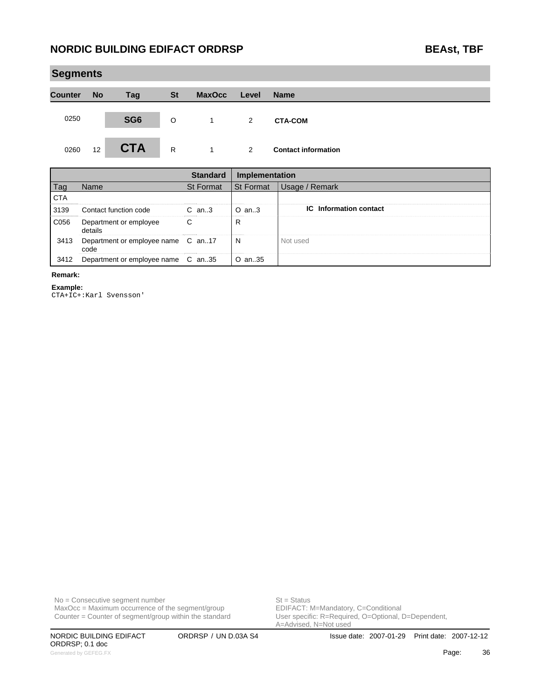| <b>Segments</b> |           |                 |           |               |       |                            |
|-----------------|-----------|-----------------|-----------|---------------|-------|----------------------------|
| <b>Counter</b>  | <b>No</b> | <b>Tag</b>      | <b>St</b> | <b>MaxOcc</b> | Level | <b>Name</b>                |
| 0250            |           | SG <sub>6</sub> | $\circ$   | 1             | 2     | <b>CTA-COM</b>             |
| 0260            | 12        | <b>CTA</b>      | R         | 1             | 2     | <b>Contact information</b> |

|                 | Standard                                   |                  | Implementation   |                               |
|-----------------|--------------------------------------------|------------------|------------------|-------------------------------|
| 1a <sub>c</sub> | Name                                       | <b>St Format</b> | <b>St Format</b> | Usage / Remark                |
| <b>CTA</b>      |                                            |                  |                  |                               |
| 3139            | Contact function code                      | $C$ an3          | $O$ an3          | <b>IC</b> Information contact |
| C056            | Department or employee<br>details          |                  |                  |                               |
| 3413            | Department or employee name C an17<br>code |                  | N                | Not used                      |
|                 | Department or employee name C an35         |                  | O an35           |                               |

#### **Remark:**

**Example:**

CTA+IC+:Karl Svensson'

 $MaxOcc = Maximum$  occurrence of the segment/group Counter = Counter of segment/group within the standard

No = Consecutive segment number<br>
MaxOcc = Maximum occurrence of the segment/group<br>
EDIFACT: M=Mandatory, C=Conditional User specific: R=Required, O=Optional, D=Dependent,<br>A=Advised, N=Not used

ORDRSP; 0.1 doc Generated by GEFEG.FX **Page:** 36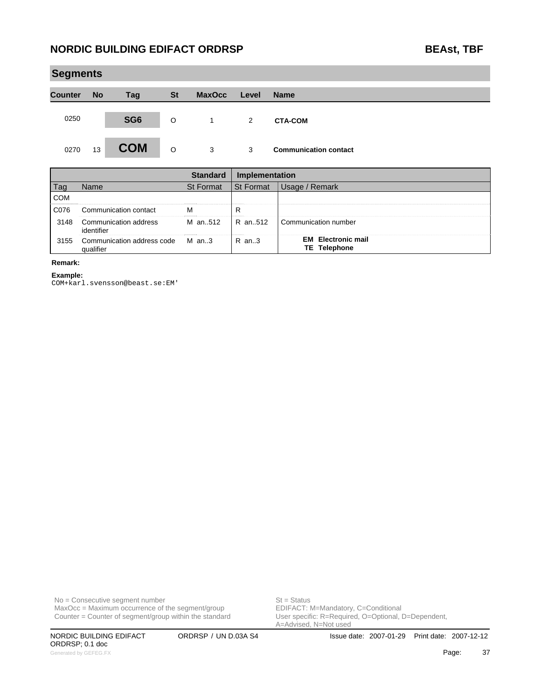|                | <b>Segments</b> |                 |           |               |                |                              |  |  |  |  |  |
|----------------|-----------------|-----------------|-----------|---------------|----------------|------------------------------|--|--|--|--|--|
| <b>Counter</b> | <b>No</b>       | <b>Tag</b>      | <b>St</b> | <b>MaxOcc</b> | Level          | <b>Name</b>                  |  |  |  |  |  |
| 0250           |                 | SG <sub>6</sub> | O         | 1             | $\overline{2}$ | <b>CTA-COM</b>               |  |  |  |  |  |
| 0270           | 13              | <b>COM</b>      | O         | 3             | 3              | <b>Communication contact</b> |  |  |  |  |  |

|      |                                               |                  | <b>Implementation</b> |                                                  |
|------|-----------------------------------------------|------------------|-----------------------|--------------------------------------------------|
|      | Jame                                          | <b>St Format</b> | . St Format           | Remark                                           |
| COM  |                                               |                  |                       |                                                  |
| C076 | Communication contact                         |                  |                       |                                                  |
| 3148 | Communication address<br>identifier           | M an512 R an512  |                       | Communication number                             |
| 3155 | Communication address code M an3<br>qualifier |                  | $R$ an3               | <b>EM</b> Electronic mail<br><b>TE Telephone</b> |

## **Remark:**

**Example:**

COM+karl.svensson@beast.se:EM'

No = Consecutive segment number<br>
MaxOcc = Maximum occurrence of the segment/group<br>
EDIFACT: M=Mandatory, C=Conditional  $MaxOcc = Maximum$  occurrence of the segment/group Counter = Counter of segment/group within the standard

User specific: R=Required, O=Optional, D=Dependent,<br>A=Advised, N=Not used

ORDRSP; 0.1 doc Generated by GEFEG.FX **Page:** 37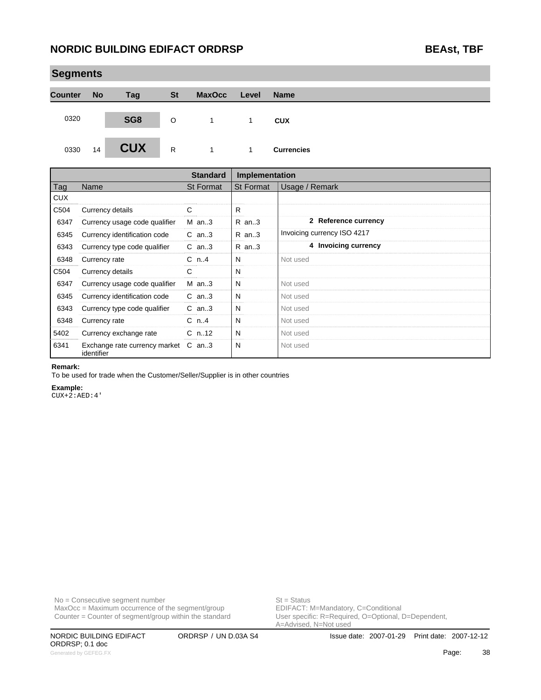| <b>Segments</b> |           |            |           |               |              |                   |  |  |  |
|-----------------|-----------|------------|-----------|---------------|--------------|-------------------|--|--|--|
| <b>Counter</b>  | <b>No</b> | <b>Tag</b> | <b>St</b> | <b>MaxOcc</b> | Level        | <b>Name</b>       |  |  |  |
| 0320            |           | SG8        | O         | $\mathbf{1}$  | $\mathbf{1}$ | <b>CUX</b>        |  |  |  |
| 0330            | 14        | <b>CUX</b> | R         | $\mathbf{1}$  | $\mathbf{1}$ | <b>Currencies</b> |  |  |  |

|            |                                                   | <b>Standard</b>  | <b>Implementation</b> |                             |
|------------|---------------------------------------------------|------------------|-----------------------|-----------------------------|
| Tag        | Name                                              | <b>St Format</b> | <b>St Format</b>      | Usage / Remark              |
| <b>CUX</b> |                                                   |                  |                       |                             |
| C504       | Currency details                                  | C                | R.                    |                             |
| 6347       | Currency usage code qualifier                     | $M$ an3          | $R$ an3               | 2 Reference currency        |
| 6345       | Currency identification code                      | $C$ an. $3$      | R an3                 | Invoicing currency ISO 4217 |
| 6343       | Currency type code qualifier                      | $C$ an. $3$      | $R$ an3               | 4 Invoicing currency        |
| 6348       | Currency rate                                     | $C_n$ .4         | <sub>N</sub>          | Not used                    |
| C504       | Currency details                                  | C                | N                     |                             |
| 6347       | Currency usage code qualifier                     | $M$ an3          | N                     | Not used                    |
| 6345       | Currency identification code                      | $C$ an3          | N                     | Not used                    |
| 6343       | Currency type code qualifier                      | $C$ an3          | N                     | Not used                    |
| 6348       | Currency rate                                     | $C_n$ .4         | N                     | Not used                    |
| 5402       | Currency exchange rate                            | $C_n$ .12        | N                     | Not used                    |
| 6341       | Exchange rate currency market C an3<br>identifier |                  | N                     | Not used                    |

#### **Remark:**

To be used for trade when the Customer/Seller/Supplier is in other countries

#### **Example:**

CUX+2:AED:4'

No = Consecutive segment number<br>
MaxOcc = Maximum occurrence of the segment/group<br>
EDIFACT: M=Mandatory, C=Conditional  $MaxOcc = Maximum occurrence of the segment/group$ Counter = Counter of segment/group within the standard

NORDIC BUILDING EDIFACT ORDRSP / UN D.03A S4 Issue date: 2007-01-29 Print date: 2007-12-12

User specific: R=Required, O=Optional, D=Dependent,<br>A=Advised, N=Not used

ORDRSP; 0.1 doc Generated by GEFEG.FX **Page:** 38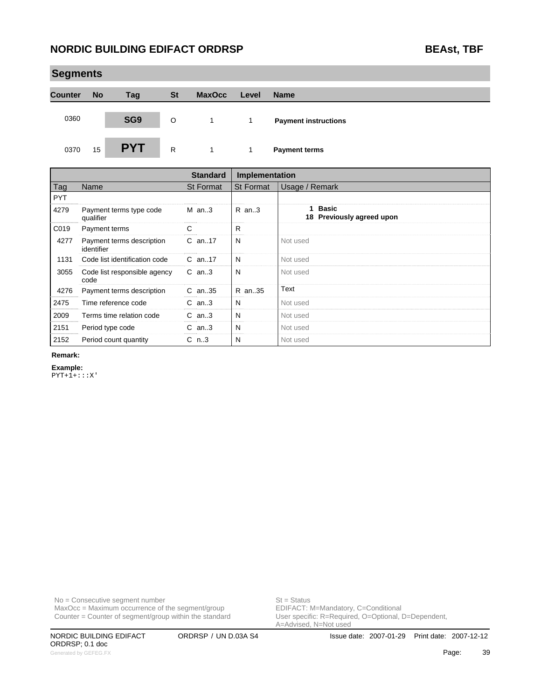|                | <b>Segments</b> |            |           |                |       |                             |  |  |  |  |  |  |
|----------------|-----------------|------------|-----------|----------------|-------|-----------------------------|--|--|--|--|--|--|
| <b>Counter</b> | <b>No</b>       | Tag        | <b>St</b> | <b>MaxOcc</b>  | Level | <b>Name</b>                 |  |  |  |  |  |  |
| 0360           |                 | SG9        | O         | $\overline{1}$ | 1     | <b>Payment instructions</b> |  |  |  |  |  |  |
| 0370           | 15              | <b>PYT</b> | R         | 1              | 1     | <b>Payment terms</b>        |  |  |  |  |  |  |

|            |                                         | <b>Standard</b>  | Implementation   |                                      |
|------------|-----------------------------------------|------------------|------------------|--------------------------------------|
| Tag        | Name                                    | <b>St Format</b> | <b>St Format</b> | Usage / Remark                       |
| <b>PYT</b> |                                         |                  |                  |                                      |
| 4279       | Payment terms type code<br>qualifier    | $M$ an3          | R an3            | 1 Basic<br>18 Previously agreed upon |
| C019       | Payment terms                           | C                | R                |                                      |
| 4277       | Payment terms description<br>identifier | $C$ an. 17       | N                | Not used                             |
| 1131       | Code list identification code           | $C$ an. 17       | N                | Not used                             |
| 3055       | Code list responsible agency<br>code    | $C$ an. $3$      | N                | Not used                             |
| 4276       | Payment terms description               | $C$ an. 35       | R an35           | Text                                 |
| 2475       | Time reference code                     | $C$ an3          | N                | Not used                             |
| 2009       | Terms time relation code                | $C$ an. $3$      | N                | Not used                             |
| 2151       | Period type code                        | $C$ an. $3$      | N                | Not used                             |
| 2152       | Period count quantity                   | $C$ n.3          | N                | Not used                             |

#### **Remark:**

i.

**Example:**

 $PYT+1+:::X'$ 

 $MaxOcc = Maximum$  occurrence of the segment/group Counter = Counter of segment/group within the standard

No = Consecutive segment number<br>
MaxOcc = Maximum occurrence of the segment/group<br>
EDIFACT: M=Mandatory, C=Conditional User specific: R=Required, O=Optional, D=Dependent,<br>A=Advised, N=Not used

ORDRSP; 0.1 doc Generated by GEFEG.FX **Page:** 29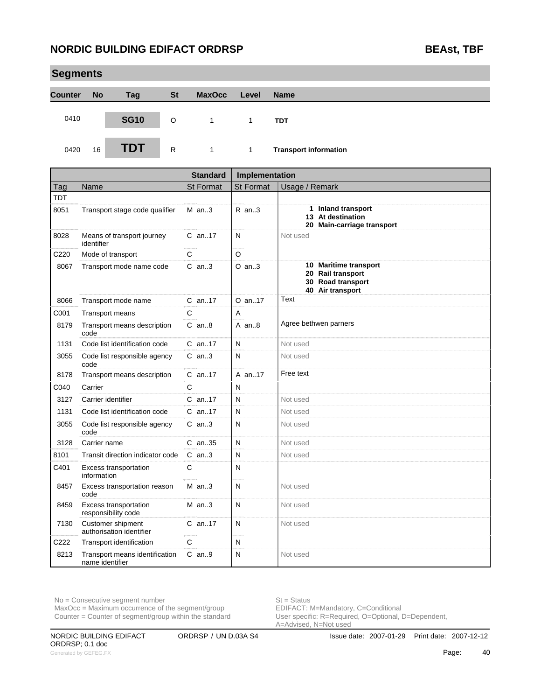|                | <b>Segments</b> |             |           |               |       |                              |  |  |  |  |  |  |
|----------------|-----------------|-------------|-----------|---------------|-------|------------------------------|--|--|--|--|--|--|
| <b>Counter</b> | <b>No</b>       | <b>Tag</b>  | <b>St</b> | <b>MaxOcc</b> | Level | <b>Name</b>                  |  |  |  |  |  |  |
| 0410           |                 | <b>SG10</b> | $\circ$   | -1            | 1     | <b>TDT</b>                   |  |  |  |  |  |  |
| 0420           | 16              | <b>TDT</b>  | R         | 1             | 1     | <b>Transport information</b> |  |  |  |  |  |  |

|      |                                                      | <b>Standard</b>  | Implementation   |                                                                                     |
|------|------------------------------------------------------|------------------|------------------|-------------------------------------------------------------------------------------|
| Tag  | Name                                                 | <b>St Format</b> | <b>St Format</b> | Usage / Remark                                                                      |
| TDT  |                                                      |                  |                  |                                                                                     |
| 8051 | Transport stage code qualifier                       | $M$ an3          | $R$ an3          | 1 Inland transport<br>13 At destination<br>20 Main-carriage transport               |
| 8028 | Means of transport journey<br>identifier             | $C$ an17         | N                | Not used                                                                            |
| C220 | Mode of transport                                    | C                | $\circ$          |                                                                                     |
| 8067 | Transport mode name code                             | $C$ an3          | $O$ an3          | 10 Maritime transport<br>20 Rail transport<br>30 Road transport<br>40 Air transport |
| 8066 | Transport mode name                                  | $C$ an17         | $O$ an17         | Text                                                                                |
| C001 | <b>Transport means</b>                               | $\mathsf{C}$     | A                |                                                                                     |
| 8179 | Transport means description<br>code                  | $C$ an $8$       | $A$ an $8$       | Agree bethwen parners                                                               |
| 1131 | Code list identification code                        | $C$ an. 17       | N                | Not used                                                                            |
| 3055 | Code list responsible agency<br>code                 | $C$ an. $3$      | N                | Not used                                                                            |
| 8178 | Transport means description                          | $C$ an. 17       | A an17           | Free text                                                                           |
| C040 | Carrier                                              | C                | N                |                                                                                     |
| 3127 | Carrier identifier                                   | $C$ an17         | N                | Not used                                                                            |
| 1131 | Code list identification code                        | $C$ an17         | N                | Not used                                                                            |
| 3055 | Code list responsible agency<br>code                 | $C$ an3          | N                | Not used                                                                            |
| 3128 | Carrier name                                         | $C$ an. 35       | N                | Not used                                                                            |
| 8101 | Transit direction indicator code                     | $C$ an3          | N                | Not used                                                                            |
| C401 | Excess transportation<br>information                 | $\mathsf C$      | N                |                                                                                     |
| 8457 | Excess transportation reason<br>code                 | $M$ an3          | N                | Not used                                                                            |
| 8459 | <b>Excess transportation</b><br>responsibility code  | $M$ an3          | N                | Not used                                                                            |
| 7130 | <b>Customer shipment</b><br>authorisation identifier | $C$ an17         | N                | Not used                                                                            |
| C222 | Transport identification                             | $\mathsf{C}$     | N                |                                                                                     |
| 8213 | Transport means identification<br>name identifier    | $C$ an. 9        | N                | Not used                                                                            |

No = Consecutive segment number<br>
MaxOcc = Maximum occurrence of the segment/group<br>
EDIFACT: M=Mandatory, C=Conditional  $MaxOcc = Maximum occurrence of the segment/group$ 

Counter = Counter of segment/group within the standard

User specific: R=Required, O=Optional, D=Dependent,<br>A=Advised, N=Not used

ORDRSP; 0.1 doc Generated by GEFEG.FX **ADVERSION CONTROL** CONTROLLER CONTROLLER CONTROLLER CONTROLLER CONTROLLER CONTROLLER CONTROLLER CONTROLLER CONTROLLER CONTROLLER CONTROLLER CONTROLLER CONTROLLER CONTROLLER CONTROLLER CONTROLLER CONT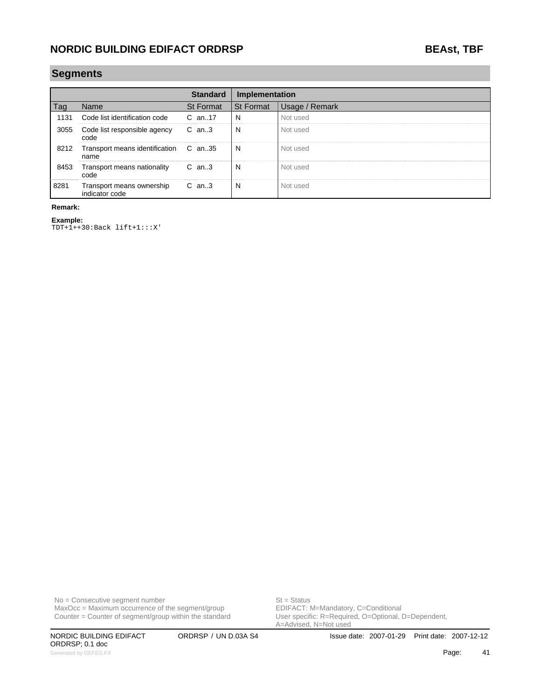#### **Segments**

|      |                                               | <b>Standard</b>  | Implementation |                |
|------|-----------------------------------------------|------------------|----------------|----------------|
| l ag | Name                                          | <b>St Format</b> | St Format      | Usage / Remark |
| 1131 | Code list identification code                 | C an17           | N              | Not used       |
| 3055 | Code list responsible agency<br>code          | $C$ an3          | N              | Not used       |
| 8212 | Transport means identification C an35<br>name |                  | N              | Not used       |
| 8453 | Transport means nationality<br>code           | C an3            | N              | Not used       |
| 8281 | Transport means ownership<br>indicator code   | C an3            | N              | Not used       |

# **Remark:**

**Example:** TDT+1++30:Back lift+1:::X'

No = Consecutive segment number<br>
MaxOcc = Maximum occurrence of the segment/group<br>
EDIFACT: M=Mandatory, C=Conditional  $MaxOcc = Maximum$  occurrence of the segment/group Counter = Counter of segment/group within the standard

User specific: R=Required, O=Optional, D=Dependent,<br>A=Advised, N=Not used

ORDRSP; 0.1 doc Generated by GEFEG.FX **And Alternative Control of the Case of the Case of the Case of the Case of the Case of the Case of the Case of the Case of the Case of the Case of the Case of the Case of the Case of the Case of the**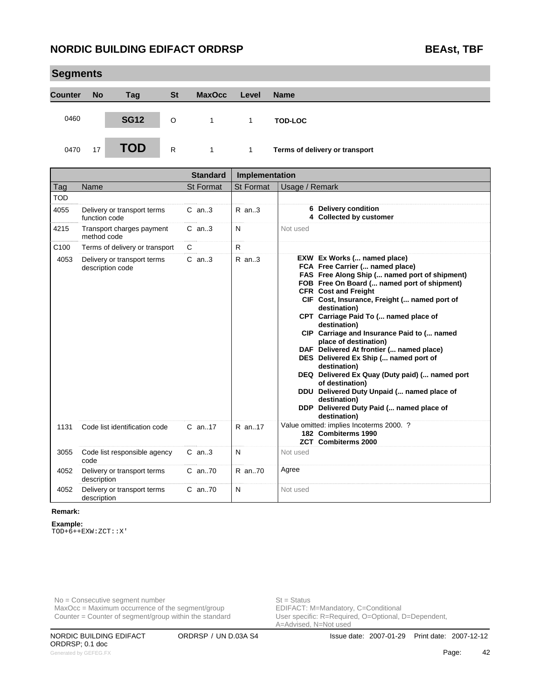|                | <b>Segments</b> |             |           |               |       |                                |  |  |  |  |  |
|----------------|-----------------|-------------|-----------|---------------|-------|--------------------------------|--|--|--|--|--|
| <b>Counter</b> | <b>No</b>       | Tag         | <b>St</b> | <b>MaxOcc</b> | Level | <b>Name</b>                    |  |  |  |  |  |
| 0460           |                 | <b>SG12</b> | $\circ$   | 1             | 1     | <b>TOD-LOC</b>                 |  |  |  |  |  |
| 0470           | 17              | <b>TOD</b>  | R         | 1             |       | Terms of delivery or transport |  |  |  |  |  |

|                  |                                                 | <b>Standard</b>  | <b>Implementation</b> |                                                                                                                                                                                                                                                                                                                                                                                                                                                                                                                                                                                                                                                                                                   |
|------------------|-------------------------------------------------|------------------|-----------------------|---------------------------------------------------------------------------------------------------------------------------------------------------------------------------------------------------------------------------------------------------------------------------------------------------------------------------------------------------------------------------------------------------------------------------------------------------------------------------------------------------------------------------------------------------------------------------------------------------------------------------------------------------------------------------------------------------|
| Tag              | Name                                            | <b>St Format</b> | <b>St Format</b>      | Usage / Remark                                                                                                                                                                                                                                                                                                                                                                                                                                                                                                                                                                                                                                                                                    |
| <b>TOD</b>       |                                                 |                  |                       |                                                                                                                                                                                                                                                                                                                                                                                                                                                                                                                                                                                                                                                                                                   |
| 4055             | Delivery or transport terms<br>function code    | $C$ an3          | $R$ an3               | 6 Delivery condition<br>4 Collected by customer                                                                                                                                                                                                                                                                                                                                                                                                                                                                                                                                                                                                                                                   |
| 4215             | Transport charges payment<br>method code        | $C$ an3          | N                     | Not used                                                                                                                                                                                                                                                                                                                                                                                                                                                                                                                                                                                                                                                                                          |
| C <sub>100</sub> | Terms of delivery or transport                  | C                | R                     |                                                                                                                                                                                                                                                                                                                                                                                                                                                                                                                                                                                                                                                                                                   |
| 4053             | Delivery or transport terms<br>description code | $C$ an3          | R an3                 | EXW Ex Works ( named place)<br>FCA Free Carrier ( named place)<br>FAS Free Along Ship ( named port of shipment)<br>FOB Free On Board ( named port of shipment)<br><b>CFR</b> Cost and Freight<br>CIF Cost, Insurance, Freight ( named port of<br>destination)<br>CPT Carriage Paid To ( named place of<br>destination)<br>CIP Carriage and Insurance Paid to ( named<br>place of destination)<br>DAF Delivered At frontier ( named place)<br>DES Delivered Ex Ship ( named port of<br>destination)<br>DEQ Delivered Ex Quay (Duty paid) ( named port<br>of destination)<br>DDU Delivered Duty Unpaid ( named place of<br>destination)<br>DDP Delivered Duty Paid ( named place of<br>destination) |
| 1131             | Code list identification code                   | $C$ an. 17       | R an17                | Value omitted: implies Incoterms 2000. ?<br>182 Combiterms 1990<br><b>ZCT</b> Combiterms 2000                                                                                                                                                                                                                                                                                                                                                                                                                                                                                                                                                                                                     |
| 3055             | Code list responsible agency<br>code            | $C$ an3          | N                     | Not used                                                                                                                                                                                                                                                                                                                                                                                                                                                                                                                                                                                                                                                                                          |
| 4052             | Delivery or transport terms<br>description      | $C$ an70         | R an70                | Agree                                                                                                                                                                                                                                                                                                                                                                                                                                                                                                                                                                                                                                                                                             |
| 4052             | Delivery or transport terms<br>description      | C an70           | N                     | Not used                                                                                                                                                                                                                                                                                                                                                                                                                                                                                                                                                                                                                                                                                          |

#### **Remark:**

**Example:**

TOD+6++EXW:ZCT::X'

No = Consecutive segment number<br>
MaxOcc = Maximum occurrence of the segment/group<br>
EDIFACT: M=Mandatory, C=Conditional  $MaxOcc = Maximum$  occurrence of the segment/group Counter = Counter of segment/group within the standard

User specific: R=Required, O=Optional, D=Dependent,<br>A=Advised, N=Not used

ORDRSP; 0.1 doc Generated by GEFEG.FX **And Alternative Control of the Case of Alternative Control of Alternative Control of Alternative Control of Alternative Control of Alternative Control of Alternative Control of Alternative Control of**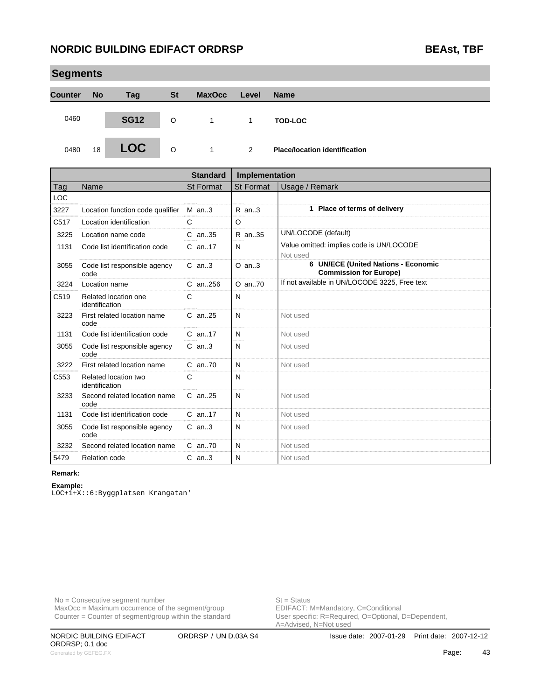|                | <b>Segments</b> |             |           |               |              |                                      |  |  |  |  |  |
|----------------|-----------------|-------------|-----------|---------------|--------------|--------------------------------------|--|--|--|--|--|
| <b>Counter</b> | <b>No</b>       | <b>Tag</b>  | <b>St</b> | <b>MaxOcc</b> | Level        | <b>Name</b>                          |  |  |  |  |  |
| 0460           |                 | <b>SG12</b> | $\circ$   | 1             | $\mathbf{1}$ | <b>TOD-LOC</b>                       |  |  |  |  |  |
| 0480           | 18              | <b>LOC</b>  | $\circ$   | 1             | 2            | <b>Place/location identification</b> |  |  |  |  |  |

|            |                                        | <b>Standard</b>  | <b>Implementation</b> |                                                                      |
|------------|----------------------------------------|------------------|-----------------------|----------------------------------------------------------------------|
| Tag        | Name                                   | <b>St Format</b> | <b>St Format</b>      | Usage / Remark                                                       |
| <b>LOC</b> |                                        |                  |                       |                                                                      |
| 3227       | Location function code qualifier       | $M$ an. 3        | $R$ an. $3$           | 1 Place of terms of delivery                                         |
| C517       | Location identification                | C                | O                     |                                                                      |
| 3225       | Location name code                     | C an35           | R an35                | UN/LOCODE (default)                                                  |
| 1131       | Code list identification code          | C an17           | N                     | Value omitted: implies code is UN/LOCODE<br>Not used                 |
| 3055       | Code list responsible agency<br>code   | $C$ an3          | $O$ an3               | 6 UN/ECE (United Nations - Economic<br><b>Commission for Europe)</b> |
| 3224       | Location name                          | $C$ an. 256      | O an70                | If not available in UN/LOCODE 3225, Free text                        |
| C519       | Related location one<br>identification | C                | N                     |                                                                      |
| 3223       | First related location name<br>code    | $C$ an. 25       | N                     | Not used                                                             |
| 1131       | Code list identification code          | $C$ an. 17       | N                     | Not used                                                             |
| 3055       | Code list responsible agency<br>code   | $C$ an3          | N                     | Not used                                                             |
| 3222       | First related location name            | $C$ an. $70$     | N                     | Not used                                                             |
| C553       | Related location two<br>identification | C                | N                     |                                                                      |
| 3233       | Second related location name<br>code   | $C$ an25         | N                     | Not used                                                             |
| 1131       | Code list identification code          | $C$ an. 17       | N                     | Not used                                                             |
| 3055       | Code list responsible agency<br>code   | $C$ an. $3$      | N                     | Not used                                                             |
| 3232       | Second related location name           | $C$ an70         | N                     | Not used                                                             |
| 5479       | <b>Relation code</b>                   | $C$ an3          | N                     | Not used                                                             |

#### **Remark:**

#### **Example:**

LOC+1+X::6:Byggplatsen Krangatan'

No = Consecutive segment number<br>
MaxOcc = Maximum occurrence of the segment/group<br>
EDIFACT: M=Mandatory, C=Conditional  $MaxOcc = Maximum$  occurrence of the segment/group Counter = Counter of segment/group within the standard

User specific: R=Required, O=Optional, D=Dependent,<br>A=Advised, N=Not used

ORDRSP; 0.1 doc Generated by GEFEG.FX **43**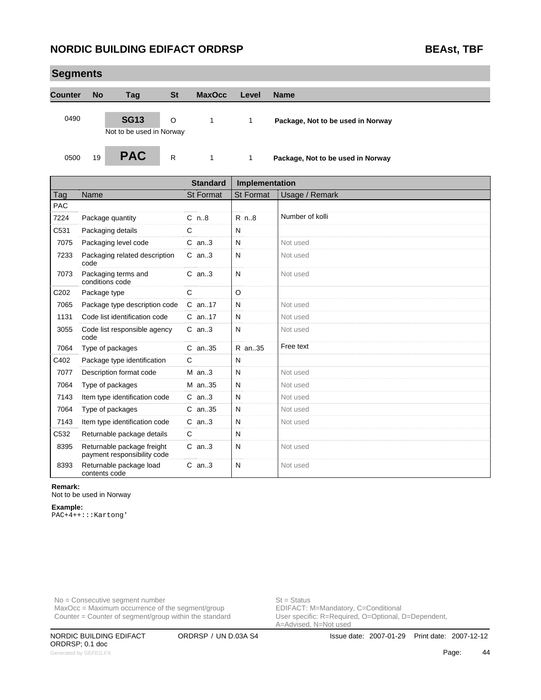| <b>Segments</b> |               |                                                           |             |                  |                  |                                   |
|-----------------|---------------|-----------------------------------------------------------|-------------|------------------|------------------|-----------------------------------|
| <b>Counter</b>  | <b>No</b>     | Tag                                                       | <b>St</b>   | <b>MaxOcc</b>    | Level            | <b>Name</b>                       |
| 0490            |               | <b>SG13</b><br>Not to be used in Norway                   | O           | $\mathbf{1}$     | $\mathbf{1}$     | Package, Not to be used in Norway |
| 0500            | 19            | <b>PAC</b>                                                | $\mathsf R$ | $\mathbf{1}$     | $\mathbf{1}$     | Package, Not to be used in Norway |
|                 |               |                                                           |             | <b>Standard</b>  | Implementation   |                                   |
| Tag             | Name          |                                                           |             | <b>St Format</b> | <b>St Format</b> | Usage / Remark                    |
| PAC             |               |                                                           |             |                  |                  |                                   |
| 7224            |               | Package quantity                                          |             | $C_n.8$          | R n8             | Number of kolli                   |
| C531            |               | Packaging details                                         |             | C                | N                |                                   |
| 7075            |               | Packaging level code                                      |             | $C$ an3          | N                | Not used                          |
| 7233            | code          | Packaging related description                             |             | $C$ an3          | N                | Not used                          |
| 7073            |               | Packaging terms and<br>conditions code                    |             | $C$ an3          | N                | Not used                          |
| C202            | Package type  |                                                           |             | $\mathsf{C}$     | O                |                                   |
| 7065            |               | Package type description code                             |             | C an17           | N                | Not used                          |
| 1131            |               | Code list identification code                             |             | $C$ an17         | N                | Not used                          |
| 3055            | code          | Code list responsible agency                              |             | $C$ an3          | N                | Not used                          |
| 7064            |               | Type of packages                                          |             | C an35           | R an35           | Free text                         |
| C402            |               | Package type identification                               |             | C                | N                |                                   |
| 7077            |               | Description format code                                   |             | $M$ an3          | N                | Not used                          |
| 7064            |               | Type of packages                                          |             | M an35           | N                | Not used                          |
| 7143            |               | Item type identification code                             |             | $C$ an3          | N                | Not used                          |
| 7064            |               | Type of packages                                          |             | $C$ an. 35       | N                | Not used                          |
| 7143            |               | Item type identification code                             |             | $C$ an3          | N                | Not used                          |
| C532            |               | Returnable package details                                |             | C                | N                |                                   |
| 8395            |               | Returnable package freight<br>payment responsibility code |             | $C$ an. $3$      | Ν                | Not used                          |
| 8393            | contents code | Returnable package load                                   |             | $C$ an3          | N                | Not used                          |

#### **Remark:**

Not to be used in Norway

#### **Example:**

PAC+4++:::Kartong'

No = Consecutive segment number<br>
MaxOcc = Maximum occurrence of the segment/group<br>
EDIFACT: M=Mandatory, C=Conditional  $MaxOcc = Maximum$  occurrence of the segment/group Counter = Counter of segment/group within the standard

User specific: R=Required, O=Optional, D=Dependent,<br>A=Advised, N=Not used

ORDRSP; 0.1 doc Generated by GEFEG.FX **Advertised by Accord Accord Accord Page:** Advertised by GEFEG.FX **Advertised by GEFEG.FX**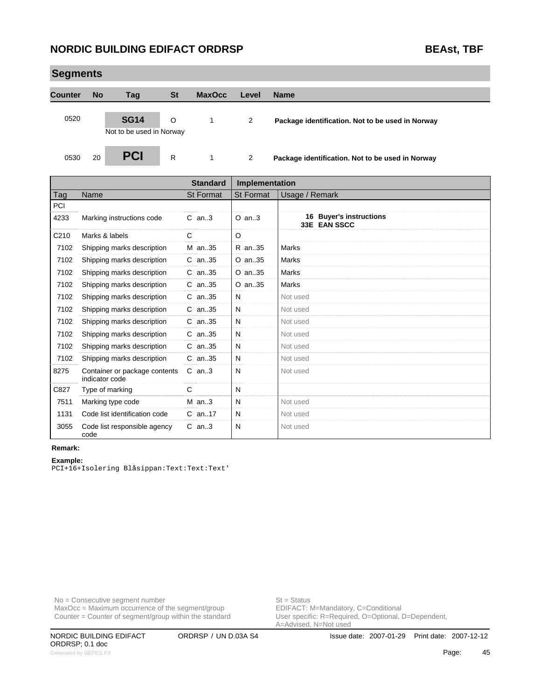| <b>Segments</b>                                      |                |                               |              |                  |                                                  |                                                  |
|------------------------------------------------------|----------------|-------------------------------|--------------|------------------|--------------------------------------------------|--------------------------------------------------|
| <b>Counter</b>                                       | <b>No</b>      | Tag                           | <b>St</b>    | <b>MaxOcc</b>    | Level                                            | <b>Name</b>                                      |
| 0520<br><b>SG14</b><br>O<br>Not to be used in Norway |                |                               | 1            | $\overline{2}$   | Package identification. Not to be used in Norway |                                                  |
| 0530                                                 | 20             | <b>PCI</b>                    | $\mathsf{R}$ | $\mathbf{1}$     | $\overline{2}$                                   | Package identification. Not to be used in Norway |
|                                                      |                |                               |              | <b>Standard</b>  | Implementation                                   |                                                  |
| Tag                                                  | Name           |                               |              | <b>St Format</b> | St Format                                        | Usage / Remark                                   |
| PCI                                                  |                |                               |              |                  |                                                  |                                                  |
| 4233                                                 |                | Marking instructions code     |              | $C$ an3          | $O$ an3                                          | 16 Buyer's instructions<br>33E EAN SSCC          |
| C210                                                 |                | Marks & labels                |              | $\mathsf{C}$     | $\Omega$                                         |                                                  |
| 7102                                                 |                | Shipping marks description    |              | M an35           | R an35                                           | <b>Marks</b>                                     |
| 7102                                                 |                | Shipping marks description    |              | $C$ an. 35       | O an35                                           | Marks                                            |
| 7102                                                 |                | Shipping marks description    |              | C an35           | O an35                                           | <b>Marks</b>                                     |
| 7102                                                 |                | Shipping marks description    |              | $C$ an. 35       | O an35                                           | Marks                                            |
| 7102                                                 |                | Shipping marks description    |              | C an35           | N                                                | Not used                                         |
| 7102                                                 |                | Shipping marks description    |              | C an35           | N                                                | Not used                                         |
| 7102                                                 |                | Shipping marks description    |              | C an35           | N                                                | Not used                                         |
| 7102                                                 |                | Shipping marks description    |              | C an35           | N                                                | Not used                                         |
| 7102                                                 |                | Shipping marks description    |              | C an35           | N                                                | Not used                                         |
| 7102                                                 |                | Shipping marks description    |              | C an35           | N                                                | Not used                                         |
| 8275                                                 | indicator code | Container or package contents |              | $C$ an3          | N                                                | Not used                                         |
| C827                                                 |                | Type of marking               |              | $\mathsf{C}$     | N                                                |                                                  |
| 7511                                                 |                | Marking type code             |              | $M$ an3          | N                                                | Not used                                         |
| 1131                                                 |                | Code list identification code |              | $C$ an. 17       | N                                                | Not used                                         |
| 3055                                                 | code           | Code list responsible agency  |              | $C$ an3          | N                                                | Not used                                         |

#### **Remark:**

#### **Example:**

PCI+16+Isolering Blåsippan:Text:Text:Text'

No = Consecutive segment number<br>
MaxOcc = Maximum occurrence of the segment/group<br>
EDIFACT: M=Mandatory, C=Conditional  $MaxOcc = Maximum occurrence of the segment/group$ Counter = Counter of segment/group within the standard

User specific: R=Required, O=Optional, D=Dependent,<br>A=Advised, N=Not used

ORDRSP; 0.1 doc Generated by GEFEG.FX **Absolute Absolute Absolute Absolute Absolute Absolute Absolute Absolute Absolute Absolute Absolute Absolute Absolute Absolute Absolute Absolute Absolute Absolute Absolute Absolute Absolute Absolute A**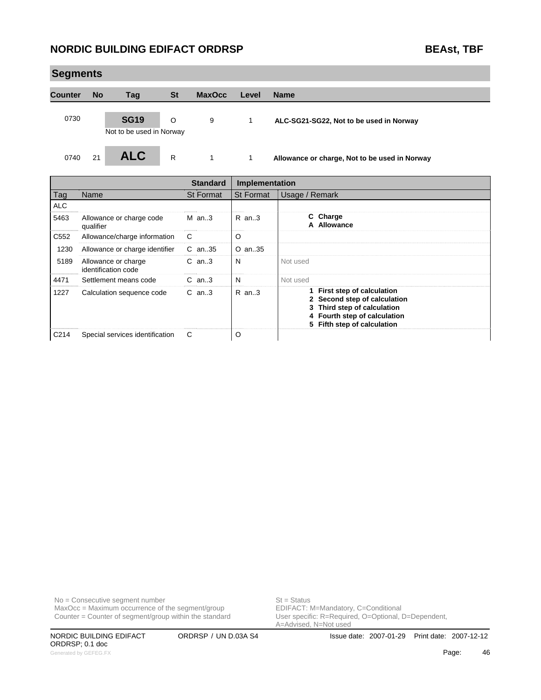| <b>Segments</b>  |           |                                            |              |                  |                  |                                                                                                                                                            |
|------------------|-----------|--------------------------------------------|--------------|------------------|------------------|------------------------------------------------------------------------------------------------------------------------------------------------------------|
| <b>Counter</b>   | <b>No</b> | <b>Tag</b>                                 | <b>St</b>    | <b>MaxOcc</b>    | Level            | <b>Name</b>                                                                                                                                                |
| 0730             |           | <b>SG19</b><br>Not to be used in Norway    | O            | 9                | $\mathbf{1}$     | ALC-SG21-SG22, Not to be used in Norway                                                                                                                    |
| 0740             | 21        | <b>ALC</b>                                 | $\mathsf{R}$ | $\mathbf{1}$     | 1                | Allowance or charge, Not to be used in Norway                                                                                                              |
|                  |           |                                            |              | <b>Standard</b>  | Implementation   |                                                                                                                                                            |
| Tag              | Name      |                                            |              | <b>St Format</b> | <b>St Format</b> | Usage / Remark                                                                                                                                             |
| <b>ALC</b>       |           |                                            |              |                  |                  |                                                                                                                                                            |
| 5463             | qualifier | Allowance or charge code                   |              | $M$ an3          | $R$ an3          | C Charge<br>A Allowance                                                                                                                                    |
| C <sub>552</sub> |           | Allowance/charge information               |              | $\mathsf{C}$     | $\circ$          |                                                                                                                                                            |
| 1230             |           | Allowance or charge identifier             |              | $C$ an. 35       | O an35           |                                                                                                                                                            |
| 5189             |           | Allowance or charge<br>identification code |              | $C$ an3          | N                | Not used                                                                                                                                                   |
| 4471             |           | Settlement means code                      |              | $C$ an. $3$      | N                | Not used                                                                                                                                                   |
| 1227             |           | Calculation sequence code                  |              | $C$ an3          | $R$ an3          | First step of calculation<br>1<br>2 Second step of calculation<br>Third step of calculation<br>4 Fourth step of calculation<br>5 Fifth step of calculation |
| C <sub>214</sub> |           | Special services identification            |              | C                | O                |                                                                                                                                                            |

No = Consecutive segment number<br>
MaxOcc = Maximum occurrence of the segment/group<br>
EDIFACT: M=Mandatory, C=Conditional  $MaxOcc = Maximum occurrence of the segment/group$ Counter = Counter of segment/group within the standard

User specific: R=Required, O=Optional, D=Dependent,<br>A=Advised, N=Not used

ORDRSP; 0.1 doc Generated by GEFEG.FX **Additional Page:** Additional Page: 46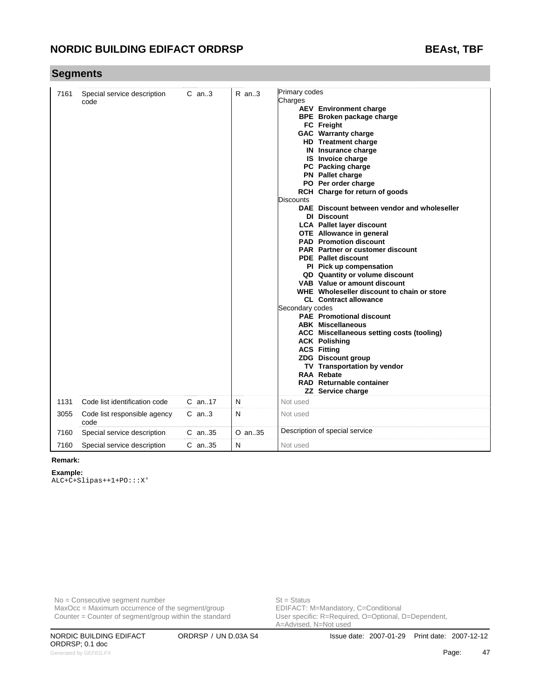| 7161 | Special service description<br>code  | $C$ an3    | $R$ an3 | Primary codes<br>Charges<br><b>AEV</b> Environment charge<br>BPE Broken package charge<br>FC Freight<br><b>GAC</b> Warranty charge<br>HD Treatment charge<br>IN Insurance charge<br>IS Invoice charge<br>PC Packing charge<br>PN Pallet charge<br>PO Per order charge<br>RCH Charge for return of goods<br>Discounts<br>DAE Discount between vendor and wholeseller<br><b>DI Discount</b><br><b>LCA</b> Pallet layer discount<br>OTE Allowance in general<br><b>PAD</b> Promotion discount<br><b>PAR</b> Partner or customer discount<br><b>PDE</b> Pallet discount<br>PI Pick up compensation<br><b>QD</b> Quantity or volume discount<br>VAB Value or amount discount<br>WHE Wholeseller discount to chain or store<br><b>CL</b> Contract allowance<br>Secondary codes<br><b>PAE</b> Promotional discount<br><b>ABK Miscellaneous</b><br>ACC Miscellaneous setting costs (tooling)<br><b>ACK Polishing</b><br><b>ACS Fitting</b><br><b>ZDG</b> Discount group<br>TV Transportation by vendor<br>RAA Rebate<br><b>RAD</b> Returnable container<br>ZZ Service charge |
|------|--------------------------------------|------------|---------|----------------------------------------------------------------------------------------------------------------------------------------------------------------------------------------------------------------------------------------------------------------------------------------------------------------------------------------------------------------------------------------------------------------------------------------------------------------------------------------------------------------------------------------------------------------------------------------------------------------------------------------------------------------------------------------------------------------------------------------------------------------------------------------------------------------------------------------------------------------------------------------------------------------------------------------------------------------------------------------------------------------------------------------------------------------------|
| 1131 | Code list identification code        | $C$ an. 17 | N       | Not used                                                                                                                                                                                                                                                                                                                                                                                                                                                                                                                                                                                                                                                                                                                                                                                                                                                                                                                                                                                                                                                             |
| 3055 | Code list responsible agency<br>code | $C$ an3    | N       | Not used                                                                                                                                                                                                                                                                                                                                                                                                                                                                                                                                                                                                                                                                                                                                                                                                                                                                                                                                                                                                                                                             |
| 7160 | Special service description          | C an35     | O an35  | Description of special service                                                                                                                                                                                                                                                                                                                                                                                                                                                                                                                                                                                                                                                                                                                                                                                                                                                                                                                                                                                                                                       |
| 7160 | Special service description          | C an35     | N       | Not used                                                                                                                                                                                                                                                                                                                                                                                                                                                                                                                                                                                                                                                                                                                                                                                                                                                                                                                                                                                                                                                             |

#### **Segments**

#### **Remark:**

#### **Example:**

ALC+C+Slipas++1+PO:::X'

No = Consecutive segment number<br>
MaxOcc = Maximum occurrence of the segment/group<br>
EDIFACT: M=Mandatory, C=Conditional  $MaxOcc = Maximum$  occurrence of the segment/group Counter = Counter of segment/group within the standard

User specific: R=Required, O=Optional, D=Dependent,<br>A=Advised, N=Not used

ORDRSP; 0.1 doc Generated by GEFEG.FX **And Account and Account and Account and Account and Account and Account and Account and Account and Account and Account and Account and Account and Account and Account and Account and Account and Acc**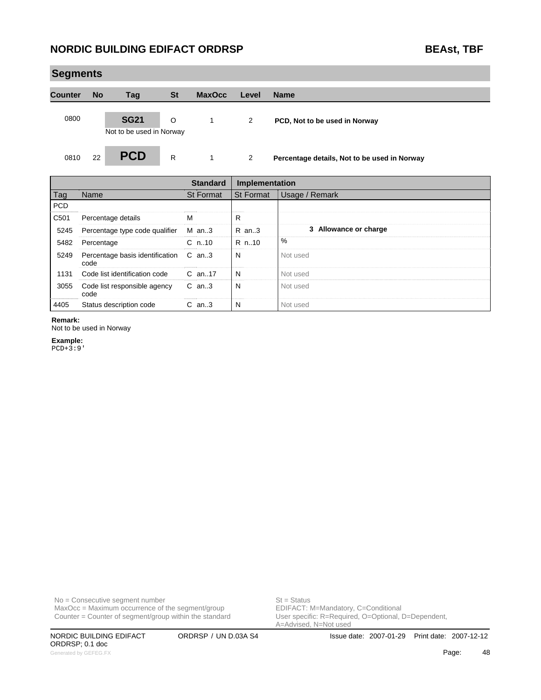## **Segments Counter No Tag St MaxOcc Level Name** 0800 **SG21** O 1 2 **PCD, Not to be used in Norway** Not to be used in Norway 0810 22 **PCD** R 1 2 **Percentage details, Not to be used in Norway Standard Implementation** Tag Name St Format St Format Usage / Remark PCD C501 Percentage details M M R 5245 Percentage type code qualifier M an..3 R an..3 **3** Allowance or charge 5482 Percentage C n..10 R n..10 % 5249 Percentage basis identification code C an..3 N Not used 1131 Code list identification code C an..17 N Not used

 $C$  an...3  $\vert N \vert$  Not used

**Remark:**

Not to be used in Norway

code

3055 Code list responsible agency

4405 Status description code C an..3 N Not used

**Example:**

 $PCD+3:9'$ 

 $No = Consecutive segment number$   $St = Status$ Counter = Counter of segment/group within the standard

MaxOcc = Maximum occurrence of the segment/group <br>
Counter = Counter of segment/group within the standard User specific: R=Required, O=Optional, D=Dependent, A=Advised, N=Not used

ORDRSP; 0.1 doc Generated by GEFEG.FX **ABG** Page: A strated by GEFEG.FX **ABG** Page: A strated by GEFEG.FX **Page:** 48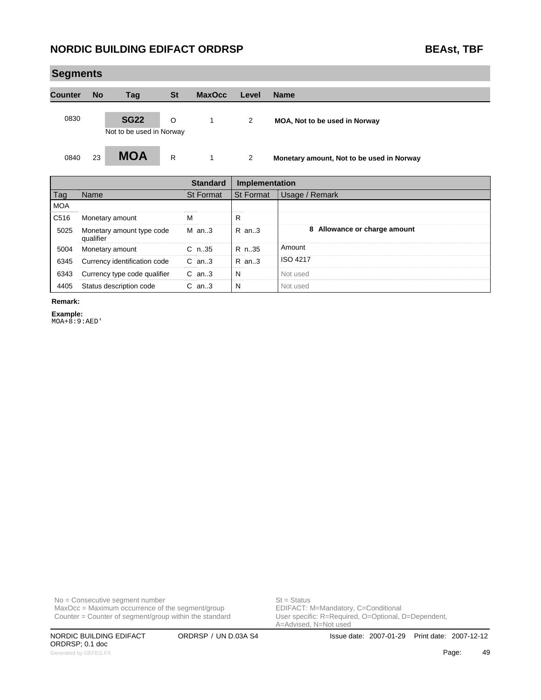## **Segments Counter No Tag St MaxOcc Level Name** 0830 **SG22** O 1 2 **MOA, Not to be used in Norway** Not to be used in Norway 0840 23 **MOA** R 1 2 **Monetary amount, Not to be used in Norway Standard Implementation** Tag Name St Format St Format Usage / Remark **MOA** C516 Monetary amount M M R 5025 Monetary amount type code qualifier M an..3 R an..3 **8 Allowance or charge amount** 5004 Monetary amount C n..35 R n..35 Amount 6345 Currency identification code C an..3 R an..3 | ISO 4217 6343 Currency type code qualifier C an..3 N Not used 4405 Status description code C an..3 N

**Remark:**

**Example:** MOA+8:9:AED'

 $No = Consecutive segment number$   $St = Status$  $Counter = Counter of segment/group within the standard$ 

MaxOcc = Maximum occurrence of the segment/group <br>
Counter = Counter of segment/group within the standard User specific: R=Required, O=Optional, D=Dependent, A=Advised, N=Not used

ORDRSP; 0.1 doc Generated by GEFEG.FX **Age:** An according to the control of the control of the control of the control of the control of the control of the control of the control of the control of the control of the control of the control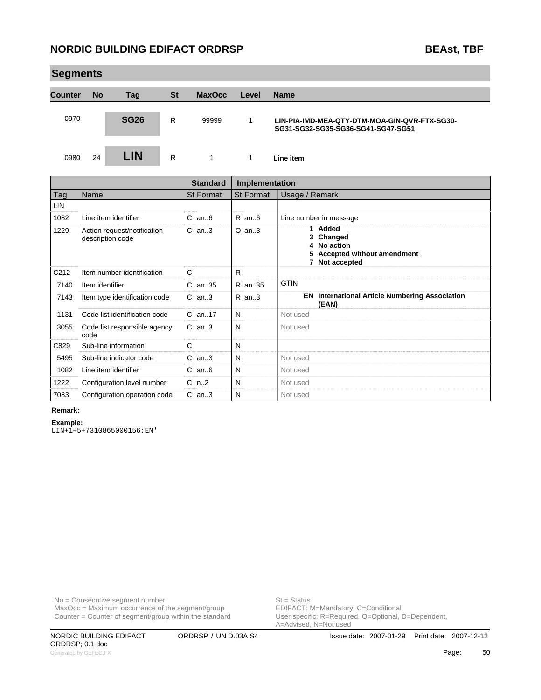| <b>Segments</b>  |                                      |                                                 |              |                  |                  |                                                                                               |
|------------------|--------------------------------------|-------------------------------------------------|--------------|------------------|------------------|-----------------------------------------------------------------------------------------------|
| <b>Counter</b>   | <b>No</b>                            | Tag                                             | <b>St</b>    | <b>MaxOcc</b>    | Level            | <b>Name</b>                                                                                   |
| 0970             |                                      | <b>SG26</b>                                     | $\mathsf{R}$ | 99999            | 1                | LIN-PIA-IMD-MEA-QTY-DTM-MOA-GIN-QVR-FTX-SG30-<br>SG31-SG32-SG35-SG36-SG41-SG47-SG51           |
| 0980             | 24                                   | <b>LIN</b>                                      | R            | $\mathbf{1}$     | $\mathbf{1}$     | Line item                                                                                     |
|                  |                                      |                                                 |              | <b>Standard</b>  | Implementation   |                                                                                               |
| Tag              | Name                                 |                                                 |              | <b>St Format</b> | <b>St Format</b> | Usage / Remark                                                                                |
| LIN              |                                      |                                                 |              |                  |                  |                                                                                               |
| 1082             |                                      | Line item identifier                            |              | $C$ an. $6$      | $R$ an. 6        | Line number in message                                                                        |
| 1229             |                                      | Action request/notification<br>description code |              | $C$ an3          | $O$ an. $3$      | 1 Added<br>Changed<br>3<br>4 No action<br><b>Accepted without amendment</b><br>7 Not accepted |
| C <sub>212</sub> |                                      | Item number identification                      |              | C                | R                |                                                                                               |
| 7140             | Item identifier                      |                                                 |              | C an35           | R an35           | <b>GTIN</b>                                                                                   |
| 7143             |                                      | Item type identification code                   |              | $C$ an3          | R an3            | <b>EN</b> International Article Numbering Association<br>(EAN)                                |
| 1131             |                                      | Code list identification code                   |              | $C$ an. 17       | N                | Not used                                                                                      |
| 3055             | Code list responsible agency<br>code |                                                 |              | $C$ an3          | N                | Not used                                                                                      |
| C829             |                                      | Sub-line information                            |              | C                | N                |                                                                                               |
| 5495             |                                      | Sub-line indicator code                         |              | $C$ an3          | N                | Not used                                                                                      |
| 1082             |                                      | Line item identifier                            |              | $C$ an $6$       | N                | Not used                                                                                      |

**Remark:**

#### **Example:**

LIN+1+5+7310865000156:EN'

No = Consecutive segment number<br>
MaxOcc = Maximum occurrence of the segment/group<br>
EDIFACT: M=Mandatory, C=Conditional  $MaxOcc = Maximum occurrence of the segment/group$ Counter = Counter of segment/group within the standard

User specific: R=Required, O=Optional, D=Dependent,<br>A=Advised, N=Not used

ORDRSP; 0.1 doc Generated by GEFEG.FX **Page:** 50

1222 Configuration level number C n..2 | N 7083 Configuration operation code C an..3 | N<br>Not used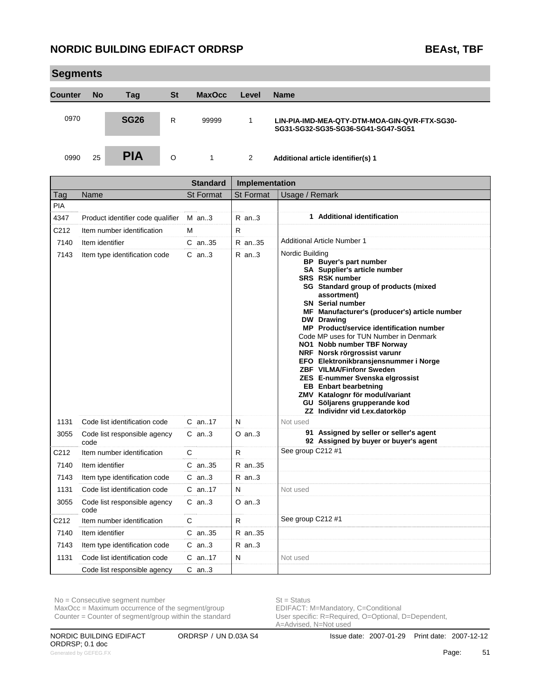|                | <b>Segments</b> |             |           |               |       |                                                                                     |  |  |  |  |  |  |
|----------------|-----------------|-------------|-----------|---------------|-------|-------------------------------------------------------------------------------------|--|--|--|--|--|--|
| <b>Counter</b> | <b>No</b>       | Tag         | <b>St</b> | <b>MaxOcc</b> | Level | <b>Name</b>                                                                         |  |  |  |  |  |  |
| 0970           |                 | <b>SG26</b> | R         | 99999         |       | LIN-PIA-IMD-MEA-QTY-DTM-MOA-GIN-QVR-FTX-SG30-<br>SG31-SG32-SG35-SG36-SG41-SG47-SG51 |  |  |  |  |  |  |
| 0990           | 25              | <b>PIA</b>  | $\circ$   |               | 2     | Additional article identifier(s) 1                                                  |  |  |  |  |  |  |

|      |                                      | <b>Standard</b>  | Implementation   |                                                                                                                                                                                                                                                                                                                                                                                                                                                                                                                                                                                                                                                                    |
|------|--------------------------------------|------------------|------------------|--------------------------------------------------------------------------------------------------------------------------------------------------------------------------------------------------------------------------------------------------------------------------------------------------------------------------------------------------------------------------------------------------------------------------------------------------------------------------------------------------------------------------------------------------------------------------------------------------------------------------------------------------------------------|
| Tag  | Name                                 | <b>St Format</b> | <b>St Format</b> | Usage / Remark                                                                                                                                                                                                                                                                                                                                                                                                                                                                                                                                                                                                                                                     |
| PIA  |                                      |                  |                  |                                                                                                                                                                                                                                                                                                                                                                                                                                                                                                                                                                                                                                                                    |
| 4347 | Product identifier code qualifier    | $M$ an3          | $R$ an3          | 1 Additional identification                                                                                                                                                                                                                                                                                                                                                                                                                                                                                                                                                                                                                                        |
| C212 | Item number identification           | M                | R.               |                                                                                                                                                                                                                                                                                                                                                                                                                                                                                                                                                                                                                                                                    |
| 7140 | Item identifier                      | $C$ an. 35       | R an35           | Additional Article Number 1                                                                                                                                                                                                                                                                                                                                                                                                                                                                                                                                                                                                                                        |
| 7143 | Item type identification code        | $C$ an. $3$      | $R$ an3          | Nordic Building<br>BP Buyer's part number<br>SA Supplier's article number<br><b>SRS</b> RSK number<br>SG Standard group of products (mixed<br>assortment)<br><b>SN</b> Serial number<br>MF Manufacturer's (producer's) article number<br><b>DW</b> Drawing<br>MP Product/service identification number<br>Code MP uses for TUN Number in Denmark<br>NO1 Nobb number TBF Norway<br>NRF Norsk rörgrossist varunr<br>EFO Elektronikbransjensnummer i Norge<br><b>ZBF VILMA/Finfonr Sweden</b><br>ZES E-nummer Svenska elgrossist<br><b>EB</b> Enbart bearbetning<br>ZMV Katalognr för modul/variant<br>GU Söljarens grupperande kod<br>ZZ Individnr vid t.ex.datorköp |
| 1131 | Code list identification code        | $C$ an17         | N                | Not used                                                                                                                                                                                                                                                                                                                                                                                                                                                                                                                                                                                                                                                           |
| 3055 | Code list responsible agency<br>code | $C$ an3          | $O$ an3          | 91 Assigned by seller or seller's agent<br>92 Assigned by buyer or buyer's agent                                                                                                                                                                                                                                                                                                                                                                                                                                                                                                                                                                                   |
| C212 | Item number identification           | $\mathsf{C}$     | R.               | See group C212 #1                                                                                                                                                                                                                                                                                                                                                                                                                                                                                                                                                                                                                                                  |
| 7140 | Item identifier                      | $C$ an. 35       | R an35           |                                                                                                                                                                                                                                                                                                                                                                                                                                                                                                                                                                                                                                                                    |
| 7143 | Item type identification code        | $C$ an. $3$      | $R$ an3          |                                                                                                                                                                                                                                                                                                                                                                                                                                                                                                                                                                                                                                                                    |
| 1131 | Code list identification code        | $C$ an17         | N                | Not used                                                                                                                                                                                                                                                                                                                                                                                                                                                                                                                                                                                                                                                           |
| 3055 | Code list responsible agency<br>code | $C$ an. $3$      | $O$ an3          |                                                                                                                                                                                                                                                                                                                                                                                                                                                                                                                                                                                                                                                                    |
| C212 | Item number identification           | C                | R.               | See group C212 #1                                                                                                                                                                                                                                                                                                                                                                                                                                                                                                                                                                                                                                                  |
| 7140 | Item identifier                      | $C$ an. 35       | R an35           |                                                                                                                                                                                                                                                                                                                                                                                                                                                                                                                                                                                                                                                                    |
| 7143 | Item type identification code        | $C$ an3          | R an3            |                                                                                                                                                                                                                                                                                                                                                                                                                                                                                                                                                                                                                                                                    |
| 1131 | Code list identification code        | $C$ an17         | N                | Not used                                                                                                                                                                                                                                                                                                                                                                                                                                                                                                                                                                                                                                                           |
|      | Code list responsible agency         | $C$ an3          |                  |                                                                                                                                                                                                                                                                                                                                                                                                                                                                                                                                                                                                                                                                    |

No = Consecutive segment number<br>
MaxOcc = Maximum occurrence of the segment/group<br>
EDIFACT: M=Mandatory, C=Conditional  $MaxOcc = Maximum occurrence of the segment/group$ Counter = Counter of segment/group within the standard

User specific: R=Required, O=Optional, D=Dependent,<br>A=Advised, N=Not used

ORDRSP; 0.1 doc Generated by GEFEG.FX **Fage:** 51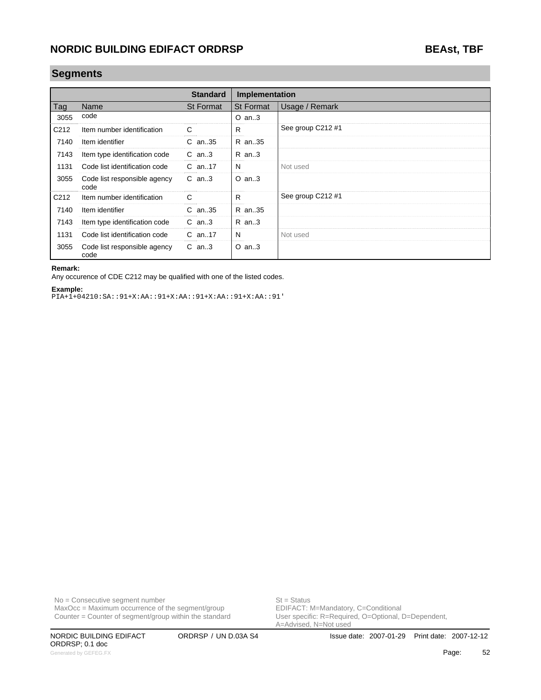## **Segments**

|                   |                                      | <b>Standard</b>  | Implementation   |                   |
|-------------------|--------------------------------------|------------------|------------------|-------------------|
| <b>Tag</b>        | Name                                 | <b>St Format</b> | <b>St Format</b> | Usage / Remark    |
| 3055              | code                                 |                  | $O$ an3          |                   |
| C <sub>2</sub> 12 | Item number identification           | C                | R                | See group C212 #1 |
| 7140              | Item identifier                      | $C$ an. 35       | R an35           |                   |
| 7143              | Item type identification code        | $C$ an3          | $R$ an3          |                   |
| 1131              | Code list identification code        | $C$ an. 17       | N                | Not used          |
| 3055              | Code list responsible agency<br>code | $C$ an3          | $O$ an. $3$      |                   |
| C <sub>212</sub>  | Item number identification           | C                | R                | See group C212 #1 |
| 7140              | Item identifier                      | $C$ an. 35       | R an35           |                   |
| 7143              | Item type identification code        | $C$ an. $3$      | $R$ an. $3$      |                   |
| 1131              | Code list identification code        | $C$ an. 17       | N.               | Not used          |
| 3055              | Code list responsible agency<br>code | $C$ an3          | $O$ an3          |                   |

#### **Remark:**

Any occurence of CDE C212 may be qualified with one of the listed codes.

#### **Example:**

PIA+1+04210:SA::91+X:AA::91+X:AA::91+X:AA::91+X:AA::91'

No = Consecutive segment number<br>
MaxOcc = Maximum occurrence of the segment/group<br>
EDIFACT: M=Mandatory, C=Conditional  $MaxOcc = Maximum occurrence of the segment/group$ Counter = Counter of segment/group within the standard

User specific: R=Required, O=Optional, D=Dependent,<br>A=Advised, N=Not used

ORDRSP; 0.1 doc Generated by GEFEG.FX **Fage:** 52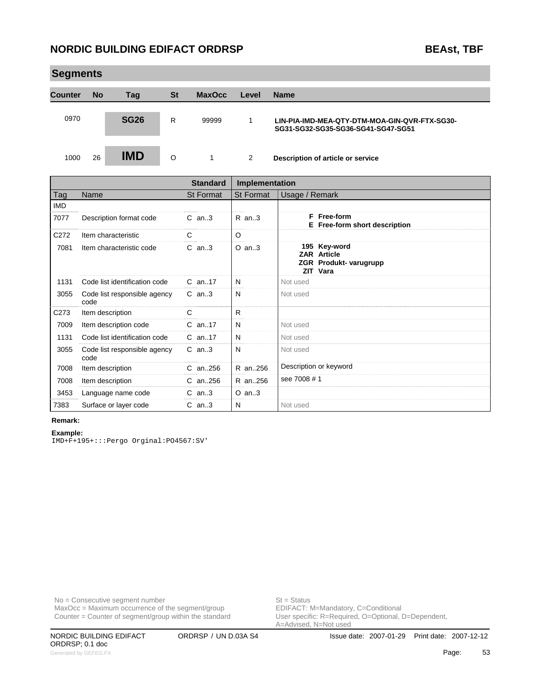| <b>Segments</b> |                                      |                               |           |                  |                |                                                                                     |
|-----------------|--------------------------------------|-------------------------------|-----------|------------------|----------------|-------------------------------------------------------------------------------------|
| <b>Counter</b>  | <b>No</b>                            | Tag                           | <b>St</b> | <b>MaxOcc</b>    | Level          | <b>Name</b>                                                                         |
| 0970            |                                      | <b>SG26</b>                   | R         | 99999            | 1              | LIN-PIA-IMD-MEA-QTY-DTM-MOA-GIN-QVR-FTX-SG30-<br>SG31-SG32-SG35-SG36-SG41-SG47-SG51 |
| 1000            | 26                                   | <b>IMD</b>                    | O         | $\mathbf{1}$     | $\overline{2}$ | Description of article or service                                                   |
|                 |                                      |                               |           | <b>Standard</b>  | Implementation |                                                                                     |
| Tag             | Name                                 |                               |           | <b>St Format</b> | St Format      | Usage / Remark                                                                      |
| <b>IMD</b>      |                                      |                               |           |                  |                |                                                                                     |
| 7077            |                                      | Description format code       |           | $C$ an3          | R an3          | F Free-form<br>E Free-form short description                                        |
| C272            |                                      | Item characteristic           |           | $\mathsf{C}$     | $\circ$        |                                                                                     |
| 7081            |                                      | Item characteristic code      |           | $C$ an3          | $O$ an3        | 195 Key-word<br><b>ZAR Article</b><br>ZGR Produkt- varugrupp<br>ZIT Vara            |
| 1131            |                                      | Code list identification code |           | $C$ an. 17       | N              | Not used                                                                            |
| 3055            | code                                 | Code list responsible agency  |           | $C$ an3          | N              | Not used                                                                            |
| C273            |                                      | Item description              |           | $\mathsf{C}$     | R              |                                                                                     |
| 7009            |                                      | Item description code         |           | $C$ an. 17       | N              | Not used                                                                            |
| 1131            |                                      | Code list identification code |           | C an17           | N              | Not used                                                                            |
| 3055            | Code list responsible agency<br>code |                               |           | $C$ an. $3$      | N              | Not used                                                                            |
| 7008            |                                      | Item description              |           | C an256          | R an256        | Description or keyword                                                              |
| 7008            |                                      | Item description              |           | C an256          | R an256        | see 7008 # 1                                                                        |
| 3453            |                                      | Language name code            |           | $C$ an3          | $O$ an3        |                                                                                     |
| 7383            |                                      | Surface or layer code         |           | $C$ an3          | N              | Not used                                                                            |

#### **Remark:**

**Example:**

IMD+F+195+:::Pergo Orginal:PO4567:SV'

No = Consecutive segment number<br>
MaxOcc = Maximum occurrence of the segment/group<br>
EDIFACT: M=Mandatory, C=Conditional  $MaxOcc = Maximum$  occurrence of the segment/group Counter = Counter of segment/group within the standard

User specific: R=Required, O=Optional, D=Dependent,<br>A=Advised, N=Not used

ORDRSP; 0.1 doc Generated by GEFEG.FX **Fage:** 53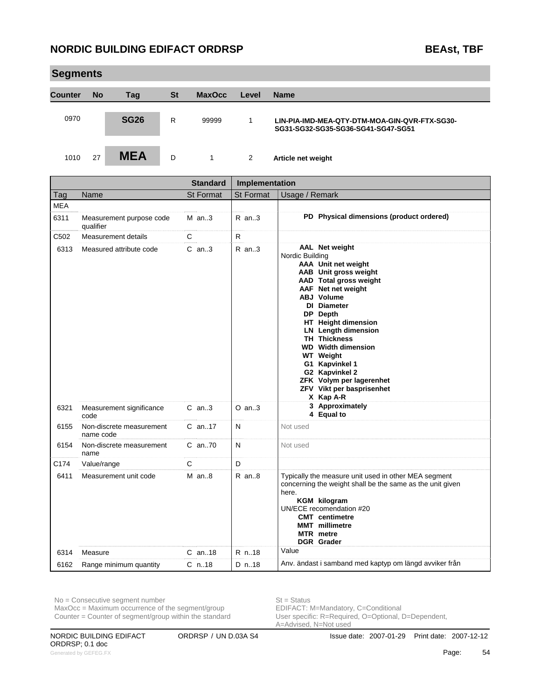|                | <b>Segments</b> |             |           |               |       |                                                                                     |  |  |  |  |  |
|----------------|-----------------|-------------|-----------|---------------|-------|-------------------------------------------------------------------------------------|--|--|--|--|--|
| <b>Counter</b> | <b>No</b>       | Tag         | <b>St</b> | <b>MaxOcc</b> | Level | <b>Name</b>                                                                         |  |  |  |  |  |
| 0970           |                 | <b>SG26</b> | R         | 99999         |       | LIN-PIA-IMD-MEA-QTY-DTM-MOA-GIN-QVR-FTX-SG30-<br>SG31-SG32-SG35-SG36-SG41-SG47-SG51 |  |  |  |  |  |
| 1010           | 27              | <b>MEA</b>  | D         |               | 2     | Article net weight                                                                  |  |  |  |  |  |

|            |                                       | <b>Standard</b>  | Implementation |                                                                                                                                                                                                                                                                                                                                                                                                                          |
|------------|---------------------------------------|------------------|----------------|--------------------------------------------------------------------------------------------------------------------------------------------------------------------------------------------------------------------------------------------------------------------------------------------------------------------------------------------------------------------------------------------------------------------------|
| Tag        | Name                                  | <b>St Format</b> | St Format      | Usage / Remark                                                                                                                                                                                                                                                                                                                                                                                                           |
| <b>MEA</b> |                                       |                  |                |                                                                                                                                                                                                                                                                                                                                                                                                                          |
| 6311       | Measurement purpose code<br>qualifier | $M$ an3          | $R$ an3        | PD Physical dimensions (product ordered)                                                                                                                                                                                                                                                                                                                                                                                 |
| C502       | Measurement details                   | C                | ${\sf R}$      |                                                                                                                                                                                                                                                                                                                                                                                                                          |
| 6313       | Measured attribute code               | $C$ an3          | R an3          | AAL Net weight<br>Nordic Building<br>AAA Unit net weight<br>AAB Unit gross weight<br>AAD Total gross weight<br>AAF Net net weight<br><b>ABJ</b> Volume<br>DI Diameter<br>DP Depth<br>HT Height dimension<br><b>LN</b> Length dimension<br><b>TH Thickness</b><br><b>WD</b> Width dimension<br><b>WT</b> Weight<br>G1 Kapvinkel 1<br>G2 Kapvinkel 2<br>ZFK Volym per lagerenhet<br>ZFV Vikt per basprisenhet<br>X Kap A-R |
| 6321       | Measurement significance<br>code      | $C$ an3          | $O$ an3        | 3 Approximately<br>4 Equal to                                                                                                                                                                                                                                                                                                                                                                                            |
| 6155       | Non-discrete measurement<br>name code | $C$ an17         | N              | Not used                                                                                                                                                                                                                                                                                                                                                                                                                 |
| 6154       | Non-discrete measurement<br>name      | $C$ an. $70$     | N              | Not used                                                                                                                                                                                                                                                                                                                                                                                                                 |
| C174       | Value/range                           | C                | D              |                                                                                                                                                                                                                                                                                                                                                                                                                          |
| 6411       | Measurement unit code                 | $M$ an. $8$      | $R$ an $8$     | Typically the measure unit used in other MEA segment<br>concerning the weight shall be the same as the unit given<br>here.<br><b>KGM</b> kilogram<br>UN/ECE recomendation #20<br><b>CMT</b> centimetre<br><b>MMT</b> millimetre<br><b>MTR</b> metre<br><b>DGR</b> Grader                                                                                                                                                 |
| 6314       | Measure                               | $C$ an. 18       | R n18          | Value                                                                                                                                                                                                                                                                                                                                                                                                                    |
| 6162       | Range minimum quantity                | $C$ n.18         | D n18          | Anv. ändast i samband med kaptyp om längd avviker från                                                                                                                                                                                                                                                                                                                                                                   |

 $MaxOcc = Maximum occurrence of the segment/group$ 

Counter = Counter of segment/group within the standard

No = Consecutive segment number<br>
MaxOcc = Maximum occurrence of the segment/group<br>
EDIFACT: M=Mandatory, C=Conditional User specific: R=Required, O=Optional, D=Dependent,<br>A=Advised, N=Not used

ORDRSP; 0.1 doc Generated by GEFEG.FX **Fage:** 54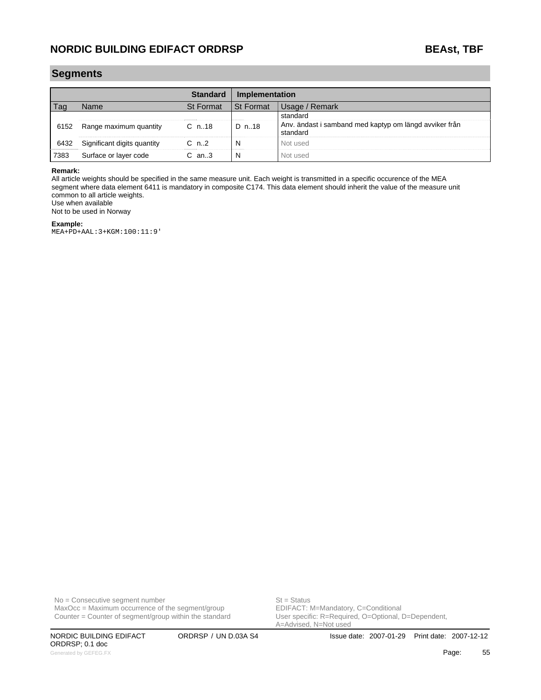### **Segments**

|      |                             | dandard    | Implementation                           |                                                                    |
|------|-----------------------------|------------|------------------------------------------|--------------------------------------------------------------------|
|      | Jame                        | St Format  | Format                                   | <b>Remark</b>                                                      |
|      |                             |            |                                          |                                                                    |
|      | 6152 Range maximum quantity | $C_{n.18}$ | D n18                                    | Anv. ändast i samband med kaptyp om längd avviker från<br>standard |
|      | Significant digits quantity | n2         | the control and the control and the con- | Not used                                                           |
| 7383 | Surface or layer code       | .an3       |                                          |                                                                    |

#### **Remark:**

All article weights should be specified in the same measure unit. Each weight is transmitted in a specific occurence of the MEA segment where data element 6411 is mandatory in composite C174. This data element should inherit the value of the measure unit common to all article weights. Use when available

Not to be used in Norway

#### **Example:**

MEA+PD+AAL:3+KGM:100:11:9'

No = Consecutive segment number<br>
MaxOcc = Maximum occurrence of the segment/group<br>
EDIFACT: M=Mandatory, C=Conditional Counter = Counter of segment/group within the standard

MaxOcc = Maximum occurrence of the segment/group <br>
Counter = Counter of segment/group within the standard User specific: R=Required, O=Optional, D=Dependent, A=Advised, N=Not used

ORDRSP; 0.1 doc Generated by GEFEG.FX **Page:** 55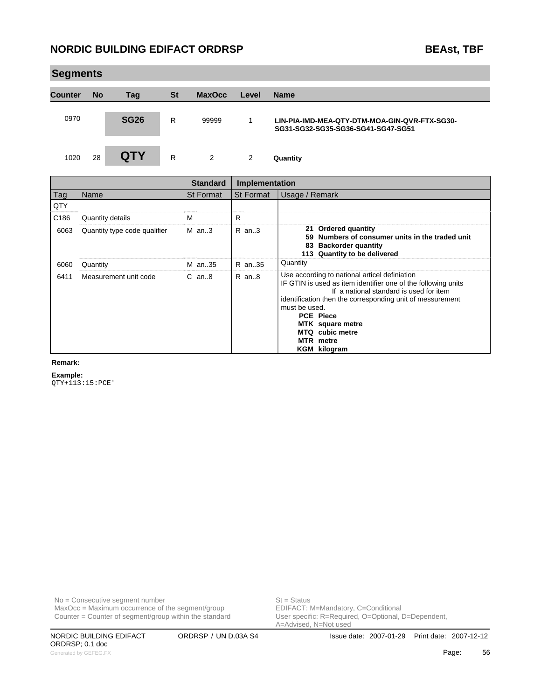| Segments       |           |                              |              |                  |                  |                                                                                                                                                                                                                                                                                                                                 |
|----------------|-----------|------------------------------|--------------|------------------|------------------|---------------------------------------------------------------------------------------------------------------------------------------------------------------------------------------------------------------------------------------------------------------------------------------------------------------------------------|
| <b>Counter</b> | <b>No</b> | Taq                          | <b>St</b>    | <b>MaxOcc</b>    | Level            | <b>Name</b>                                                                                                                                                                                                                                                                                                                     |
| 0970           |           | <b>SG26</b>                  | R            | 99999            | 1                | LIN-PIA-IMD-MEA-QTY-DTM-MOA-GIN-QVR-FTX-SG30-<br>SG31-SG32-SG35-SG36-SG41-SG47-SG51                                                                                                                                                                                                                                             |
| 1020           | 28        | <b>QTY</b>                   | $\mathsf{R}$ | 2                | 2                | Quantity                                                                                                                                                                                                                                                                                                                        |
|                |           |                              |              | <b>Standard</b>  | Implementation   |                                                                                                                                                                                                                                                                                                                                 |
| Tag            | Name      |                              |              | <b>St Format</b> | <b>St Format</b> | Usage / Remark                                                                                                                                                                                                                                                                                                                  |
| QTY            |           |                              |              |                  |                  |                                                                                                                                                                                                                                                                                                                                 |
| C186           |           | Quantity details             |              | M                | R                |                                                                                                                                                                                                                                                                                                                                 |
| 6063           |           | Quantity type code qualifier |              | $M$ an3          | $R$ an3          | 21 Ordered quantity<br>Numbers of consumer units in the traded unit<br>59<br>83 Backorder quantity<br>113 Quantity to be delivered                                                                                                                                                                                              |
| 6060           | Quantity  |                              |              | M an35           | R an35           | Quantity                                                                                                                                                                                                                                                                                                                        |
| 6411           |           | Measurement unit code        |              | $C$ an $8$       | $R$ an. $8$      | Use according to national articel definiation<br>IF GTIN is used as item identifier one of the following units<br>If a national standard is used for item<br>identification then the corresponding unit of messurement<br>must be used.<br><b>PCE Piece</b><br>MTK square metre<br>MTQ cubic metre<br>MTR metre<br>KGM kilogram |

#### **Remark:**

**Example:** QTY+113:15:PCE'

**Segments** 

No = Consecutive segment number<br>
MaxOcc = Maximum occurrence of the segment/group<br>
EDIFACT: M=Mandatory, C=Conditional  $MaxOcc = Maximum$  occurrence of the segment/group Counter = Counter of segment/group within the standard

ORDRSP; 0.1 doc Generated by GEFEG.FX **Frage:** 56 and the set of the set of the set of the set of the set of the set of the set of the set of the set of the set of the set of the set of the set of the set of the set of the set of the set

User specific: R=Required, O=Optional, D=Dependent,<br>A=Advised, N=Not used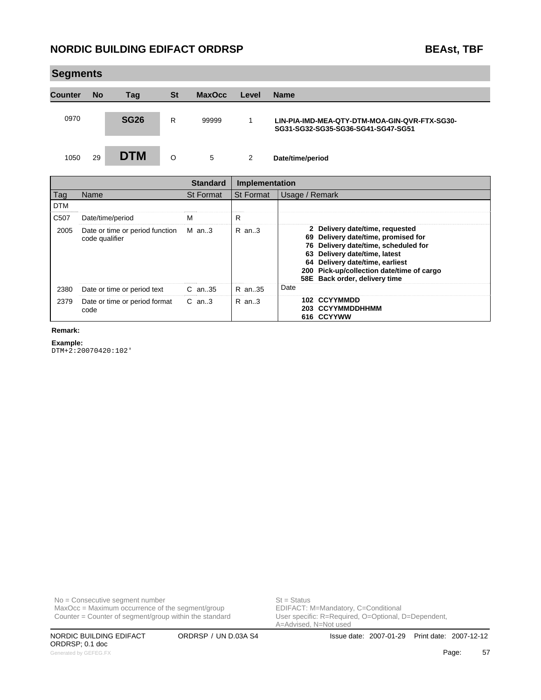| <b>Segments</b> |                |                                 |           |                  |                |                                                                                                                                                                                                                                                                              |
|-----------------|----------------|---------------------------------|-----------|------------------|----------------|------------------------------------------------------------------------------------------------------------------------------------------------------------------------------------------------------------------------------------------------------------------------------|
| <b>Counter</b>  | <b>No</b>      | Tag                             | <b>St</b> | <b>MaxOcc</b>    | Level          | <b>Name</b>                                                                                                                                                                                                                                                                  |
| 0970            |                | <b>SG26</b>                     | R.        | 99999            | 1              | LIN-PIA-IMD-MEA-QTY-DTM-MOA-GIN-QVR-FTX-SG30-<br>SG31-SG32-SG35-SG36-SG41-SG47-SG51                                                                                                                                                                                          |
| 1050            | 29             | <b>DTM</b>                      | O         | 5                | 2              | Date/time/period                                                                                                                                                                                                                                                             |
|                 |                |                                 |           | <b>Standard</b>  | Implementation |                                                                                                                                                                                                                                                                              |
| Tag             | Name           |                                 |           | <b>St Format</b> | St Format      | Usage / Remark                                                                                                                                                                                                                                                               |
| <b>DTM</b>      |                |                                 |           |                  |                |                                                                                                                                                                                                                                                                              |
| C507            |                | Date/time/period                |           | M                | R              |                                                                                                                                                                                                                                                                              |
| 2005            | code qualifier | Date or time or period function |           | $M$ an3          | $R$ an3        | 2 Delivery date/time, requested<br>Delivery date/time, promised for<br>69<br>Delivery date/time, scheduled for<br>76<br>Delivery date/time, latest<br>63<br>64 Delivery date/time, earliest<br>200 Pick-up/collection date/time of cargo<br>58E<br>Back order, delivery time |
| 2380            |                | Date or time or period text     |           | $C$ an. 35       | R an35         | Date                                                                                                                                                                                                                                                                         |
| 2379            | code           | Date or time or period format   |           | $C$ an3          | $R$ an. $3$    | <b>102 CCYYMMDD</b><br><b>CCYYMMDDHHMM</b><br>203<br>616 CCYYWW                                                                                                                                                                                                              |

#### **Remark:**

**Example:** DTM+2:20070420:102'

 $MaxOcc = Maximum$  occurrence of the segment/group Counter = Counter of segment/group within the standard

No = Consecutive segment number<br>
MaxOcc = Maximum occurrence of the segment/group<br>
EDIFACT: M=Mandatory, C=Conditional User specific: R=Required, O=Optional, D=Dependent,<br>A=Advised, N=Not used

ORDRSP; 0.1 doc Generated by GEFEG.FX **Page:** 57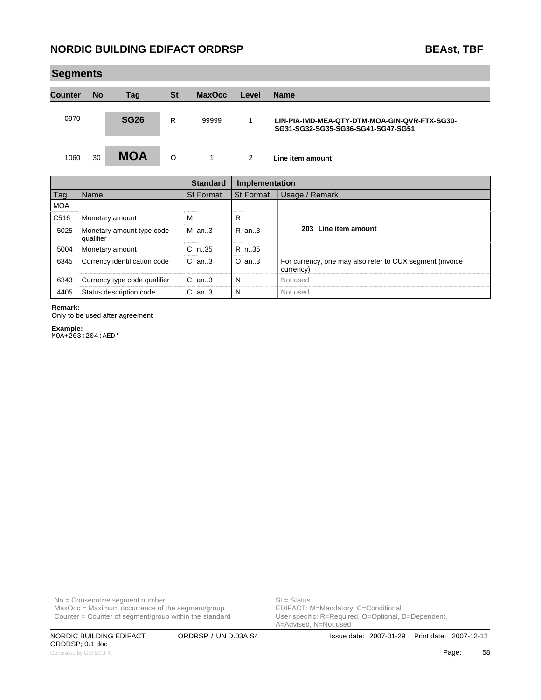| Segments       |           |                              |           |                  |                  |                                                                                     |
|----------------|-----------|------------------------------|-----------|------------------|------------------|-------------------------------------------------------------------------------------|
| <b>Counter</b> | <b>No</b> | Tag                          | <b>St</b> | <b>MaxOcc</b>    | Level            | <b>Name</b>                                                                         |
| 0970           |           | <b>SG26</b>                  | R         | 99999            | 1                | LIN-PIA-IMD-MEA-QTY-DTM-MOA-GIN-QVR-FTX-SG30-<br>SG31-SG32-SG35-SG36-SG41-SG47-SG51 |
| 1060           | 30        | <b>MOA</b>                   | $\circ$   | 1                | $\overline{2}$   | Line item amount                                                                    |
|                |           |                              |           | <b>Standard</b>  | Implementation   |                                                                                     |
| Tag            | Name      |                              |           | <b>St Format</b> | <b>St Format</b> | Usage / Remark                                                                      |
| <b>MOA</b>     |           |                              |           |                  |                  |                                                                                     |
| C516           |           | Monetary amount              |           | м                | R                |                                                                                     |
| 5025           | qualifier | Monetary amount type code    |           | $M$ an. 3        | $R$ an. $3$      | 203 Line item amount                                                                |
|                |           |                              |           |                  |                  |                                                                                     |
| 5004           |           | Monetary amount              |           | $C$ n.35         | R n.35           |                                                                                     |
| 6345           |           | Currency identification code |           | $C$ an. $3$      | $O$ an. $3$      | For currency, one may also refer to CUX segment (invoice<br>currency)               |
| 6343           |           | Currency type code qualifier |           | $C$ an3          | N                | Not used                                                                            |

#### **Remark:**

**Segments**

Only to be used after agreement

#### **Example:**

MOA+203:204:AED'

 $MaxOcc = Maximum$  occurrence of the segment/group Counter = Counter of segment/group within the standard

No = Consecutive segment number<br>
MaxOcc = Maximum occurrence of the segment/group<br>
EDIFACT: M=Mandatory, C=Conditional

User specific: R=Required, O=Optional, D=Dependent,<br>A=Advised, N=Not used

ORDRSP; 0.1 doc Generated by GEFEG.FX **Fage:** 58 and the set of the set of the set of the set of the set of the set of the set of the set of the set of the set of the set of the set of the set of the set of the set of the set of the set o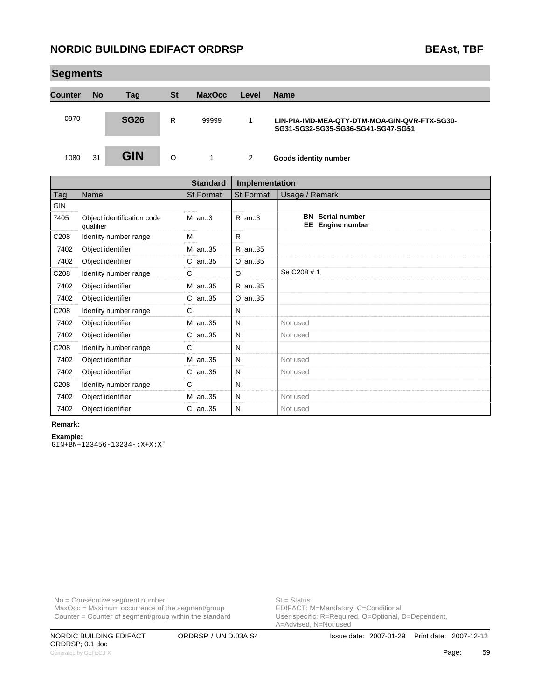**Segments**

| Segments       |                   |                            |           |                  |                |                                                                                     |
|----------------|-------------------|----------------------------|-----------|------------------|----------------|-------------------------------------------------------------------------------------|
| <b>Counter</b> | <b>No</b>         | Tag                        | <b>St</b> | <b>MaxOcc</b>    | Level          | <b>Name</b>                                                                         |
| 0970           |                   | <b>SG26</b>                | R         | 99999            | 1              | LIN-PIA-IMD-MEA-QTY-DTM-MOA-GIN-QVR-FTX-SG30-<br>SG31-SG32-SG35-SG36-SG41-SG47-SG51 |
| 1080           | 31                | <b>GIN</b>                 | $\circ$   | 1                | 2              | Goods identity number                                                               |
|                |                   |                            |           | <b>Standard</b>  | Implementation |                                                                                     |
| Tag            | Name              |                            |           | <b>St Format</b> | St Format      | Usage / Remark                                                                      |
| <b>GIN</b>     |                   |                            |           |                  |                |                                                                                     |
| 7405           | qualifier         | Object identification code |           | $M$ an3          | R an3          | <b>BN</b> Serial number<br><b>EE</b> Engine number                                  |
| C208           |                   | Identity number range      |           | M                | R.             |                                                                                     |
| 7402           |                   | Object identifier          |           | M an35           | R an35         |                                                                                     |
| 7402           |                   | Object identifier          |           | C an35           | O an35         |                                                                                     |
| C208           |                   | Identity number range      |           | C                | $\circ$        | Se C208 # 1                                                                         |
| 7402           |                   | Object identifier          |           | M an35           | R an35         |                                                                                     |
| 7402           |                   | Object identifier          |           | C an35           | O an35         |                                                                                     |
| C208           |                   | Identity number range      |           | $\mathsf{C}$     | N              |                                                                                     |
| 7402           |                   | Object identifier          |           | M an35           | N              | Not used                                                                            |
| 7402           |                   | Object identifier          |           | C an35           | N              | Not used                                                                            |
| C208           |                   | Identity number range      |           | C                | N              |                                                                                     |
| 7402           | Object identifier |                            |           | M an35           | N              | Not used                                                                            |
| 7402           |                   | Object identifier          |           | C an35           | N              | Not used                                                                            |
| C208           |                   | Identity number range      |           | $\mathsf{C}$     | N              |                                                                                     |
| 7402           |                   | Object identifier          |           | M an35           | N              | Not used                                                                            |
| 7402           |                   | Object identifier          |           | $C$ an. 35       | N              | Not used                                                                            |

#### **Remark:**

#### **Example:**

GIN+BN+123456-13234-:X+X:X'

No = Consecutive segment number<br>
MaxOcc = Maximum occurrence of the segment/group<br>
EDIFACT: M=Mandatory, C=Conditional  $MaxOcc = Maximum occurrence of the segment/group$ Counter = Counter of segment/group within the standard

User specific: R=Required, O=Optional, D=Dependent,<br>A=Advised, N=Not used

ORDRSP; 0.1 doc Generated by GEFEG.FX **Page:** 59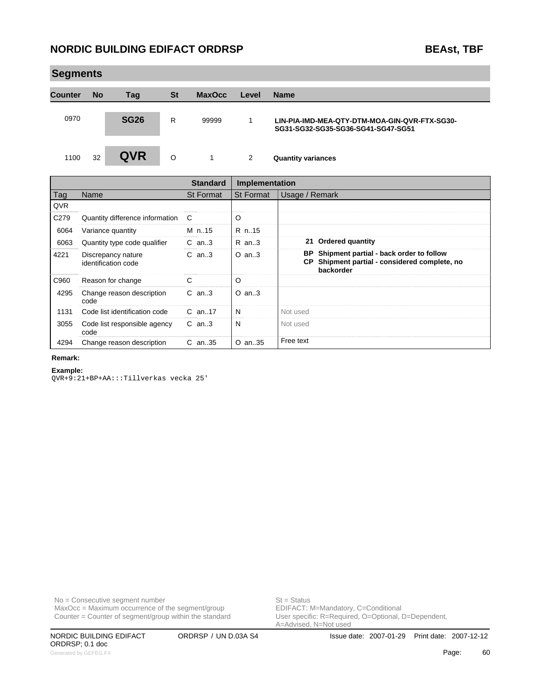| <b>Segments</b> |             |                                                                                                  |                                                                                                                                                                                            |                |                                                                                                                       |
|-----------------|-------------|--------------------------------------------------------------------------------------------------|--------------------------------------------------------------------------------------------------------------------------------------------------------------------------------------------|----------------|-----------------------------------------------------------------------------------------------------------------------|
| <b>Counter</b>  | Tag         | <b>St</b>                                                                                        | <b>MaxOcc</b>                                                                                                                                                                              | Level          | <b>Name</b>                                                                                                           |
| 0970            | <b>SG26</b> | R                                                                                                | 99999                                                                                                                                                                                      | 1              | LIN-PIA-IMD-MEA-QTY-DTM-MOA-GIN-QVR-FTX-SG30-<br>SG31-SG32-SG35-SG36-SG41-SG47-SG51                                   |
| 32<br>1100      | <b>QVR</b>  | $\circ$                                                                                          | 1                                                                                                                                                                                          | 2              | <b>Quantity variances</b>                                                                                             |
|                 |             |                                                                                                  | <b>Standard</b>                                                                                                                                                                            | Implementation |                                                                                                                       |
| Name            |             |                                                                                                  | <b>St Format</b>                                                                                                                                                                           | St Format      | Usage / Remark                                                                                                        |
|                 |             |                                                                                                  |                                                                                                                                                                                            |                |                                                                                                                       |
|                 |             |                                                                                                  | $\mathsf{C}$                                                                                                                                                                               | $\circ$        |                                                                                                                       |
|                 |             |                                                                                                  | M n15                                                                                                                                                                                      | R n. 15        |                                                                                                                       |
|                 |             |                                                                                                  | $C$ an. $3$                                                                                                                                                                                | $R$ an3        | <b>Ordered quantity</b><br>21                                                                                         |
|                 |             |                                                                                                  | $C$ an3                                                                                                                                                                                    | $O$ an3        | Shipment partial - back order to follow<br><b>BP</b><br>Shipment partial - considered complete, no<br>СP<br>backorder |
|                 |             |                                                                                                  | $\mathsf{C}$                                                                                                                                                                               | $\circ$        |                                                                                                                       |
| code            |             |                                                                                                  | $C$ an3                                                                                                                                                                                    | $O$ an3        |                                                                                                                       |
|                 |             |                                                                                                  | $C$ an. 17                                                                                                                                                                                 | N              | Not used                                                                                                              |
| code            |             |                                                                                                  | $C$ an3                                                                                                                                                                                    | N              | Not used                                                                                                              |
|                 |             |                                                                                                  | $C$ an. 35                                                                                                                                                                                 | O an35         | Free text                                                                                                             |
|                 |             | <b>No</b><br>Variance quantity<br>Discrepancy nature<br>identification code<br>Reason for change | Quantity difference information<br>Quantity type code qualifier<br>Change reason description<br>Code list identification code<br>Code list responsible agency<br>Change reason description |                |                                                                                                                       |

### **Remark:**

m.

**Example:** QVR+9:21+BP+AA:::Tillverkas vecka 25'

No = Consecutive segment number<br>
MaxOcc = Maximum occurrence of the segment/group<br>
EDIFACT: M=Mandatory, C=Conditional  $MaxOcc = Maximum$  occurrence of the segment/group Counter = Counter of segment/group within the standard

User specific: R=Required, O=Optional, D=Dependent,<br>A=Advised, N=Not used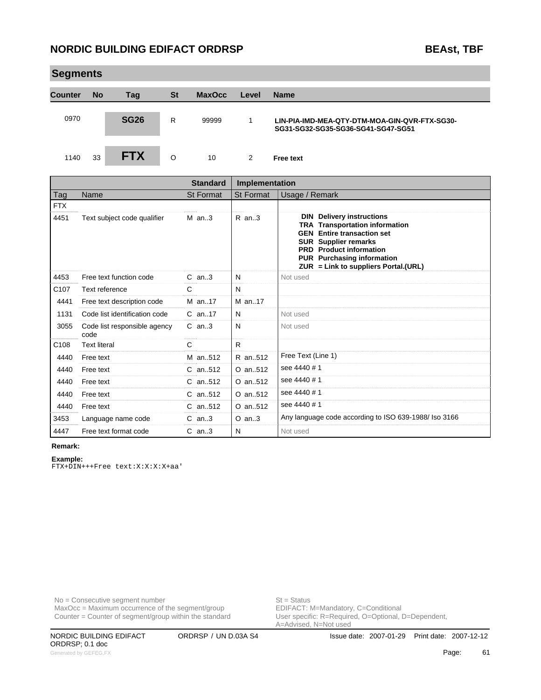| <b>Segments</b>  |                                      |                               |           |                                                                                     |                                                                                                                                                                                                                                                      |                    |
|------------------|--------------------------------------|-------------------------------|-----------|-------------------------------------------------------------------------------------|------------------------------------------------------------------------------------------------------------------------------------------------------------------------------------------------------------------------------------------------------|--------------------|
| <b>Counter</b>   | <b>No</b>                            | Taq                           | <b>St</b> | <b>MaxOcc</b>                                                                       | Level                                                                                                                                                                                                                                                | <b>Name</b>        |
|                  | 0970<br><b>SG26</b><br>R<br>99999    |                               | 1         | LIN-PIA-IMD-MEA-QTY-DTM-MOA-GIN-QVR-FTX-SG30-<br>SG31-SG32-SG35-SG36-SG41-SG47-SG51 |                                                                                                                                                                                                                                                      |                    |
| 1140             | 33                                   | <b>FTX</b>                    | $\circ$   | 10                                                                                  | $\overline{2}$                                                                                                                                                                                                                                       | <b>Free text</b>   |
|                  |                                      |                               |           | <b>Standard</b>                                                                     | Implementation                                                                                                                                                                                                                                       |                    |
| Tag              | Name                                 |                               |           | <b>St Format</b>                                                                    | <b>St Format</b>                                                                                                                                                                                                                                     | Usage / Remark     |
| <b>FTX</b>       |                                      |                               |           |                                                                                     |                                                                                                                                                                                                                                                      |                    |
| 4451             | Text subject code qualifier          |                               | $M$ an3   | $R$ an3                                                                             | <b>DIN</b> Delivery instructions<br><b>TRA Transportation information</b><br><b>GEN</b> Entire transaction set<br><b>SUR</b> Supplier remarks<br><b>PRD</b> Product information<br><b>PUR</b> Purchasing information<br>$ZUR = Link to supplies S-1$ |                    |
| 4453             |                                      | Free text function code       |           | $C$ an3                                                                             | N                                                                                                                                                                                                                                                    | Not used           |
| C <sub>107</sub> | Text reference                       |                               |           | C                                                                                   | N                                                                                                                                                                                                                                                    |                    |
| 4441             |                                      | Free text description code    |           | M an17                                                                              | M an17                                                                                                                                                                                                                                               |                    |
| 1131             |                                      | Code list identification code |           | $C$ an. 17                                                                          | N                                                                                                                                                                                                                                                    | Not used           |
| 3055             | Code list responsible agency<br>code |                               | $C$ an3   | N                                                                                   | Not used                                                                                                                                                                                                                                             |                    |
| C108             | <b>Text literal</b>                  |                               |           | C                                                                                   | R                                                                                                                                                                                                                                                    |                    |
| 4440             | Free text                            |                               |           | M an512                                                                             | R an512                                                                                                                                                                                                                                              | Free Text (Line 1) |
| 4440             | Free text                            |                               |           | C an512                                                                             | $O$ an512                                                                                                                                                                                                                                            | see 4440 #1        |
| 4440             | Free text                            |                               |           | C an512                                                                             | O an512                                                                                                                                                                                                                                              | see 4440 #1        |

3453 Language name code C an..3 O an..3 Any language code according to ISO 639-1988/ Iso 3166

#### **Remark:**

m.

## **Example:**

FTX+DIN+++Free text:X:X:X:X+aa'

No = Consecutive segment number<br>
MaxOcc = Maximum occurrence of the segment/group<br>
EDIFACT: M=Mandatory, C=Conditional Counter = Counter of segment/group within the standard

MaxOcc = Maximum occurrence of the segment/group <br>
Counter = Counter of segment/group within the standard User specific: R=Required, O=Optional, D=Dependent, A=Advised, N=Not used

ORDRSP; 0.1 doc Generated by GEFEG.FX **Cancel Contract Contract Contract Contract Contract Contract Contract Contract Contract Contract Contract Contract Contract Contract Contract Contract Contract Contract Contract Contract Contract Con** 

4440 Free text C an..512 O an..512 See 4440 # 1 4440 Free text C an..512 O an..512 See 4440 # 1

4447 Free text format code C an..3 N Not used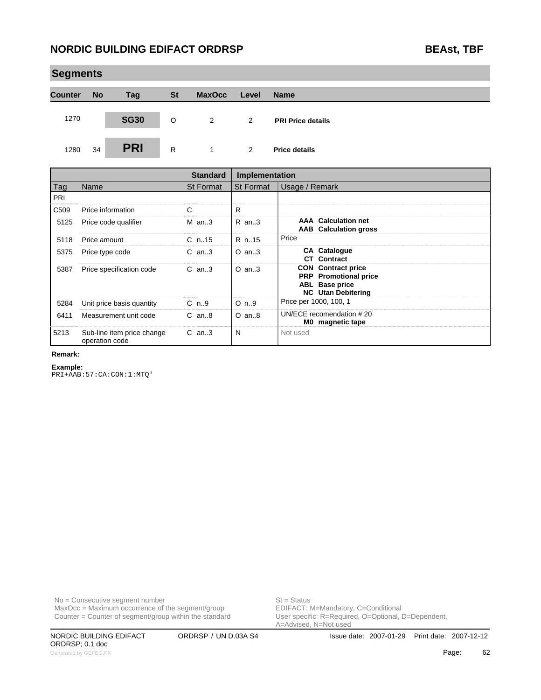**Segments**

| Segments       |           |             |              |               |       |                          |  |  |
|----------------|-----------|-------------|--------------|---------------|-------|--------------------------|--|--|
| <b>Counter</b> | <b>No</b> | Tag         | <b>St</b>    | <b>MaxOcc</b> | Level | <b>Name</b>              |  |  |
| 1270           |           | <b>SG30</b> | O            | 2             | 2     | <b>PRI Price details</b> |  |  |
| 1280           | 34        | <b>PRI</b>  | $\mathsf{R}$ | 1             | 2     | <b>Price details</b>     |  |  |

|         |                                              | <b>Standard</b> | Implementation          |                                                                                                                 |
|---------|----------------------------------------------|-----------------|-------------------------|-----------------------------------------------------------------------------------------------------------------|
| Tag     | Name<br><b>St Format</b>                     |                 | <b>St Format</b>        | Usage / Remark                                                                                                  |
| PRI     |                                              |                 |                         |                                                                                                                 |
| C509    | Price information                            | C               | R                       |                                                                                                                 |
| 5125    | Price code qualifier                         | M an3           | $R$ an3                 | <b>AAA</b> Calculation net<br><b>AAB</b> Calculation gross                                                      |
| 5118    | Price amount                                 | $C_n$ n. 15     | R n. 15                 | Price                                                                                                           |
| 5375    | Price type code                              | $C$ an3         | $O$ an3                 | <b>CA</b> Catalogue<br><b>CT</b> Contract                                                                       |
| 5387    | Price specification code                     | $C$ an3         | $O$ an3                 | <b>CON</b> Contract price<br><b>PRP</b> Promotional price<br><b>ABL</b> Base price<br><b>NC</b> Utan Debitering |
| 5284    | Unit price basis quantity                    | $C_{n.9}$       | $O \nightharpoonup n.9$ | Price per 1000, 100, 1                                                                                          |
| 6411    | Measurement unit code                        | $C$ an $8$      | $O$ an $8$              | UN/ECE recomendation #20<br>M0 magnetic tape                                                                    |
| 5213    | Sub-line item price change<br>operation code | $C$ an3         | N                       | Not used                                                                                                        |
| Remark: |                                              |                 |                         |                                                                                                                 |

#### **Example:**

PRI+AAB:57:CA:CON:1:MTQ'

 $MaxOcc = Maximum$  occurrence of the segment/group Counter = Counter of segment/group within the standard

No = Consecutive segment number<br>
MaxOcc = Maximum occurrence of the segment/group<br>
EDIFACT: M=Mandatory, C=Conditional

ORDRSP; 0.1 doc Generated by GEFEG.FX **Cancel Contains a structure of the Cancel Contains a structure of the Capacity of Capacity Contains a structure of the Capacity of Capacity Contains a structure of the Capacity Contains a structure o** 

User specific: R=Required, O=Optional, D=Dependent,<br>A=Advised, N=Not used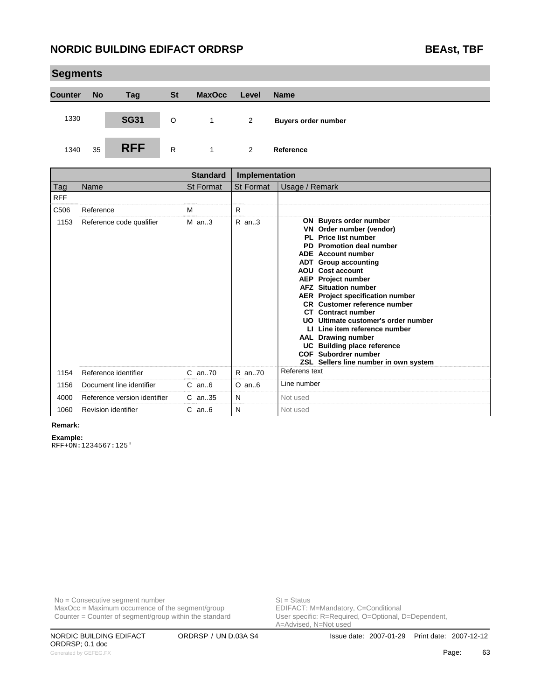|                | <b>Segments</b> |             |           |               |                |                            |  |  |  |  |
|----------------|-----------------|-------------|-----------|---------------|----------------|----------------------------|--|--|--|--|
| <b>Counter</b> | <b>No</b>       | <b>Tag</b>  | <b>St</b> | <b>MaxOcc</b> | Level          | <b>Name</b>                |  |  |  |  |
| 1330           |                 | <b>SG31</b> | O         | $\mathbf{1}$  | $\overline{2}$ | <b>Buyers order number</b> |  |  |  |  |
| 1340           | 35              | <b>RFF</b>  | R         | 1             | 2              | Reference                  |  |  |  |  |

|            |                              | <b>Standard</b>  | <b>Implementation</b> |                                                                                                                                                                                                                                                                                                                                                                                                                                                                                                                                                                                                |
|------------|------------------------------|------------------|-----------------------|------------------------------------------------------------------------------------------------------------------------------------------------------------------------------------------------------------------------------------------------------------------------------------------------------------------------------------------------------------------------------------------------------------------------------------------------------------------------------------------------------------------------------------------------------------------------------------------------|
| Tag        | Name                         | <b>St Format</b> | <b>St Format</b>      | Usage / Remark                                                                                                                                                                                                                                                                                                                                                                                                                                                                                                                                                                                 |
| <b>RFF</b> |                              |                  |                       |                                                                                                                                                                                                                                                                                                                                                                                                                                                                                                                                                                                                |
| C506       | Reference                    | М                | R.                    |                                                                                                                                                                                                                                                                                                                                                                                                                                                                                                                                                                                                |
| 1153       | Reference code qualifier     | $M$ an3          | $R$ an3               | ON Buyers order number<br>VN Order number (vendor)<br>PL Price list number<br><b>PD</b> Promotion deal number<br>ADE Account number<br><b>ADT</b> Group accounting<br><b>AOU</b> Cost account<br><b>AEP</b> Project number<br><b>AFZ</b> Situation number<br><b>AER</b> Project specification number<br><b>CR</b> Customer reference number<br><b>CT</b> Contract number<br>UO Ultimate customer's order number<br>LI Line item reference number<br><b>AAL</b> Drawing number<br><b>UC</b> Building place reference<br>Subordrer number<br><b>COF</b><br>ZSL Sellers line number in own system |
| 1154       | Reference identifier         | $C$ an70         | R an70                | Referens text                                                                                                                                                                                                                                                                                                                                                                                                                                                                                                                                                                                  |
| 1156       | Document line identifier     | $C$ an $6$       | $O$ an $6$            | Line number                                                                                                                                                                                                                                                                                                                                                                                                                                                                                                                                                                                    |
| 4000       | Reference version identifier | $C$ an. 35       | N                     | Not used                                                                                                                                                                                                                                                                                                                                                                                                                                                                                                                                                                                       |
| 1060       | Revision identifier          | $C$ an $6$       | N                     | Not used                                                                                                                                                                                                                                                                                                                                                                                                                                                                                                                                                                                       |

**Remark:**

i.

**Example:**

RFF+ON:1234567:125'

No = Consecutive segment number<br>
MaxOcc = Maximum occurrence of the segment/group<br>
EDIFACT: M=Mandatory, C=Conditional  $MaxOcc = Maximum occurrence of the segment/group$ Counter = Counter of segment/group within the standard

User specific: R=Required, O=Optional, D=Dependent,<br>A=Advised, N=Not used

ORDRSP; 0.1 doc Generated by GEFEG.FX **Contract Contract Contract Contract Contract Contract Contract Contract Contract Contract Contract Contract Contract Contract Contract Contract Contract Contract Contract Contract Contract Contract C**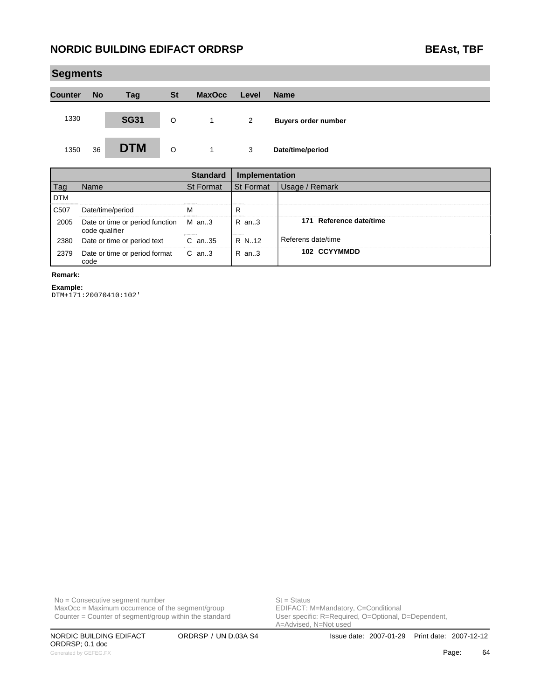### **Segments**

| <b>Counter</b> | <b>No</b> | Tag         | <b>St</b> | <b>MaxOcc</b> | Level | <b>Name</b>                |
|----------------|-----------|-------------|-----------|---------------|-------|----------------------------|
| 1330           |           | <b>SG31</b> | O         | $\mathbf{1}$  | 2     | <b>Buyers order number</b> |
| 1350           | 36        | <b>DTM</b>  | $\circ$   | $\mathbf{1}$  | 3     | Date/time/period           |

|                   |                                                         |                  | Implementation   |                         |
|-------------------|---------------------------------------------------------|------------------|------------------|-------------------------|
|                   | Name                                                    | <b>St Format</b> | <b>St Format</b> | Usage / Remark          |
| <b>DTM</b>        |                                                         |                  |                  |                         |
| C <sub>50</sub> 7 | Date/time/period                                        |                  | R                |                         |
| 2005              | Date or time or period function M an3<br>code qualifier |                  | $R$ an. 3        | 171 Reference date/time |
| 2380              | Date or time or period text                             | $C$ an. 35       | R N.12           | Referens date/time      |
| 2379              | Date or time or period format C an3<br>code             |                  | $R$ an. 3        | 102 CCYYMMDD            |

#### **Remark:**

**Example:**

DTM+171:20070410:102'

 $MaxOcc = Maximum occurrence of the segment/group$ Counter = Counter of segment/group within the standard

No = Consecutive segment number<br>
MaxOcc = Maximum occurrence of the segment/group<br>
EDIFACT: M=Mandatory, C=Conditional

NORDIC BUILDING EDIFACT ORDRSP / UN D.03A S4 Issue date: 2007-01-29 Print date: 2007-12-12 ORDRSP; 0.1 doc Generated by GEFEG.FX **Cancel Contract Contract Contract Contract Contract Contract Contract Contract Contract Contract Contract Contract Contract Contract Contract Contract Contract Contract Contract Contract Contract Con** 

User specific: R=Required, O=Optional, D=Dependent,<br>A=Advised, N=Not used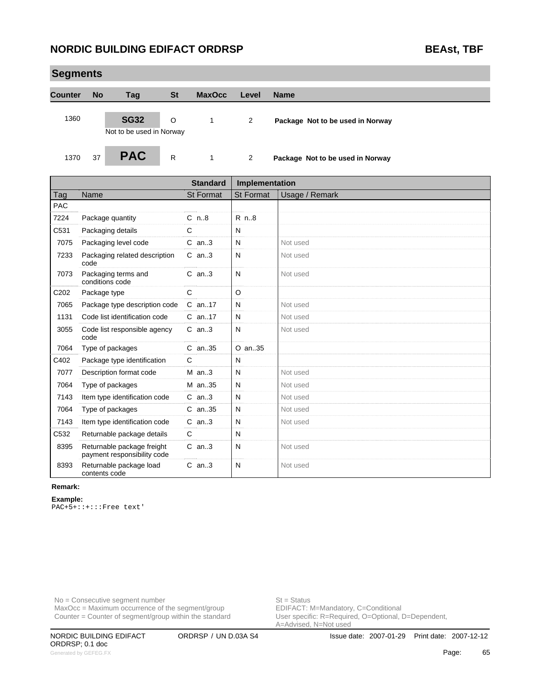| <b>Segments</b> |              |                                                           |           |                  |                  |                                  |
|-----------------|--------------|-----------------------------------------------------------|-----------|------------------|------------------|----------------------------------|
| <b>Counter</b>  | <b>No</b>    | Tag                                                       | <b>St</b> | <b>MaxOcc</b>    | Level            | <b>Name</b>                      |
| 1360            |              | <b>SG32</b><br>Not to be used in Norway                   | $\Omega$  | 1                | $\overline{2}$   | Package Not to be used in Norway |
| 1370            | 37           | <b>PAC</b>                                                | ${\sf R}$ | $\mathbf{1}$     | $\overline{2}$   | Package Not to be used in Norway |
|                 |              |                                                           |           | <b>Standard</b>  | Implementation   |                                  |
| Tag             | Name         |                                                           |           | <b>St Format</b> | <b>St Format</b> | Usage / Remark                   |
| PAC             |              |                                                           |           |                  |                  |                                  |
| 7224            |              | Package quantity                                          |           | $C_{n.8}$        | R n8             |                                  |
| C531            |              | Packaging details                                         |           | $\mathsf{C}$     | N                |                                  |
| 7075            |              | Packaging level code                                      |           | $C$ an3          | N                | Not used                         |
| 7233            | code         | Packaging related description                             |           | $C$ an3          | N                | Not used                         |
| 7073            |              | Packaging terms and<br>conditions code                    |           | $C$ an3          | N                | Not used                         |
| C202            | Package type |                                                           |           | C                | O                |                                  |
| 7065            |              | Package type description code                             |           | C an17           | N                | Not used                         |
| 1131            |              | Code list identification code                             |           | $C$ an. 17       | N                | Not used                         |
| 3055            | code         | Code list responsible agency                              |           | $C$ an3          | $\mathsf{N}$     | Not used                         |
| 7064            |              | Type of packages                                          |           | C an35           | $O$ an. 35       |                                  |
| C402            |              | Package type identification                               |           | C                | N                |                                  |
| 7077            |              | Description format code                                   |           | $M$ an3          | N                | Not used                         |
| 7064            |              | Type of packages                                          |           | M an35           | N                | Not used                         |
| 7143            |              | Item type identification code                             |           | $C$ an3          | N                | Not used                         |
| 7064            |              | Type of packages                                          |           | $C$ an. 35       | N                | Not used                         |
| 7143            |              | Item type identification code                             |           | $C$ an3          | N                | Not used                         |
| C532            |              | Returnable package details                                |           | C                | N                |                                  |
| 8395            |              | Returnable package freight<br>payment responsibility code |           | $C$ an. $3$      | N                | Not used                         |
| 8393            |              | Returnable package load<br>contents code                  |           | $C$ an3          | N                | Not used                         |

#### **Remark:**

#### **Example:**

PAC+5+::+:::Free text'

No = Consecutive segment number<br>
MaxOcc = Maximum occurrence of the segment/group<br>
EDIFACT: M=Mandatory, C=Conditional  $MaxOcc = Maximum$  occurrence of the segment/group Counter = Counter of segment/group within the standard

User specific: R=Required, O=Optional, D=Dependent,<br>A=Advised, N=Not used

ORDRSP; 0.1 doc Generated by GEFEG.FX **Contract Contract Contract Contract Contract Contract Contract Contract Contract Contract Contract Contract Contract Contract Contract Contract Contract Contract Contract Contract Contract Contract C**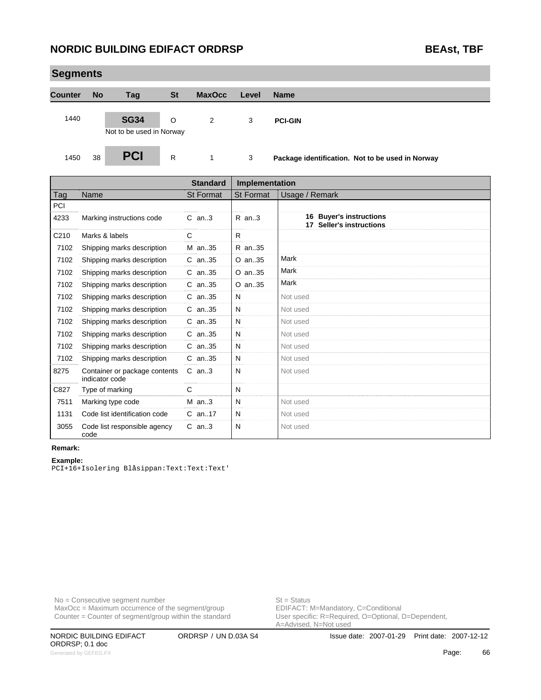| <b>Segments</b> |           |                                         |           |                |       |                                                  |
|-----------------|-----------|-----------------------------------------|-----------|----------------|-------|--------------------------------------------------|
| <b>Counter</b>  | <b>No</b> | <b>Tag</b>                              | <b>St</b> | <b>MaxOcc</b>  | Level | <b>Name</b>                                      |
| 1440            |           | <b>SG34</b><br>Not to be used in Norway | O         | $\overline{2}$ | 3     | <b>PCI-GIN</b>                                   |
| 1450            | 38        | <b>PCI</b>                              | R         |                | 3     | Package identification. Not to be used in Norway |

|                  |                                                 | <b>Standard</b>  | Implementation   |                                                               |
|------------------|-------------------------------------------------|------------------|------------------|---------------------------------------------------------------|
| Tag              | Name                                            | <b>St Format</b> | <b>St Format</b> | Usage / Remark                                                |
| PCI              |                                                 |                  |                  |                                                               |
| 4233             | Marking instructions code                       | $C$ an3          | $R$ an3          | 16 Buyer's instructions<br><b>Seller's instructions</b><br>17 |
| C <sub>210</sub> | Marks & labels                                  | C                | R.               |                                                               |
| 7102             | Shipping marks description                      | M an35           | R an35           |                                                               |
| 7102             | Shipping marks description                      | $C$ an. 35       | O an35           | Mark                                                          |
| 7102             | Shipping marks description                      | C an35           | O an35           | Mark                                                          |
| 7102             | Shipping marks description                      | $C$ an. 35       | O an35           | Mark                                                          |
| 7102             | Shipping marks description                      | $C$ an. 35       | N                | Not used                                                      |
| 7102             | Shipping marks description                      | $C$ an. 35       | N                | Not used                                                      |
| 7102             | Shipping marks description                      | C an35           | N                | Not used                                                      |
| 7102             | Shipping marks description                      | $C$ an. 35       | N                | Not used                                                      |
| 7102             | Shipping marks description                      | C an35           | N                | Not used                                                      |
| 7102             | Shipping marks description                      | $C$ an. 35       | N                | Not used                                                      |
| 8275             | Container or package contents<br>indicator code | $C$ an. $3$      | N                | Not used                                                      |
| C827             | Type of marking                                 | C                | N                |                                                               |
| 7511             | Marking type code                               | $M$ an3          | N                | Not used                                                      |
| 1131             | Code list identification code                   | C an17           | N                | Not used                                                      |
| 3055             | Code list responsible agency<br>code            | $C$ an3          | N                | Not used                                                      |

#### **Remark:**

i.

#### **Example:**

PCI+16+Isolering Blåsippan:Text:Text:Text'

No = Consecutive segment number<br>
MaxOcc = Maximum occurrence of the segment/group<br>
EDIFACT: M=Mandatory, C=Conditional  $MaxOcc = Maximum$  occurrence of the segment/group Counter = Counter of segment/group within the standard

User specific: R=Required, O=Optional, D=Dependent,<br>A=Advised, N=Not used

ORDRSP; 0.1 doc Generated by GEFEG.FX **Contract Contract Contract Contract Contract Contract Contract Contract Contract Contract Contract Contract Contract Contract Contract Contract Contract Contract Contract Contract Contract Contract C**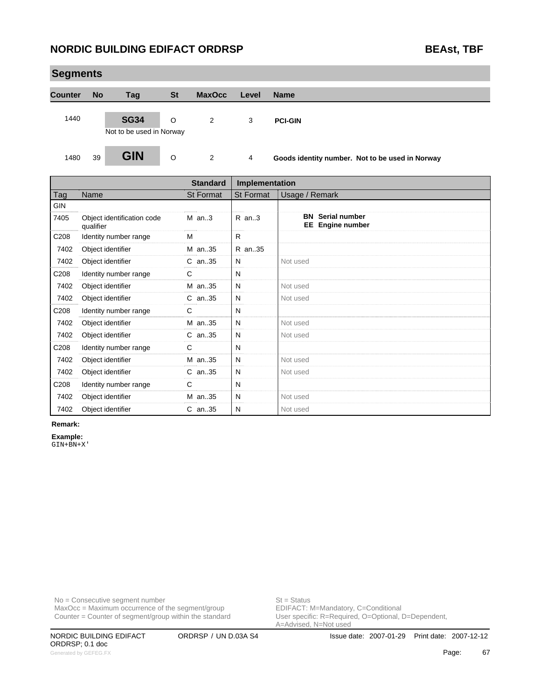|                | <b>Segments</b> |                                        |           |                |       |                                                 |  |  |  |
|----------------|-----------------|----------------------------------------|-----------|----------------|-------|-------------------------------------------------|--|--|--|
| <b>Counter</b> | <b>No</b>       | <b>Tag</b>                             | <b>St</b> | <b>MaxOcc</b>  | Level | <b>Name</b>                                     |  |  |  |
| 1440           |                 | <b>SG34</b>                            | $\circ$   | 2              | 3     | <b>PCI-GIN</b>                                  |  |  |  |
| 1480           | 39              | Not to be used in Norway<br><b>GIN</b> | O         | $\overline{2}$ | 4     | Goods identity number. Not to be used in Norway |  |  |  |

|      |                                         | <b>Standard</b>  | <b>Implementation</b> |                                                    |
|------|-----------------------------------------|------------------|-----------------------|----------------------------------------------------|
| Tag  | Name                                    | <b>St Format</b> | <b>St Format</b>      | Usage / Remark                                     |
| GIN  |                                         |                  |                       |                                                    |
| 7405 | Object identification code<br>qualifier | $M$ an3          | R an3                 | <b>BN</b> Serial number<br><b>EE</b> Engine number |
| C208 | Identity number range                   | м                | R.                    |                                                    |
| 7402 | Object identifier                       | M an35           | R an35                |                                                    |
| 7402 | Object identifier                       | C an35           | N                     | Not used                                           |
| C208 | Identity number range                   | C                | N                     |                                                    |
| 7402 | Object identifier                       | M an35           | N                     | Not used                                           |
| 7402 | Object identifier                       | C an35           | N                     | Not used                                           |
| C208 | Identity number range                   | C                | N                     |                                                    |
| 7402 | Object identifier                       | M an35           | N                     | Not used                                           |
| 7402 | Object identifier                       | C an35           | N                     | Not used                                           |
| C208 | Identity number range                   | C                | N                     |                                                    |
| 7402 | Object identifier                       | M an35           | N                     | Not used                                           |
| 7402 | Object identifier                       | C an35           | N                     | Not used                                           |
| C208 | Identity number range                   | C                | N                     |                                                    |
| 7402 | Object identifier                       | M an35           | N                     | Not used                                           |
| 7402 | Object identifier                       | $C$ an. 35       | N                     | Not used                                           |

**Remark:**

**Example:** GIN+BN+X'

No = Consecutive segment number<br>
MaxOcc = Maximum occurrence of the segment/group<br>
EDIFACT: M=Mandatory, C=Conditional  $MaxOcc = Maximum$  occurrence of the segment/group Counter = Counter of segment/group within the standard

User specific: R=Required, O=Optional, D=Dependent,<br>A=Advised, N=Not used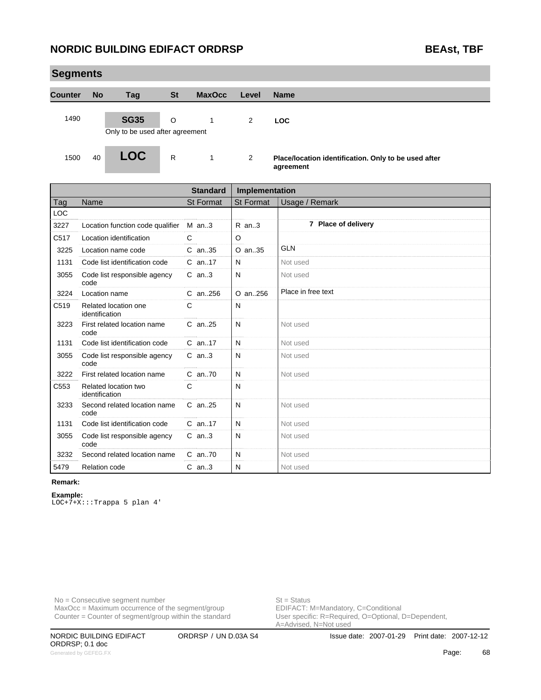# **Segments Counter No Tag St MaxOcc Level Name** 1490 **SG35** O 1 2 **LOC** Only to be used after agreement 1500 40 **LOC** R 1 2 **Place/location identification. Only to be used after agreement**

|                  |                                        | <b>Standard</b>  | <b>Implementation</b> |                     |
|------------------|----------------------------------------|------------------|-----------------------|---------------------|
| Tag              | Name                                   | <b>St Format</b> | <b>St Format</b>      | Usage / Remark      |
| <b>LOC</b>       |                                        |                  |                       |                     |
| 3227             | Location function code qualifier       | $M$ an3          | $R$ an3               | 7 Place of delivery |
| C517             | Location identification                | C                | O                     |                     |
| 3225             | Location name code                     | C an35           | O an35                | <b>GLN</b>          |
| 1131             | Code list identification code          | C an17           | N                     | Not used            |
| 3055             | Code list responsible agency<br>code   | $C$ an3          | N                     | Not used            |
| 3224             | Location name                          | C an256          | O an256               | Place in free text  |
| C519             | Related location one<br>identification | C                | N                     |                     |
| 3223             | First related location name<br>code    | $C$ an. 25       | N                     | Not used            |
| 1131             | Code list identification code          | $C$ an. 17       | N                     | Not used            |
| 3055             | Code list responsible agency<br>code   | $C$ an. $3$      | N                     | Not used            |
| 3222             | First related location name            | C an70           | N                     | Not used            |
| C <sub>553</sub> | Related location two<br>identification | C                | N                     |                     |
| 3233             | Second related location name<br>code   | $C$ an. 25       | N                     | Not used            |
| 1131             | Code list identification code          | $C$ an. 17       | N                     | Not used            |
| 3055             | Code list responsible agency<br>code   | $C$ an3          | N                     | Not used            |
| 3232             | Second related location name           | C an70           | N                     | Not used            |
| 5479             | <b>Relation code</b>                   | $C$ an3          | N                     | Not used            |

#### **Remark:**

#### **Example:**

LOC+7+X:::Trappa 5 plan 4'

No = Consecutive segment number<br>
MaxOcc = Maximum occurrence of the segment/group<br>
EDIFACT: M=Mandatory, C=Conditional  $MaxOcc = Maximum occurrence of the segment/group$ Counter = Counter of segment/group within the standard

User specific: R=Required, O=Optional, D=Dependent,<br>A=Advised, N=Not used

ORDRSP; 0.1 doc Generated by GEFEG.FX **Contract Contract Contract Contract Contract Contract Contract Contract Contract Contract Contract Contract Contract Contract Contract Contract Contract Contract Contract Contract Contract Contract C**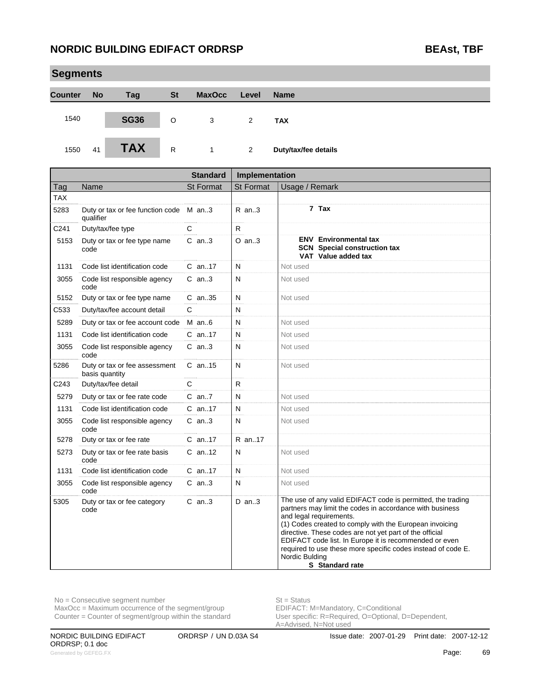|                | <b>Segments</b> |             |           |               |       |                      |  |  |
|----------------|-----------------|-------------|-----------|---------------|-------|----------------------|--|--|
| <b>Counter</b> | <b>No</b>       | Tag         | <b>St</b> | <b>MaxOcc</b> | Level | <b>Name</b>          |  |  |
| 1540           |                 | <b>SG36</b> | O         | 3             | 2     | <b>TAX</b>           |  |  |
| 1550           | 41              | <b>TAX</b>  | R         | 1             | 2     | Duty/tax/fee details |  |  |

|            |                                                     | <b>Standard</b>  | Implementation   |                                                                                                                                                                                                                                                                                                                                                                                                                                         |
|------------|-----------------------------------------------------|------------------|------------------|-----------------------------------------------------------------------------------------------------------------------------------------------------------------------------------------------------------------------------------------------------------------------------------------------------------------------------------------------------------------------------------------------------------------------------------------|
| Tag        | Name                                                | <b>St Format</b> | <b>St Format</b> | Usage / Remark                                                                                                                                                                                                                                                                                                                                                                                                                          |
| <b>TAX</b> |                                                     |                  |                  |                                                                                                                                                                                                                                                                                                                                                                                                                                         |
| 5283       | Duty or tax or fee function code M an3<br>qualifier |                  | $R$ an3          | 7 Tax                                                                                                                                                                                                                                                                                                                                                                                                                                   |
| C241       | Duty/tax/fee type                                   | C                | R.               |                                                                                                                                                                                                                                                                                                                                                                                                                                         |
| 5153       | Duty or tax or fee type name<br>code                | $C$ an3          | $O$ an3          | <b>ENV</b> Environmental tax<br><b>SCN</b> Special construction tax<br>VAT Value added tax                                                                                                                                                                                                                                                                                                                                              |
| 1131       | Code list identification code                       | $C$ an. 17       | N                | Not used                                                                                                                                                                                                                                                                                                                                                                                                                                |
| 3055       | Code list responsible agency<br>code                | $C$ an3          | N                | Not used                                                                                                                                                                                                                                                                                                                                                                                                                                |
| 5152       | Duty or tax or fee type name                        | $C$ an35         | N                | Not used                                                                                                                                                                                                                                                                                                                                                                                                                                |
| C533       | Duty/tax/fee account detail                         | C                | N                |                                                                                                                                                                                                                                                                                                                                                                                                                                         |
| 5289       | Duty or tax or fee account code                     | $M$ an6          | N                | Not used                                                                                                                                                                                                                                                                                                                                                                                                                                |
| 1131       | Code list identification code                       | $C$ an17         | N                | Not used                                                                                                                                                                                                                                                                                                                                                                                                                                |
| 3055       | Code list responsible agency<br>code                | $C$ an3          | N                | Not used                                                                                                                                                                                                                                                                                                                                                                                                                                |
| 5286       | Duty or tax or fee assessment<br>basis quantity     | $C$ an. 15       | N                | Not used                                                                                                                                                                                                                                                                                                                                                                                                                                |
| C243       | Duty/tax/fee detail                                 | C                | R                |                                                                                                                                                                                                                                                                                                                                                                                                                                         |
| 5279       | Duty or tax or fee rate code                        | $C$ an $7$       | N                | Not used                                                                                                                                                                                                                                                                                                                                                                                                                                |
| 1131       | Code list identification code                       | C an17           | N                | Not used                                                                                                                                                                                                                                                                                                                                                                                                                                |
| 3055       | Code list responsible agency<br>code                | $C$ an3          | N                | Not used                                                                                                                                                                                                                                                                                                                                                                                                                                |
| 5278       | Duty or tax or fee rate                             | $C$ an. 17       | R an17           |                                                                                                                                                                                                                                                                                                                                                                                                                                         |
| 5273       | Duty or tax or fee rate basis<br>code               | $C$ an. 12       | N                | Not used                                                                                                                                                                                                                                                                                                                                                                                                                                |
| 1131       | Code list identification code                       | $C$ an17         | N                | Not used                                                                                                                                                                                                                                                                                                                                                                                                                                |
| 3055       | Code list responsible agency<br>code                | $C$ an. $3$      | N                | Not used                                                                                                                                                                                                                                                                                                                                                                                                                                |
| 5305       | Duty or tax or fee category<br>code                 | $C$ an3          | $D$ an3          | The use of any valid EDIFACT code is permitted, the trading<br>partners may limit the codes in accordance with business<br>and legal requirements.<br>(1) Codes created to comply with the European invoicing<br>directive. These codes are not yet part of the official<br>EDIFACT code list. In Europe it is recommended or even<br>required to use these more specific codes instead of code E.<br>Nordic Bulding<br>S Standard rate |

 $MaxOcc = Maximum occurrence of the segment/group$ 

Counter = Counter of segment/group within the standard

No = Consecutive segment number<br>
MaxOcc = Maximum occurrence of the segment/group<br>
EDIFACT: M=Mandatory, C=Conditional User specific: R=Required, O=Optional, D=Dependent,<br>A=Advised, N=Not used

ORDRSP; 0.1 doc Generated by GEFEG.FX **Page:** 69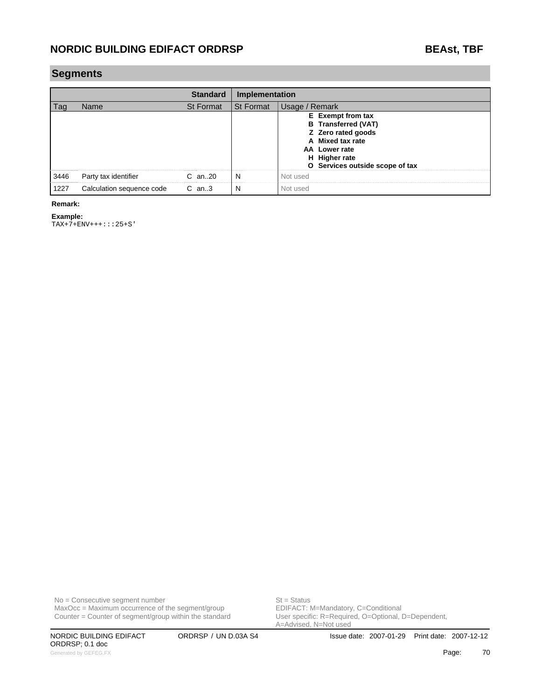### **Segments**

|      |                           | <b>Standard</b> | <b>Implementation</b> |                                                                                                                                                                |
|------|---------------------------|-----------------|-----------------------|----------------------------------------------------------------------------------------------------------------------------------------------------------------|
| Tag  | Name                      | St Format       | St Format             | Usage / Remark                                                                                                                                                 |
|      |                           |                 |                       | E Exempt from tax<br><b>B</b> Transferred (VAT)<br>Z Zero rated goods<br>A Mixed tax rate<br>AA Lower rate<br>H Higher rate<br>O Services outside scope of tax |
| 3446 | Party tax identifier      | $C$ an. 20      | N                     | Not used                                                                                                                                                       |
| 1227 | Calculation sequence code | $C$ an3         | N                     | Not used                                                                                                                                                       |

#### **Remark:**

**Example:** TAX+7+ENV+++:::25+S'

 $MaxOcc = Maximum$  occurrence of the segment/group Counter = Counter of segment/group within the standard

No = Consecutive segment number<br>
MaxOcc = Maximum occurrence of the segment/group<br>
EDIFACT: M=Mandatory, C=Conditional User specific: R=Required, O=Optional, D=Dependent,<br>A=Advised, N=Not used

ORDRSP; 0.1 doc Generated by GEFEG.FX **Page:** 70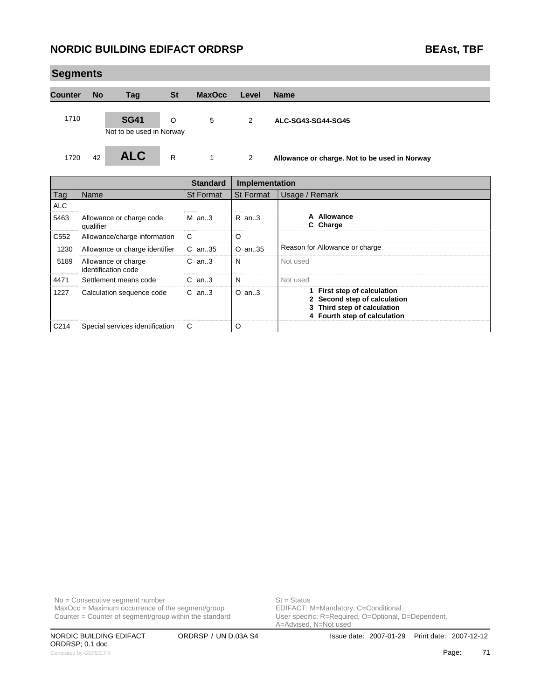**Segments** 

| <b>Segments</b>  |           |                                            |           |                  |                  |                                                                                                                              |
|------------------|-----------|--------------------------------------------|-----------|------------------|------------------|------------------------------------------------------------------------------------------------------------------------------|
| <b>Counter</b>   | <b>No</b> | Tag                                        | <b>St</b> | <b>MaxOcc</b>    | Level            | <b>Name</b>                                                                                                                  |
| 1710             |           | <b>SG41</b><br>Not to be used in Norway    | $\circ$   | 5                | 2                | ALC-SG43-SG44-SG45                                                                                                           |
| 1720             | 42        | <b>ALC</b>                                 | R         | 1                | 2                | Allowance or charge. Not to be used in Norway                                                                                |
|                  |           |                                            |           | <b>Standard</b>  | Implementation   |                                                                                                                              |
| Tag              | Name      |                                            |           | <b>St Format</b> | <b>St Format</b> | Usage / Remark                                                                                                               |
| <b>ALC</b>       |           |                                            |           |                  |                  |                                                                                                                              |
| 5463             | qualifier | Allowance or charge code                   |           | $M$ an3          | $R$ an3          | A Allowance<br>C Charge                                                                                                      |
| C <sub>552</sub> |           | Allowance/charge information               |           | C                | O                |                                                                                                                              |
| 1230             |           | Allowance or charge identifier             |           | C an35           | O an35           | Reason for Allowance or charge                                                                                               |
| 5189             |           | Allowance or charge<br>identification code |           | $C$ an3          | N                | Not used                                                                                                                     |
| 4471             |           | Settlement means code                      |           | $C$ an. $3$      | N                | Not used                                                                                                                     |
| 1227             |           | Calculation sequence code                  |           | $C$ an3          | $O$ an3          | First step of calculation<br>1.<br>2 Second step of calculation<br>Third step of calculation<br>4 Fourth step of calculation |
| C214             |           | Special services identification            |           | C                | O                |                                                                                                                              |

 $MaxOcc = Maximum occurrence of the segment/group$ Counter = Counter of segment/group within the standard

No = Consecutive segment number<br>
MaxOcc = Maximum occurrence of the segment/group<br>
EDIFACT: M=Mandatory, C=Conditional User specific: R=Required, O=Optional, D=Dependent,<br>A=Advised, N=Not used

ORDRSP; 0.1 doc Generated by GEFEG.FX **Page:** 71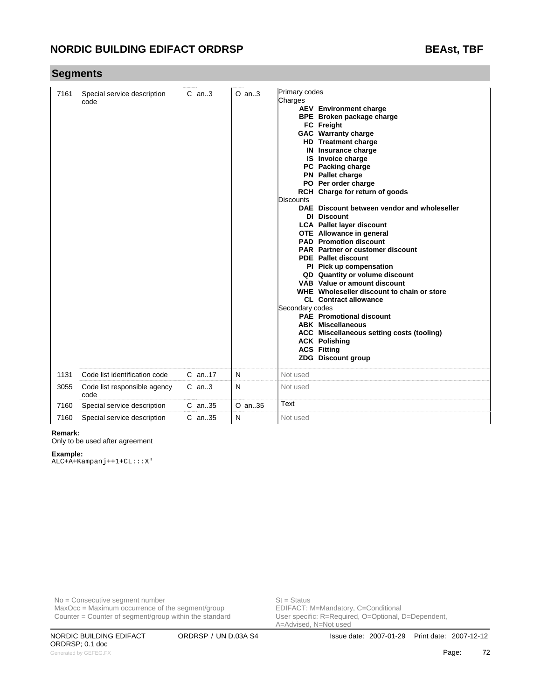| FC Freight<br><b>GAC</b> Warranty charge<br>HD Treatment charge<br>IN Insurance charge<br>IS Invoice charge<br>PC Packing charge<br>PN Pallet charge<br>PO Per order charge<br>RCH Charge for return of goods<br><b>Discounts</b><br>DAE Discount between vendor and wholeseller<br>DI Discount<br><b>LCA</b> Pallet layer discount<br>OTE Allowance in general<br><b>PAD</b> Promotion discount<br><b>PAR</b> Partner or customer discount<br><b>PDE</b> Pallet discount<br>PI Pick up compensation<br>QD Quantity or volume discount<br><b>VAB</b> Value or amount discount<br>WHE Wholeseller discount to chain or store<br><b>CL</b> Contract allowance<br>Secondary codes<br><b>PAE</b> Promotional discount<br><b>ABK Miscellaneous</b><br>ACC Miscellaneous setting costs (tooling)<br><b>ACK Polishing</b><br><b>ACS Fitting</b><br><b>ZDG</b> Discount group |  |
|-----------------------------------------------------------------------------------------------------------------------------------------------------------------------------------------------------------------------------------------------------------------------------------------------------------------------------------------------------------------------------------------------------------------------------------------------------------------------------------------------------------------------------------------------------------------------------------------------------------------------------------------------------------------------------------------------------------------------------------------------------------------------------------------------------------------------------------------------------------------------|--|
| 1131<br>Code list identification code<br>$C$ an. 17<br>N<br>Not used                                                                                                                                                                                                                                                                                                                                                                                                                                                                                                                                                                                                                                                                                                                                                                                                  |  |
| 3055<br>Code list responsible agency<br>$C$ an3<br>N<br>Not used<br>code                                                                                                                                                                                                                                                                                                                                                                                                                                                                                                                                                                                                                                                                                                                                                                                              |  |
| Text<br>7160<br>Special service description<br>C an35<br>O an35                                                                                                                                                                                                                                                                                                                                                                                                                                                                                                                                                                                                                                                                                                                                                                                                       |  |
| 7160<br>$C$ an. 35<br>N<br>Special service description<br>Not used                                                                                                                                                                                                                                                                                                                                                                                                                                                                                                                                                                                                                                                                                                                                                                                                    |  |

#### **Segments**

#### **Remark:**

Only to be used after agreement

#### **Example:**

ALC+A+Kampanj++1+CL:::X'

No = Consecutive segment number<br>
MaxOcc = Maximum occurrence of the segment/group<br>
EDIFACT: M=Mandatory, C=Conditional  $MaxOcc = Maximum$  occurrence of the segment/group Counter = Counter of segment/group within the standard

User specific: R=Required, O=Optional, D=Dependent,<br>A=Advised, N=Not used

ORDRSP; 0.1 doc Generated by GEFEG.FX **Page:** 72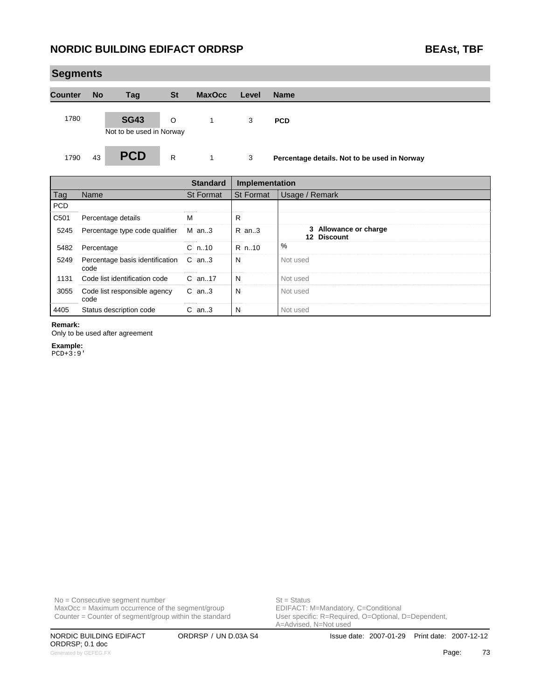### **Segments**

| <b>Counter</b> | <b>No</b> | Tag                                     | <b>St</b> | <b>MaxOcc</b> | Level | <b>Name</b>                                  |
|----------------|-----------|-----------------------------------------|-----------|---------------|-------|----------------------------------------------|
| 1780           |           | <b>SG43</b><br>Not to be used in Norway | $\circ$   |               | 3     | <b>PCD</b>                                   |
| 1790           | 43        | <b>PCD</b>                              | R         |               | 3     | Percentage details. Not to be used in Norway |

|                  |                                               | <b>Standard</b>  |           | Implementation                       |  |  |
|------------------|-----------------------------------------------|------------------|-----------|--------------------------------------|--|--|
| Tag              | Name                                          | <b>St Format</b> | St Format | Usage / Remark                       |  |  |
| <b>PCD</b>       |                                               |                  |           |                                      |  |  |
| C <sub>501</sub> | Percentage details                            | м                | R         |                                      |  |  |
| 5245             | Percentage type code qualifier                | $M$ an3          | $R$ an. 3 | 3 Allowance or charge<br>12 Discount |  |  |
| 5482             | Percentage                                    | $C_{n.10}$       | R n.10    | %                                    |  |  |
| 5249             | Percentage basis identification C an3<br>code |                  | N         | Not used                             |  |  |
| 1131             | Code list identification code                 | $C$ an. 17       | N         | Not used                             |  |  |
| 3055             | Code list responsible agency<br>code          | $C$ an3          | N         | Not used                             |  |  |
| 4405             | Status description code                       | $C$ an3          | N         | Not used                             |  |  |

**Remark:**

Only to be used after agreement

**Example:**

PCD+3:9'

No = Consecutive segment number<br>
MaxOcc = Maximum occurrence of the segment/group<br>
EDIFACT: M=Mandatory, C=Conditional  $MaxOcc = Maximum$  occurrence of the segment/group Counter = Counter of segment/group within the standard

ORDRSP; 0.1 doc Generated by GEFEG.FX **Page:** 73

User specific: R=Required, O=Optional, D=Dependent,<br>A=Advised, N=Not used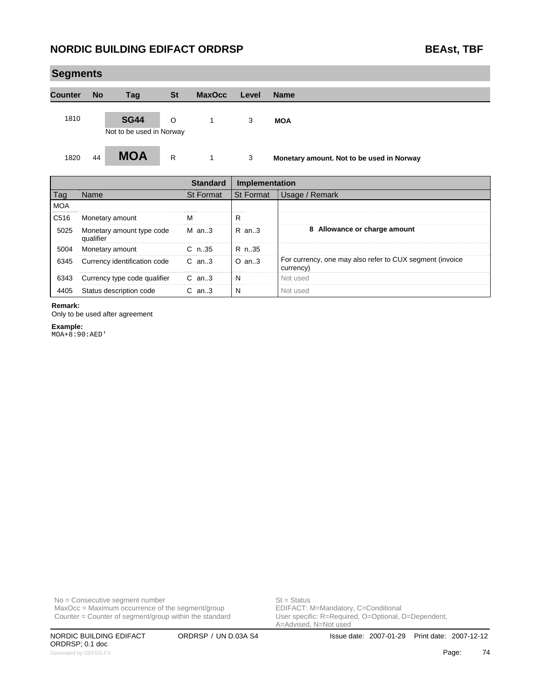### **Segments Counter No Tag St MaxOcc Level Name** 1810 **SG44** O 1 3 **MOA** Not to be used in Norway 1820 44 **MOA** R 1 3 **Monetary amount. Not to be used in Norway Standard Implementation** Tag Name St Format St Format Usage / Remark **MOA** C516 Monetary amount M M R 5025 Monetary amount type code qualifier M an..3 R an..3 **8 Allowance or charge amount** 5004 Monetary amount C n..35 R n..35 6345 Currency identification code C an..3 | O an..3 | For currency, one may also refer to CUX segment (invoice currency) 6343 Currency type code qualifier C an..3 N Not used 4405 Status description code C an..3 N

**Remark:**

Only to be used after agreement

**Example:** MOA+8:90:AED'

Counter = Counter of segment/group within the standard

No = Consecutive segment number<br>
MaxOcc = Maximum occurrence of the segment/group<br>
EDIFACT: M=Mandatory, C=Conditional MaxOcc = Maximum occurrence of the segment/group <br>
Counter = Counter of segment/group within the standard User specific: R=Required, O=Optional, D=Dependent,

A=Advised, N=Not used

ORDRSP; 0.1 doc Generated by GEFEG.FX **Page:** 74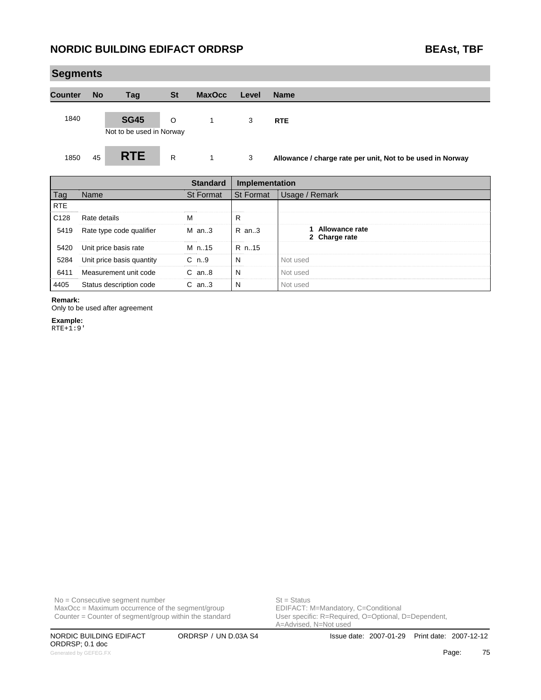### **Segments**

| <b>Counter</b> | <b>No</b> | Tag                                     | <b>St</b> | <b>MaxOcc</b> | Level | <b>Name</b>                                                |
|----------------|-----------|-----------------------------------------|-----------|---------------|-------|------------------------------------------------------------|
| 1840           |           | <b>SG45</b><br>Not to be used in Norway | $\circ$   |               | 3     | <b>RTE</b>                                                 |
| 1850           | 45        | <b>RTE</b>                              | R         | 1             | 3     | Allowance / charge rate per unit, Not to be used in Norway |

|                  |                           | <b>Standard</b> | Implementation   |                                   |
|------------------|---------------------------|-----------------|------------------|-----------------------------------|
| Tag              | Name                      | St Format       | <b>St Format</b> | Usage / Remark                    |
| <b>RTE</b>       |                           |                 |                  |                                   |
| C <sub>128</sub> | Rate details              | м               | R                |                                   |
| 5419             | Rate type code qualifier  | $M$ an3         | R an3            | 1 Allowance rate<br>2 Charge rate |
| 5420             | Unit price basis rate     | M n. 15         | R n. 15          |                                   |
| 5284             | Unit price basis quantity | $C_{n.9}$       | N                | Not used                          |
| 6411             | Measurement unit code     | $C$ an $8$      | N                | Not used                          |
| 4405             | Status description code   | $C$ an. $3$     | N                | Not used                          |

#### **Remark:**

Only to be used after agreement

**Example:** RTE+1:9'

No = Consecutive segment number<br>
MaxOcc = Maximum occurrence of the segment/group<br>
EDIFACT: M=Mandatory, C=Conditional  $MaxOcc = Maximum$  occurrence of the segment/group Counter = Counter of segment/group within the standard

User specific: R=Required, O=Optional, D=Dependent,<br>A=Advised, N=Not used

ORDRSP; 0.1 doc Generated by GEFEG.FX **Page:** 75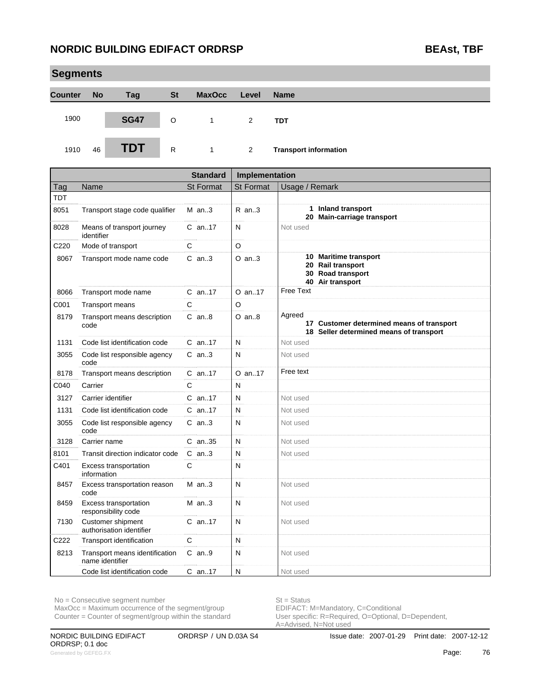| <b>Segments</b> |            |                                |              |                  |                  |                                                                                                        |
|-----------------|------------|--------------------------------|--------------|------------------|------------------|--------------------------------------------------------------------------------------------------------|
| <b>Counter</b>  | <b>No</b>  | Tag                            | <b>St</b>    | <b>MaxOcc</b>    | Level            | <b>Name</b>                                                                                            |
| 1900            |            | <b>SG47</b>                    | O            | $\mathbf{1}$     | 2                | <b>TDT</b>                                                                                             |
| 1910            | 46         | TDT                            | $\mathsf{R}$ | $\mathbf 1$      | 2                | <b>Transport information</b>                                                                           |
|                 |            |                                |              | <b>Standard</b>  | Implementation   |                                                                                                        |
| Tag             | Name       |                                |              | <b>St Format</b> | <b>St Format</b> | Usage / Remark                                                                                         |
| <b>TDT</b>      |            |                                |              |                  |                  |                                                                                                        |
| 8051            |            | Transport stage code qualifier |              | $M$ an3          | $R$ an3          | 1 Inland transport<br>Main-carriage transport<br>20                                                    |
| 8028            | identifier | Means of transport journey     |              | $C$ an. 17       | N                | Not used                                                                                               |
| C220            |            | Mode of transport              |              | C                | $\circ$          |                                                                                                        |
| 8067            |            | Transport mode name code       |              | $C$ an3          | $O$ an3          | <b>Maritime transport</b><br>10<br>Rail transport<br>20<br>Road transport<br>30<br>40<br>Air transport |
| 8066            |            | Transport mode name            |              | $C$ an. 17       | O an17           | Free Text                                                                                              |
| C001            |            | Transport means                |              | C                | O                |                                                                                                        |
| 8179            | code       | Transport means description    |              | $C$ an $8$       | $O$ an $8$       | Agreed<br>17 Customer determined means of transport<br>18 Seller determined means of transport         |
| 1131            |            | Code list identification code  |              | C an17           | N                | Not used                                                                                               |

|                  | coue                                              |             |        | 18 Seller determined means of transport |
|------------------|---------------------------------------------------|-------------|--------|-----------------------------------------|
| 1131             | Code list identification code                     | $C$ an. 17  | N      | Not used                                |
| 3055             | Code list responsible agency<br>code              | $C$ an3     | N      | Not used                                |
| 8178             | Transport means description                       | $C$ an. 17  | O an17 | Free text                               |
| C040             | Carrier                                           | C           | N      |                                         |
| 3127             | Carrier identifier                                | $C$ an. 17  | N      | Not used                                |
| 1131             | Code list identification code                     | $C$ an. 17  | N      | Not used                                |
| 3055             | Code list responsible agency<br>code              | $C$ an. $3$ | N      | Not used                                |
| 3128             | Carrier name                                      | $C$ an. 35  | N      | Not used                                |
| 8101             | Transit direction indicator code                  | $C$ an3     | N      | Not used                                |
| C401             | Excess transportation<br>information              | С           | N      |                                         |
| 8457             | Excess transportation reason<br>code              | $M$ an3     | N      | Not used                                |
| 8459             | Excess transportation<br>responsibility code      | $M$ an3     | N      | Not used                                |
| 7130             | Customer shipment<br>authorisation identifier     | $C$ an. 17  | N      | Not used                                |
| C <sub>222</sub> | Transport identification                          | C           | N      |                                         |
| 8213             | Transport means identification<br>name identifier | $C$ an9     | N      | Not used                                |
|                  | Code list identification code                     | $C$ an17    | N      | Not used                                |

No = Consecutive segment number<br>
MaxOcc = Maximum occurrence of the segment/group<br>
EDIFACT: M=Mandatory, C=Conditional  $MaxOcc = Maximum$  occurrence of the segment/group

Counter = Counter of segment/group within the standard

User specific: R=Required, O=Optional, D=Dependent,<br>A=Advised, N=Not used

ORDRSP; 0.1 doc Generated by GEFEG.FX **Page:** 76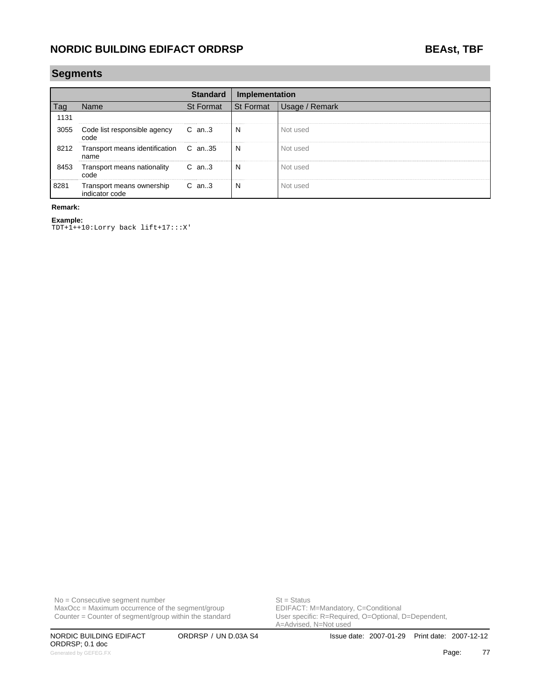### **Segments**

|      |                                                    | <b>Standard</b> | Implementation   |                |
|------|----------------------------------------------------|-----------------|------------------|----------------|
| Tag  | Name                                               | St Format       | <b>St Format</b> | Usage / Remark |
| 1131 |                                                    |                 |                  |                |
|      | 3055 Code list responsible agency C an3<br>code    |                 | N                | Not used       |
|      | 8212 Transport means identification C an35<br>name |                 | N                | Not used       |
| 8453 | Transport means nationality<br>code                | C an3           | N                | Not used       |
| 8281 | Transport means ownership<br>indicator code        | C an3           | N                | Not used       |

### **Remark:**

**Example:** TDT+1++10:Lorry back lift+17:::X'

 $MaxOcc = Maximum$  occurrence of the segment/group Counter = Counter of segment/group within the standard

No = Consecutive segment number<br>
MaxOcc = Maximum occurrence of the segment/group<br>
EDIFACT: M=Mandatory, C=Conditional User specific: R=Required, O=Optional, D=Dependent,<br>A=Advised, N=Not used

ORDRSP; 0.1 doc Generated by GEFEG.FX **Page:** 77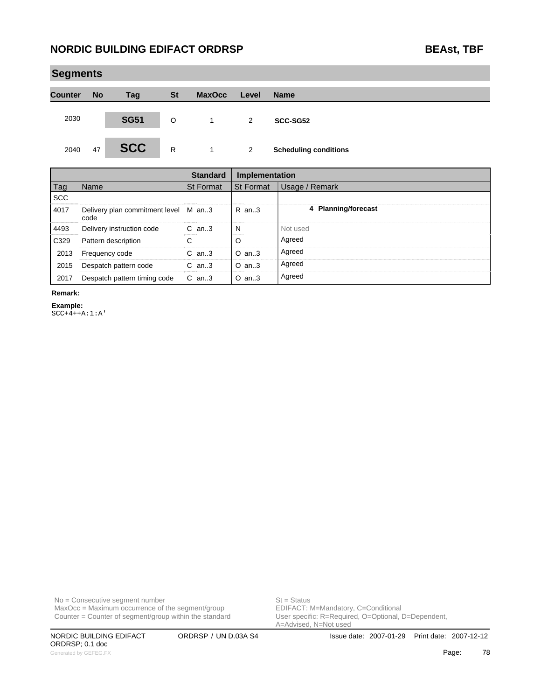|                | <b>Segments</b> |             |           |               |                |                              |  |  |  |  |  |  |
|----------------|-----------------|-------------|-----------|---------------|----------------|------------------------------|--|--|--|--|--|--|
| <b>Counter</b> | <b>No</b>       | <b>Tag</b>  | <b>St</b> | <b>MaxOcc</b> | Level          | <b>Name</b>                  |  |  |  |  |  |  |
| 2030           |                 | <b>SG51</b> | $\circ$   |               | 2              | SCC-SG52                     |  |  |  |  |  |  |
| 2040           | 47              | <b>SCC</b>  | R         |               | $\overline{2}$ | <b>Scheduling conditions</b> |  |  |  |  |  |  |

|            |                                              | <b>Standard</b>  | <b>Implementation</b> |                     |
|------------|----------------------------------------------|------------------|-----------------------|---------------------|
| Tag        | <b>Name</b>                                  | <b>St Format</b> | St Format             | Usage / Remark      |
| <b>SCC</b> |                                              |                  |                       |                     |
| 4017       | Delivery plan commitment level M an3<br>code |                  | R an3                 | 4 Planning/forecast |
| 4493       | Delivery instruction code                    | $C$ an. $3$      | N                     | Not used            |
| C329       | Pattern description                          |                  |                       | Agreed              |
| 2013       | Frequency code                               | $C$ an. $3$      | $O$ an. $3$           | Agreed              |
| 2015       | Despatch pattern code                        | $C$ an. $3$      | $O$ an. $3$           | Agreed              |
| 2017       | Despatch pattern timing code                 | $C$ an3          | O an3                 | Agreed              |

#### **Remark:**

**Example:**  $SCC+4++A:1:A'$ 

 $MaxOcc = Maximum$  occurrence of the segment/group Counter = Counter of segment/group within the standard

No = Consecutive segment number<br>
MaxOcc = Maximum occurrence of the segment/group<br>
EDIFACT: M=Mandatory, C=Conditional User specific: R=Required, O=Optional, D=Dependent,<br>A=Advised, N=Not used

ORDRSP; 0.1 doc Generated by GEFEG.FX **Page:** 78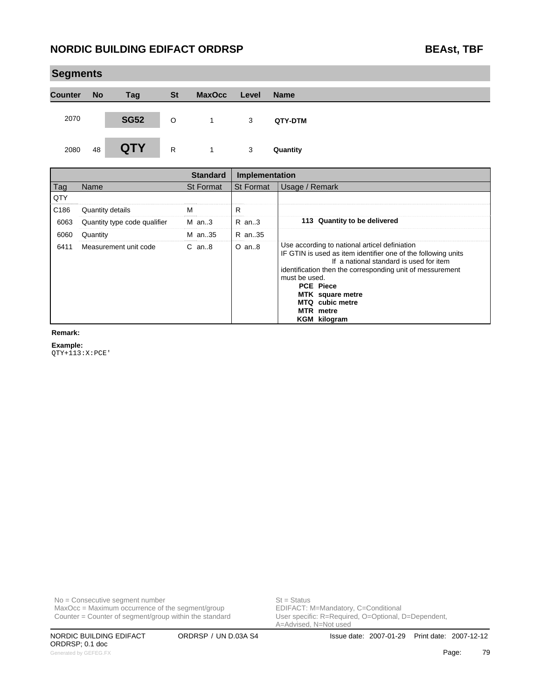|                | <b>Segments</b> |             |           |               |       |             |  |  |  |  |  |  |
|----------------|-----------------|-------------|-----------|---------------|-------|-------------|--|--|--|--|--|--|
| <b>Counter</b> | <b>No</b>       | <b>Tag</b>  | <b>St</b> | <b>MaxOcc</b> | Level | <b>Name</b> |  |  |  |  |  |  |
| 2070           |                 | <b>SG52</b> | $\circ$   |               | 3     | QTY-DTM     |  |  |  |  |  |  |
| 2080           | 48              | <b>QTY</b>  | R         |               | 3     | Quantity    |  |  |  |  |  |  |

|      |                              | <b>Standard</b>  | <b>Implementation</b> |                                                                                                                                                                                                                                                                                                                                               |
|------|------------------------------|------------------|-----------------------|-----------------------------------------------------------------------------------------------------------------------------------------------------------------------------------------------------------------------------------------------------------------------------------------------------------------------------------------------|
| Tag  | Name                         | <b>St Format</b> | <b>St Format</b>      | Usage / Remark                                                                                                                                                                                                                                                                                                                                |
| QTY  |                              |                  |                       |                                                                                                                                                                                                                                                                                                                                               |
| C186 | Quantity details             | м                | R                     |                                                                                                                                                                                                                                                                                                                                               |
| 6063 | Quantity type code qualifier | $M$ an3          | $R$ an. $3$           | 113 Quantity to be delivered                                                                                                                                                                                                                                                                                                                  |
| 6060 | Quantity                     | M an35           | R an. 35              |                                                                                                                                                                                                                                                                                                                                               |
| 6411 | Measurement unit code        | $C$ an $.8$      | $O$ an $8$            | Use according to national articel definiation<br>IF GTIN is used as item identifier one of the following units<br>If a national standard is used for item<br>identification then the corresponding unit of messurement<br>must be used.<br><b>PCE Piece</b><br>MTK square metre<br>MTQ cubic metre<br><b>MTR</b> metre<br><b>KGM</b> kilogram |

#### **Remark:**

**Example:** QTY+113:X:PCE'

No = Consecutive segment number<br>
MaxOcc = Maximum occurrence of the segment/group<br>
EDIFACT: M=Mandatory, C=Conditional  $MaxOcc = Maximum$  occurrence of the segment/group Counter = Counter of segment/group within the standard

User specific: R=Required, O=Optional, D=Dependent,<br>A=Advised, N=Not used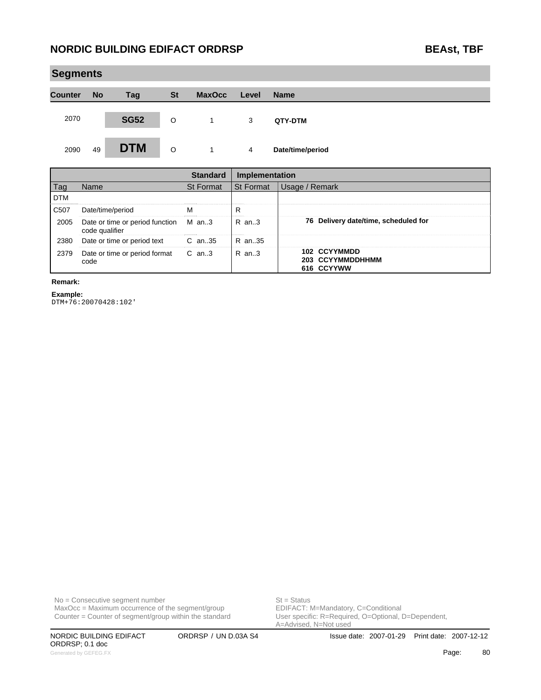|                | <b>Segments</b> |             |           |                |       |                  |  |  |  |  |  |
|----------------|-----------------|-------------|-----------|----------------|-------|------------------|--|--|--|--|--|
| <b>Counter</b> | <b>No</b>       | <b>Tag</b>  | <b>St</b> | <b>MaxOcc</b>  | Level | <b>Name</b>      |  |  |  |  |  |
| 2070           |                 | <b>SG52</b> | O         | $\overline{1}$ | 3     | QTY-DTM          |  |  |  |  |  |
| 2090           | 49              | <b>DTM</b>  | O         | $\overline{1}$ | 4     | Date/time/period |  |  |  |  |  |

|                  |                                                         | Standard         | Implementation   |                                                |  |  |
|------------------|---------------------------------------------------------|------------------|------------------|------------------------------------------------|--|--|
| Tag              | Name                                                    | <b>St Format</b> | <b>St Format</b> | Usage / Remark                                 |  |  |
| <b>DTM</b>       |                                                         |                  |                  |                                                |  |  |
| C <sub>507</sub> | Date/time/period                                        | м                | R                |                                                |  |  |
| 2005             | Date or time or period function M an3<br>code qualifier |                  | $R$ an. 3        | 76 Delivery date/time, scheduled for           |  |  |
| 2380             | Date or time or period text                             | C an 35          | R an35           |                                                |  |  |
| 2379             | Date or time or period format C an3<br>code             |                  | $R$ an. 3        | 102 CCYYMMDD<br>203 CCYYMMDDHHMM<br>616 CCYYWW |  |  |

#### **Remark:**

**Example:**

DTM+76:20070428:102'

 $MaxOcc = Maximum$  occurrence of the segment/group Counter = Counter of segment/group within the standard

No = Consecutive segment number<br>
MaxOcc = Maximum occurrence of the segment/group<br>
EDIFACT: M=Mandatory, C=Conditional User specific: R=Required, O=Optional, D=Dependent,<br>A=Advised, N=Not used

ORDRSP; 0.1 doc Generated by GEFEG.FX **Page:** 80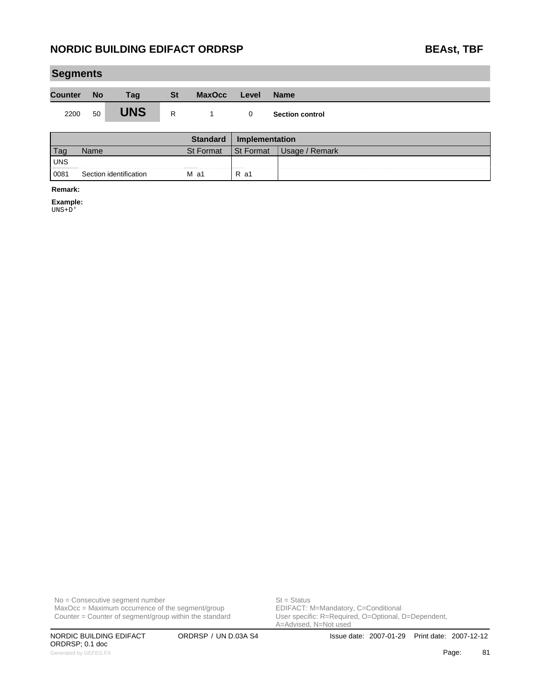|                 | <b>Segments</b> |                        |           |               |             |                        |  |  |  |
|-----------------|-----------------|------------------------|-----------|---------------|-------------|------------------------|--|--|--|
| <b>Counter</b>  | <b>No</b>       | Tag                    | <b>St</b> | <b>MaxOcc</b> | Level       | <b>Name</b>            |  |  |  |
| 2200            | 50              | <b>UNS</b>             | R         | 1             | $\mathbf 0$ | <b>Section control</b> |  |  |  |
| <b>Standard</b> |                 |                        |           |               |             | Implementation         |  |  |  |
| Tag             | Name            |                        |           | St Format     | St Format   | Usage / Remark         |  |  |  |
| <b>UNS</b>      |                 |                        |           |               |             |                        |  |  |  |
| 0081            |                 | Section identification |           | $M$ a1        | R a1        |                        |  |  |  |
| Remark:         |                 |                        |           |               |             |                        |  |  |  |

**Example:** UNS+D'

 $MaxOcc = Maximum$  occurrence of the segment/group Counter = Counter of segment/group within the standard

No = Consecutive segment number<br>
MaxOcc = Maximum occurrence of the segment/group<br>
EDIFACT: M=Mandatory, C=Conditional

NORDIC BUILDING EDIFACT ORDRSP / UN D.03A S4 Issue date: 2007-01-29 Print date: 2007-12-12 ORDRSP; 0.1 doc Generated by GEFEG.FX **Page:** 81

User specific: R=Required, O=Optional, D=Dependent,<br>A=Advised, N=Not used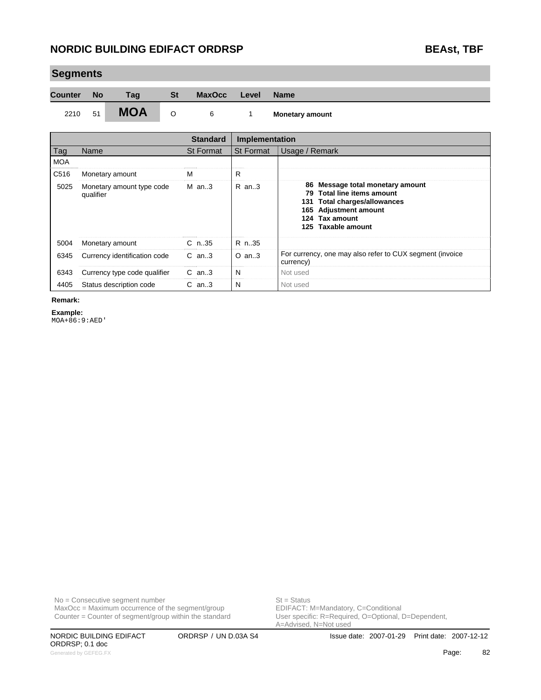| <b>Segments</b> |    |            |         |              |  |                        |  |  |
|-----------------|----|------------|---------|--------------|--|------------------------|--|--|
|                 |    |            |         |              |  |                        |  |  |
| Counter No      |    | Tag        | St      | MaxOcc Level |  | <b>Name</b>            |  |  |
| 2210            | 51 | <b>MOA</b> | $\circ$ | 6            |  | <b>Monetary amount</b> |  |  |

|            |                                        | <b>Standard</b>  | Implementation   |                                                                                                                                                                 |  |  |  |
|------------|----------------------------------------|------------------|------------------|-----------------------------------------------------------------------------------------------------------------------------------------------------------------|--|--|--|
| Tag        | Name                                   | <b>St Format</b> | <b>St Format</b> | Usage / Remark                                                                                                                                                  |  |  |  |
| <b>MOA</b> |                                        |                  |                  |                                                                                                                                                                 |  |  |  |
| C516       | Monetary amount                        | м                | R                |                                                                                                                                                                 |  |  |  |
| 5025       | Monetary amount type code<br>qualifier | $M$ an3          | $R$ an. 3        | 86 Message total monetary amount<br>79 Total line items amount<br>131 Total charges/allowances<br>165 Adjustment amount<br>124 Tax amount<br>125 Taxable amount |  |  |  |
| 5004       | Monetary amount                        | $C_{n.35}$       | R n.35           |                                                                                                                                                                 |  |  |  |
| 6345       | Currency identification code           | $C$ an. $3$      | $O$ an. $3$      | For currency, one may also refer to CUX segment (invoice<br>currency)                                                                                           |  |  |  |
| 6343       | Currency type code qualifier           | $C$ an. $3$      | N                | Not used                                                                                                                                                        |  |  |  |
| 4405       | Status description code                | $C$ an3          | N                | Not used                                                                                                                                                        |  |  |  |

#### **Remark:**

**Example:**

MOA+86:9:AED'

 $MaxOcc = Maximum$  occurrence of the segment/group Counter = Counter of segment/group within the standard

No = Consecutive segment number<br>
MaxOcc = Maximum occurrence of the segment/group<br>
EDIFACT: M=Mandatory, C=Conditional

ORDRSP; 0.1 doc Generated by GEFEG.FX **82** 

User specific: R=Required, O=Optional, D=Dependent,<br>A=Advised, N=Not used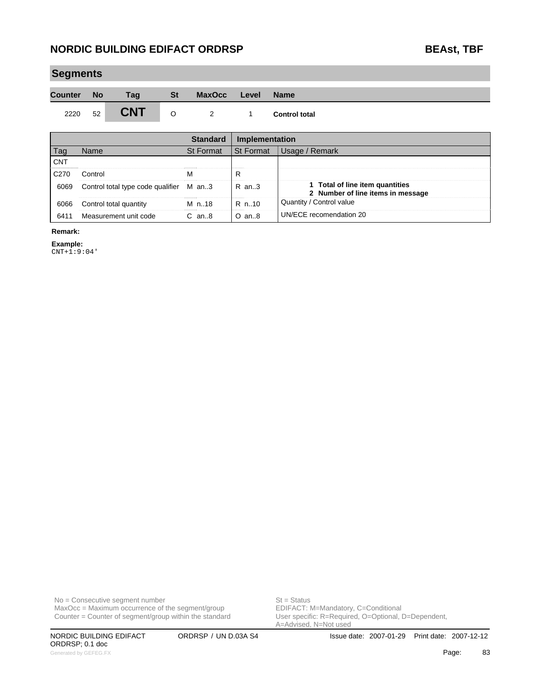### **Segments**

| <b>Counter</b> | <b>No</b> | Tag        | St | MaxOcc Level | <b>Name</b>          |
|----------------|-----------|------------|----|--------------|----------------------|
| 2220           | 52        | <b>CNT</b> |    |              | <b>Control total</b> |

|                  |                                         | <b>Standard</b>  | <b>Implementation</b> |                                                                      |  |
|------------------|-----------------------------------------|------------------|-----------------------|----------------------------------------------------------------------|--|
| l ag             | Name                                    | <b>St Format</b> | <b>St Format</b>      | Usage / Remark                                                       |  |
| <b>CNT</b>       |                                         |                  |                       |                                                                      |  |
| C <sub>270</sub> | Control                                 |                  |                       |                                                                      |  |
| 6069             | Control total type code qualifier M an3 |                  | $R$ an. 3             | 1 Total of line item quantities<br>2 Number of line items in message |  |
| 6066             | Control total quantity                  | M n. 18          | R n. 10               | Quantity / Control value                                             |  |
| 6411             | Measurement unit code                   | C an8            | $O$ an $8$            | UN/ECE recomendation 20                                              |  |

**Remark:**

**Example:**

CNT+1:9:04'

 $MaxOcc = Maximum$  occurrence of the segment/group Counter = Counter of segment/group within the standard

No = Consecutive segment number<br>
MaxOcc = Maximum occurrence of the segment/group<br>
EDIFACT: M=Mandatory, C=Conditional User specific: R=Required, O=Optional, D=Dependent,<br>A=Advised, N=Not used

ORDRSP; 0.1 doc Generated by GEFEG.FX **83**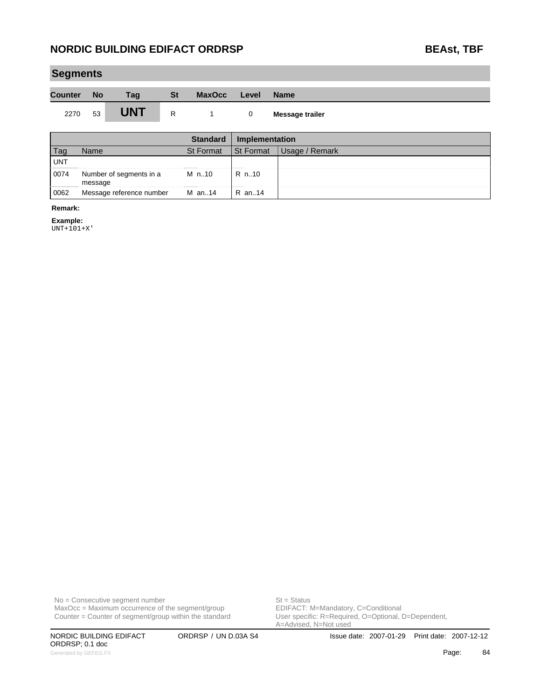### **Segments**

| <b>Counter</b> | No | Tag        | St | <b>MaxOcc</b> | Level | <b>Name</b>     |
|----------------|----|------------|----|---------------|-------|-----------------|
| 2270           | 53 | <b>UNT</b> |    |               |       | Message trailer |

|            |                                    |           | Implementation                             |        |  |
|------------|------------------------------------|-----------|--------------------------------------------|--------|--|
|            | vame                               | St Format | <b>St Format</b>                           | Remark |  |
| <b>UNT</b> |                                    |           | a company and see the second second terms. |        |  |
| 0074       | Number of segments in a<br>message | M n10     | R n10                                      |        |  |
| 0062       | Message reference number           | M an14    | R an14                                     |        |  |

**Remark:**

**Example:**

UNT+101+X'

 $MaxOcc = Maximum$  occurrence of the segment/group Counter = Counter of segment/group within the standard

No = Consecutive segment number<br>
MaxOcc = Maximum occurrence of the segment/group<br>
EDIFACT: M=Mandatory, C=Conditional User specific: R=Required, O=Optional, D=Dependent,<br>A=Advised, N=Not used

ORDRSP; 0.1 doc Generated by GEFEG.FX **Page:** 84